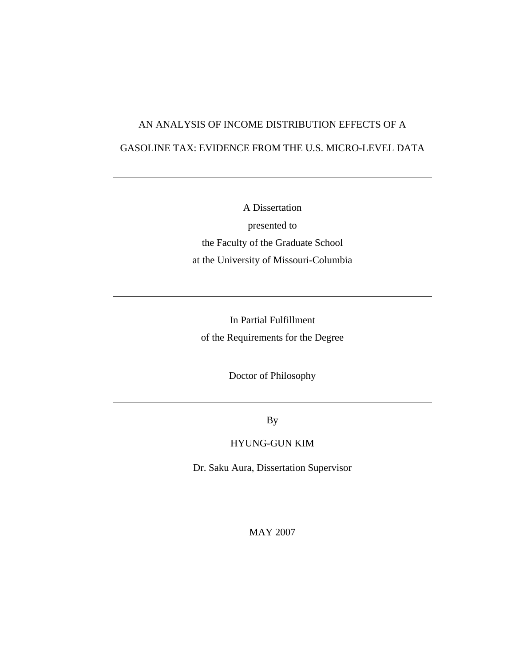# AN ANALYSIS OF INCOME DISTRIBUTION EFFECTS OF A GASOLINE TAX: EVIDENCE FROM THE U.S. MICRO-LEVEL DATA

A Dissertation presented to the Faculty of the Graduate School at the University of Missouri-Columbia

In Partial Fulfillment of the Requirements for the Degree

Doctor of Philosophy

By

### HYUNG-GUN KIM

Dr. Saku Aura, Dissertation Supervisor

MAY 2007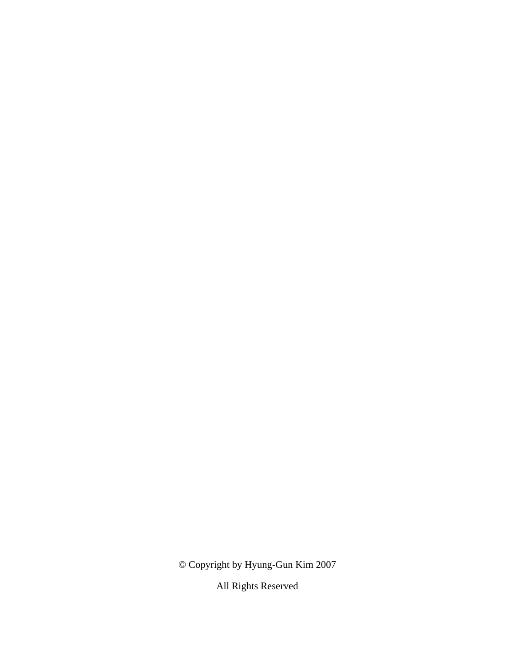© Copyright by Hyung-Gun Kim 2007

All Rights Reserved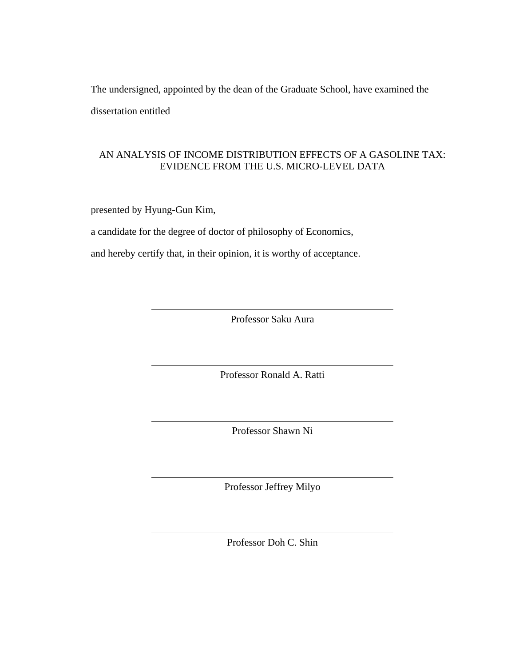The undersigned, appointed by the dean of the Graduate School, have examined the dissertation entitled

### AN ANALYSIS OF INCOME DISTRIBUTION EFFECTS OF A GASOLINE TAX: EVIDENCE FROM THE U.S. MICRO-LEVEL DATA

presented by Hyung-Gun Kim,

a candidate for the degree of doctor of philosophy of Economics,

and hereby certify that, in their opinion, it is worthy of acceptance.

Professor Saku Aura

Professor Ronald A. Ratti

Professor Shawn Ni

Professor Jeffrey Milyo

Professor Doh C. Shin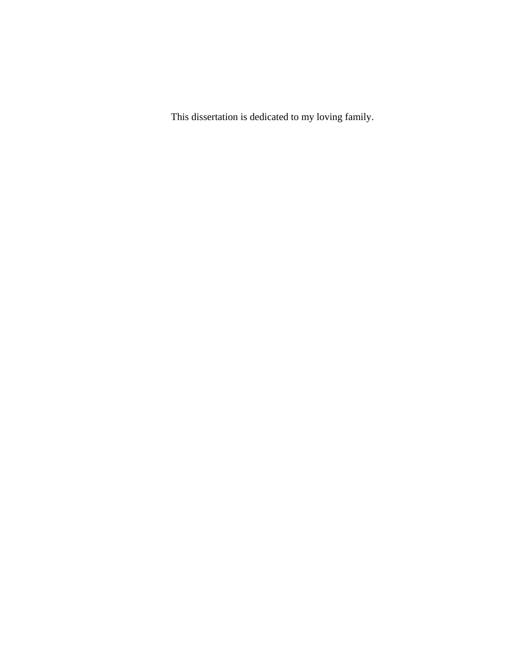This dissertation is dedicated to my loving family.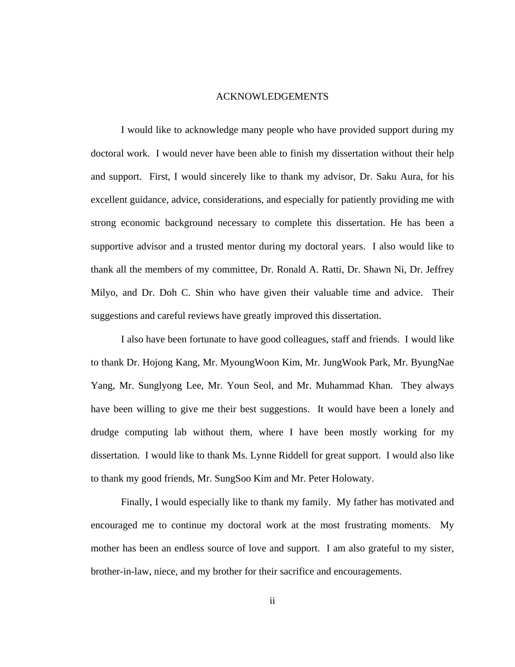#### ACKNOWLEDGEMENTS

 I would like to acknowledge many people who have provided support during my doctoral work. I would never have been able to finish my dissertation without their help and support. First, I would sincerely like to thank my advisor, Dr. Saku Aura, for his excellent guidance, advice, considerations, and especially for patiently providing me with strong economic background necessary to complete this dissertation. He has been a supportive advisor and a trusted mentor during my doctoral years. I also would like to thank all the members of my committee, Dr. Ronald A. Ratti, Dr. Shawn Ni, Dr. Jeffrey Milyo, and Dr. Doh C. Shin who have given their valuable time and advice. Their suggestions and careful reviews have greatly improved this dissertation.

 I also have been fortunate to have good colleagues, staff and friends. I would like to thank Dr. Hojong Kang, Mr. MyoungWoon Kim, Mr. JungWook Park, Mr. ByungNae Yang, Mr. Sunglyong Lee, Mr. Youn Seol, and Mr. Muhammad Khan. They always have been willing to give me their best suggestions. It would have been a lonely and drudge computing lab without them, where I have been mostly working for my dissertation. I would like to thank Ms. Lynne Riddell for great support. I would also like to thank my good friends, Mr. SungSoo Kim and Mr. Peter Holowaty.

 Finally, I would especially like to thank my family. My father has motivated and encouraged me to continue my doctoral work at the most frustrating moments. My mother has been an endless source of love and support. I am also grateful to my sister, brother-in-law, niece, and my brother for their sacrifice and encouragements.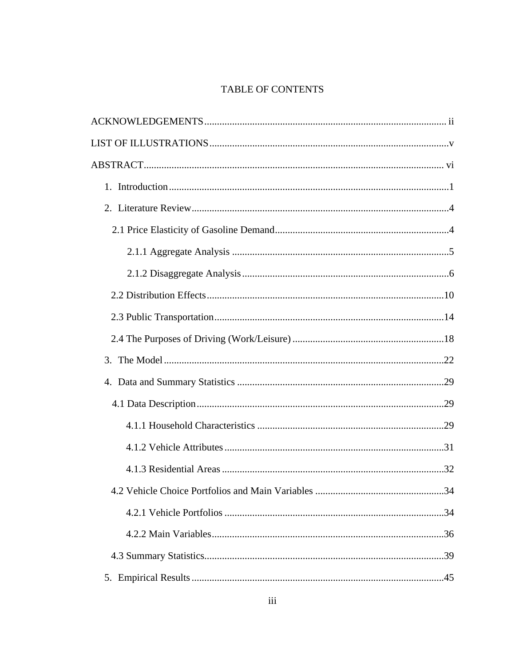## TABLE OF CONTENTS

| 3. |  |
|----|--|
|    |  |
|    |  |
|    |  |
|    |  |
|    |  |
|    |  |
|    |  |
|    |  |
|    |  |
|    |  |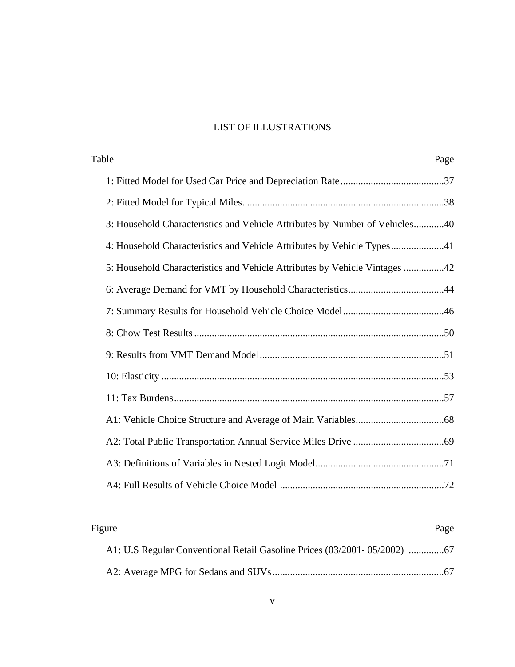# LIST OF ILLUSTRATIONS

| Table<br>Page                                                               |
|-----------------------------------------------------------------------------|
|                                                                             |
|                                                                             |
| 3: Household Characteristics and Vehicle Attributes by Number of Vehicles40 |
| 4: Household Characteristics and Vehicle Attributes by Vehicle Types41      |
| 5: Household Characteristics and Vehicle Attributes by Vehicle Vintages 42  |
|                                                                             |
|                                                                             |
|                                                                             |
|                                                                             |
|                                                                             |
|                                                                             |
|                                                                             |
|                                                                             |
|                                                                             |
|                                                                             |

| Page | Figure |  |
|------|--------|--|
|      |        |  |
|      |        |  |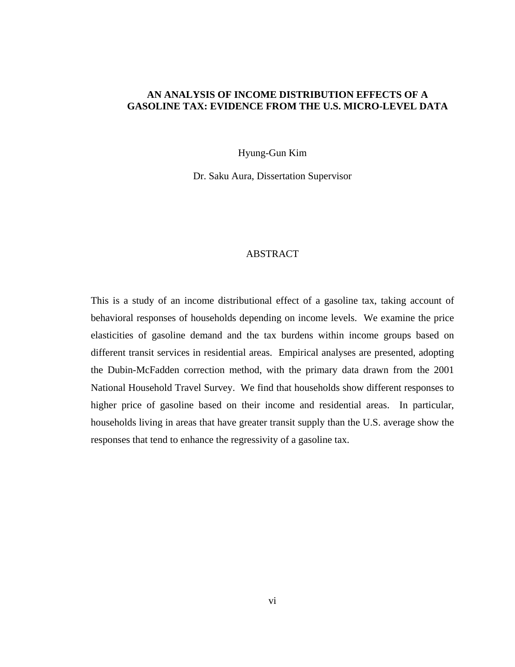### **AN ANALYSIS OF INCOME DISTRIBUTION EFFECTS OF A GASOLINE TAX: EVIDENCE FROM THE U.S. MICRO-LEVEL DATA**

Hyung-Gun Kim

Dr. Saku Aura, Dissertation Supervisor

#### ABSTRACT

This is a study of an income distributional effect of a gasoline tax, taking account of behavioral responses of households depending on income levels. We examine the price elasticities of gasoline demand and the tax burdens within income groups based on different transit services in residential areas. Empirical analyses are presented, adopting the Dubin-McFadden correction method, with the primary data drawn from the 2001 National Household Travel Survey. We find that households show different responses to higher price of gasoline based on their income and residential areas. In particular, households living in areas that have greater transit supply than the U.S. average show the responses that tend to enhance the regressivity of a gasoline tax.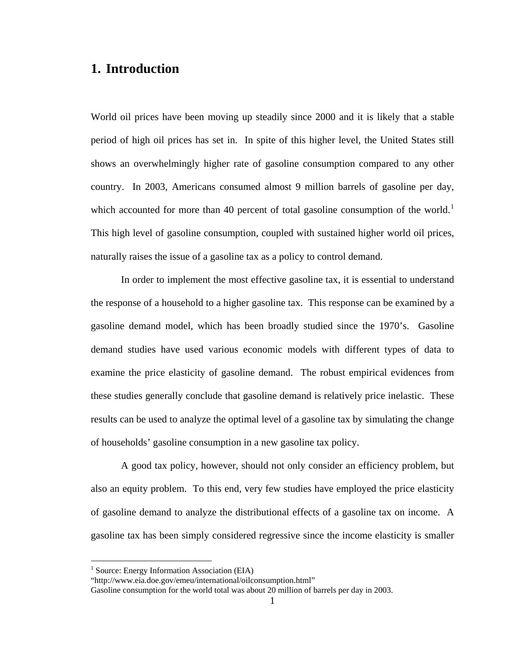# **1. Introduction**

World oil prices have been moving up steadily since 2000 and it is likely that a stable period of high oil prices has set in. In spite of this higher level, the United States still shows an overwhelmingly higher rate of gasoline consumption compared to any other country. In 2003, Americans consumed almost 9 million barrels of gasoline per day, which accounted for more than 40 percent of total gasoline consumption of the world.<sup>[1](#page-9-0)</sup> This high level of gasoline consumption, coupled with sustained higher world oil prices, naturally raises the issue of a gasoline tax as a policy to control demand.

In order to implement the most effective gasoline tax, it is essential to understand the response of a household to a higher gasoline tax. This response can be examined by a gasoline demand model, which has been broadly studied since the 1970's. Gasoline demand studies have used various economic models with different types of data to examine the price elasticity of gasoline demand. The robust empirical evidences from these studies generally conclude that gasoline demand is relatively price inelastic. These results can be used to analyze the optimal level of a gasoline tax by simulating the change of households' gasoline consumption in a new gasoline tax policy.

A good tax policy, however, should not only consider an efficiency problem, but also an equity problem. To this end, very few studies have employed the price elasticity of gasoline demand to analyze the distributional effects of a gasoline tax on income. A gasoline tax has been simply considered regressive since the income elasticity is smaller

<u>.</u>

<span id="page-9-0"></span><sup>&</sup>lt;sup>1</sup> Source: Energy Information Association (EIA)

<sup>&</sup>quot;http://www.eia.doe.gov/emeu/international/oilconsumption.html"

Gasoline consumption for the world total was about 20 million of barrels per day in 2003.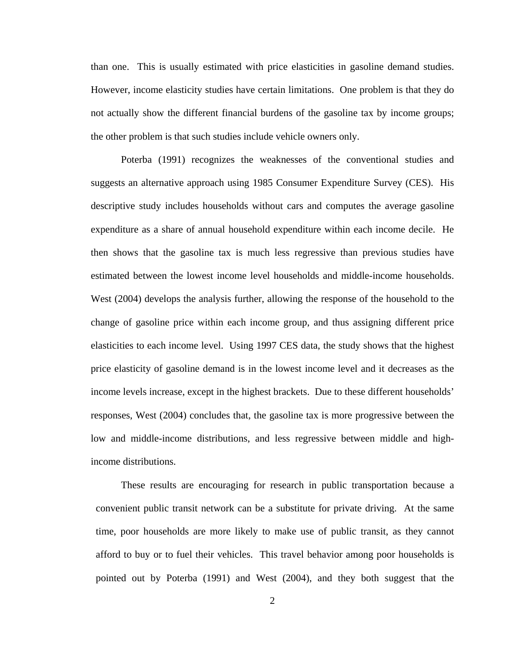than one. This is usually estimated with price elasticities in gasoline demand studies. However, income elasticity studies have certain limitations. One problem is that they do not actually show the different financial burdens of the gasoline tax by income groups; the other problem is that such studies include vehicle owners only.

Poterba (1991) recognizes the weaknesses of the conventional studies and suggests an alternative approach using 1985 Consumer Expenditure Survey (CES). His descriptive study includes households without cars and computes the average gasoline expenditure as a share of annual household expenditure within each income decile. He then shows that the gasoline tax is much less regressive than previous studies have estimated between the lowest income level households and middle-income households. West (2004) develops the analysis further, allowing the response of the household to the change of gasoline price within each income group, and thus assigning different price elasticities to each income level. Using 1997 CES data, the study shows that the highest price elasticity of gasoline demand is in the lowest income level and it decreases as the income levels increase, except in the highest brackets. Due to these different households' responses, West (2004) concludes that, the gasoline tax is more progressive between the low and middle-income distributions, and less regressive between middle and highincome distributions.

These results are encouraging for research in public transportation because a convenient public transit network can be a substitute for private driving. At the same time, poor households are more likely to make use of public transit, as they cannot afford to buy or to fuel their vehicles. This travel behavior among poor households is pointed out by Poterba (1991) and West (2004), and they both suggest that the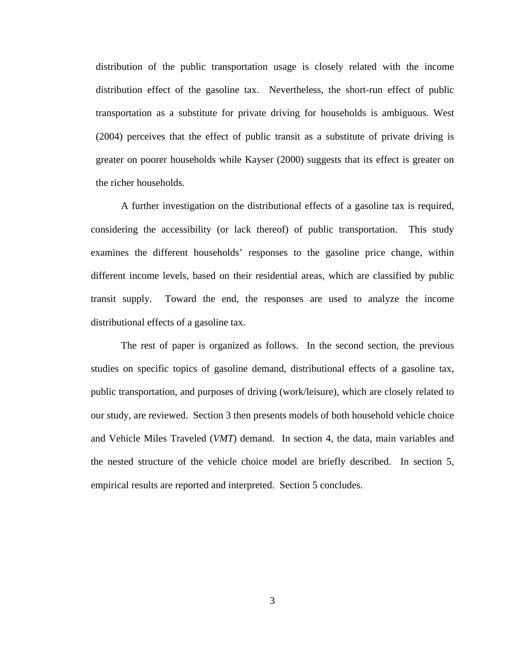distribution of the public transportation usage is closely related with the income distribution effect of the gasoline tax. Nevertheless, the short-run effect of public transportation as a substitute for private driving for households is ambiguous. West (2004) perceives that the effect of public transit as a substitute of private driving is greater on poorer households while Kayser (2000) suggests that its effect is greater on the richer households.

A further investigation on the distributional effects of a gasoline tax is required, considering the accessibility (or lack thereof) of public transportation. This study examines the different households' responses to the gasoline price change, within different income levels, based on their residential areas, which are classified by public transit supply. Toward the end, the responses are used to analyze the income distributional effects of a gasoline tax.

The rest of paper is organized as follows. In the second section, the previous studies on specific topics of gasoline demand, distributional effects of a gasoline tax, public transportation, and purposes of driving (work/leisure), which are closely related to our study, are reviewed. Section 3 then presents models of both household vehicle choice and Vehicle Miles Traveled (*VMT*) demand. In section 4, the data, main variables and the nested structure of the vehicle choice model are briefly described. In section 5, empirical results are reported and interpreted. Section 5 concludes.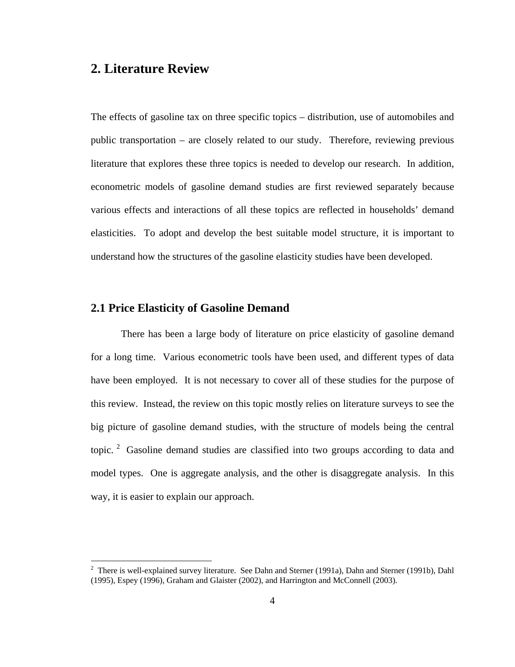# **2. Literature Review**

The effects of gasoline tax on three specific topics – distribution, use of automobiles and public transportation – are closely related to our study. Therefore, reviewing previous literature that explores these three topics is needed to develop our research. In addition, econometric models of gasoline demand studies are first reviewed separately because various effects and interactions of all these topics are reflected in households' demand elasticities. To adopt and develop the best suitable model structure, it is important to understand how the structures of the gasoline elasticity studies have been developed.

### **2.1 Price Elasticity of Gasoline Demand**

 $\overline{a}$ 

There has been a large body of literature on price elasticity of gasoline demand for a long time. Various econometric tools have been used, and different types of data have been employed. It is not necessary to cover all of these studies for the purpose of this review. Instead, the review on this topic mostly relies on literature surveys to see the big picture of gasoline demand studies, with the structure of models being the central topic.<sup>[2](#page-12-0)</sup> Gasoline demand studies are classified into two groups according to data and model types. One is aggregate analysis, and the other is disaggregate analysis. In this way, it is easier to explain our approach.

<span id="page-12-0"></span><sup>&</sup>lt;sup>2</sup> There is well-explained survey literature. See Dahn and Sterner (1991a), Dahn and Sterner (1991b), Dahl (1995), Espey (1996), Graham and Glaister (2002), and Harrington and McConnell (2003).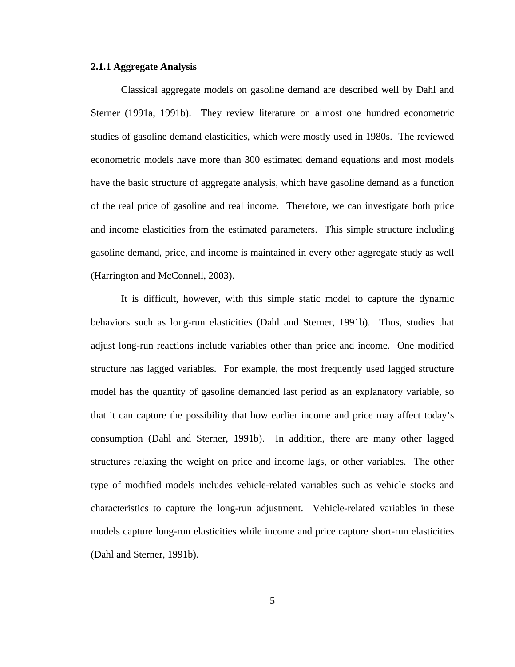#### **2.1.1 Aggregate Analysis**

Classical aggregate models on gasoline demand are described well by Dahl and Sterner (1991a, 1991b). They review literature on almost one hundred econometric studies of gasoline demand elasticities, which were mostly used in 1980s. The reviewed econometric models have more than 300 estimated demand equations and most models have the basic structure of aggregate analysis, which have gasoline demand as a function of the real price of gasoline and real income. Therefore, we can investigate both price and income elasticities from the estimated parameters. This simple structure including gasoline demand, price, and income is maintained in every other aggregate study as well (Harrington and McConnell, 2003).

It is difficult, however, with this simple static model to capture the dynamic behaviors such as long-run elasticities (Dahl and Sterner, 1991b). Thus, studies that adjust long-run reactions include variables other than price and income. One modified structure has lagged variables. For example, the most frequently used lagged structure model has the quantity of gasoline demanded last period as an explanatory variable, so that it can capture the possibility that how earlier income and price may affect today's consumption (Dahl and Sterner, 1991b). In addition, there are many other lagged structures relaxing the weight on price and income lags, or other variables. The other type of modified models includes vehicle-related variables such as vehicle stocks and characteristics to capture the long-run adjustment. Vehicle-related variables in these models capture long-run elasticities while income and price capture short-run elasticities (Dahl and Sterner, 1991b).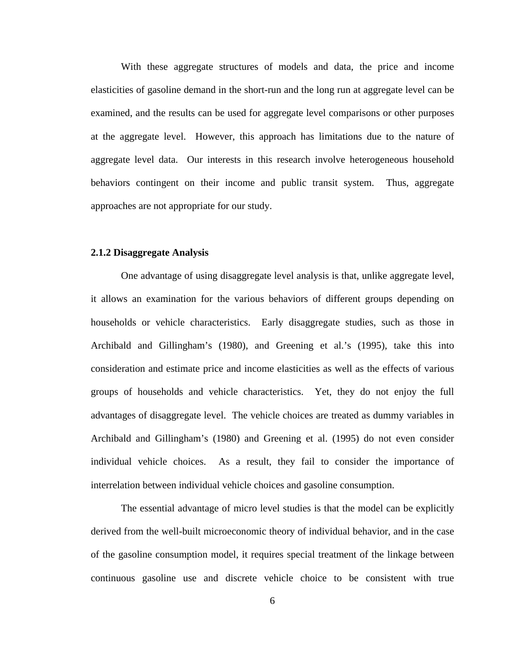With these aggregate structures of models and data, the price and income elasticities of gasoline demand in the short-run and the long run at aggregate level can be examined, and the results can be used for aggregate level comparisons or other purposes at the aggregate level. However, this approach has limitations due to the nature of aggregate level data. Our interests in this research involve heterogeneous household behaviors contingent on their income and public transit system. Thus, aggregate approaches are not appropriate for our study.

#### **2.1.2 Disaggregate Analysis**

One advantage of using disaggregate level analysis is that, unlike aggregate level, it allows an examination for the various behaviors of different groups depending on households or vehicle characteristics. Early disaggregate studies, such as those in Archibald and Gillingham's (1980), and Greening et al.'s (1995), take this into consideration and estimate price and income elasticities as well as the effects of various groups of households and vehicle characteristics. Yet, they do not enjoy the full advantages of disaggregate level. The vehicle choices are treated as dummy variables in Archibald and Gillingham's (1980) and Greening et al. (1995) do not even consider individual vehicle choices. As a result, they fail to consider the importance of interrelation between individual vehicle choices and gasoline consumption.

The essential advantage of micro level studies is that the model can be explicitly derived from the well-built microeconomic theory of individual behavior, and in the case of the gasoline consumption model, it requires special treatment of the linkage between continuous gasoline use and discrete vehicle choice to be consistent with true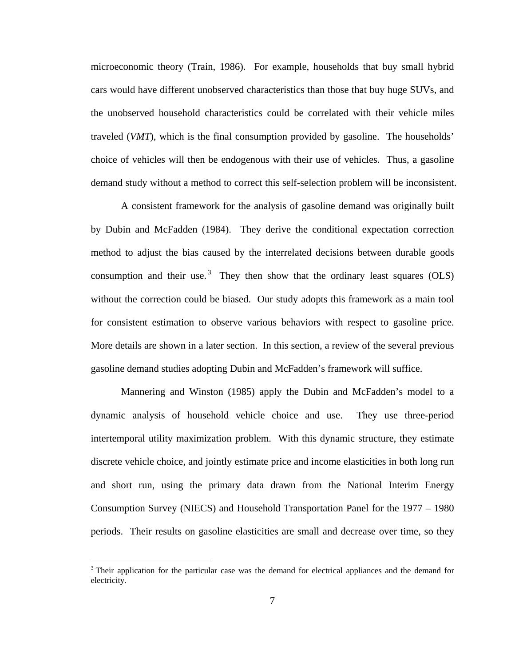microeconomic theory (Train, 1986). For example, households that buy small hybrid cars would have different unobserved characteristics than those that buy huge SUVs, and the unobserved household characteristics could be correlated with their vehicle miles traveled (*VMT*), which is the final consumption provided by gasoline. The households' choice of vehicles will then be endogenous with their use of vehicles. Thus, a gasoline demand study without a method to correct this self-selection problem will be inconsistent.

A consistent framework for the analysis of gasoline demand was originally built by Dubin and McFadden (1984). They derive the conditional expectation correction method to adjust the bias caused by the interrelated decisions between durable goods consumption and their use.<sup>[3](#page-15-0)</sup> They then show that the ordinary least squares  $(OLS)$ without the correction could be biased. Our study adopts this framework as a main tool for consistent estimation to observe various behaviors with respect to gasoline price. More details are shown in a later section. In this section, a review of the several previous gasoline demand studies adopting Dubin and McFadden's framework will suffice.

 Mannering and Winston (1985) apply the Dubin and McFadden's model to a dynamic analysis of household vehicle choice and use. They use three-period intertemporal utility maximization problem. With this dynamic structure, they estimate discrete vehicle choice, and jointly estimate price and income elasticities in both long run and short run, using the primary data drawn from the National Interim Energy Consumption Survey (NIECS) and Household Transportation Panel for the 1977 – 1980 periods. Their results on gasoline elasticities are small and decrease over time, so they

<u>.</u>

<span id="page-15-0"></span><sup>&</sup>lt;sup>3</sup> Their application for the particular case was the demand for electrical appliances and the demand for electricity.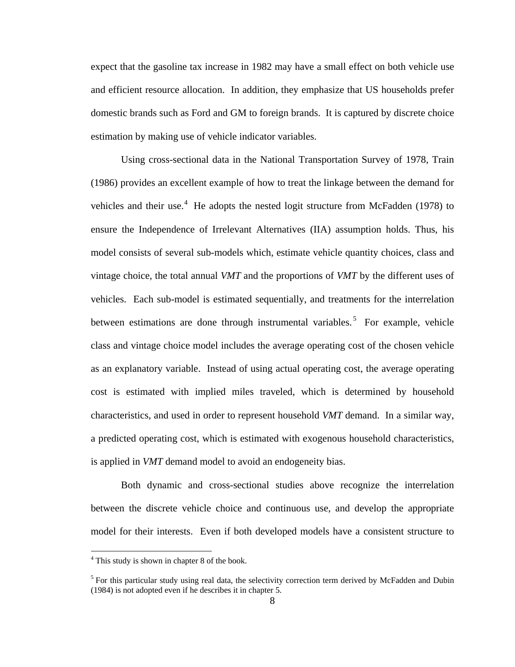expect that the gasoline tax increase in 1982 may have a small effect on both vehicle use and efficient resource allocation. In addition, they emphasize that US households prefer domestic brands such as Ford and GM to foreign brands. It is captured by discrete choice estimation by making use of vehicle indicator variables.

 Using cross-sectional data in the National Transportation Survey of 1978, Train (1986) provides an excellent example of how to treat the linkage between the demand for vehicles and their use.<sup>[4](#page-16-0)</sup> He adopts the nested logit structure from McFadden (1978) to ensure the Independence of Irrelevant Alternatives (IIA) assumption holds. Thus, his model consists of several sub-models which, estimate vehicle quantity choices, class and vintage choice, the total annual *VMT* and the proportions of *VMT* by the different uses of vehicles. Each sub-model is estimated sequentially, and treatments for the interrelation between estimations are done through instrumental variables.<sup>[5](#page-16-1)</sup> For example, vehicle class and vintage choice model includes the average operating cost of the chosen vehicle as an explanatory variable. Instead of using actual operating cost, the average operating cost is estimated with implied miles traveled, which is determined by household characteristics, and used in order to represent household *VMT* demand. In a similar way, a predicted operating cost, which is estimated with exogenous household characteristics, is applied in *VMT* demand model to avoid an endogeneity bias.

 Both dynamic and cross-sectional studies above recognize the interrelation between the discrete vehicle choice and continuous use, and develop the appropriate model for their interests. Even if both developed models have a consistent structure to

1

<span id="page-16-0"></span><sup>&</sup>lt;sup>4</sup> This study is shown in chapter 8 of the book.

<span id="page-16-1"></span><sup>&</sup>lt;sup>5</sup> For this particular study using real data, the selectivity correction term derived by McFadden and Dubin (1984) is not adopted even if he describes it in chapter 5.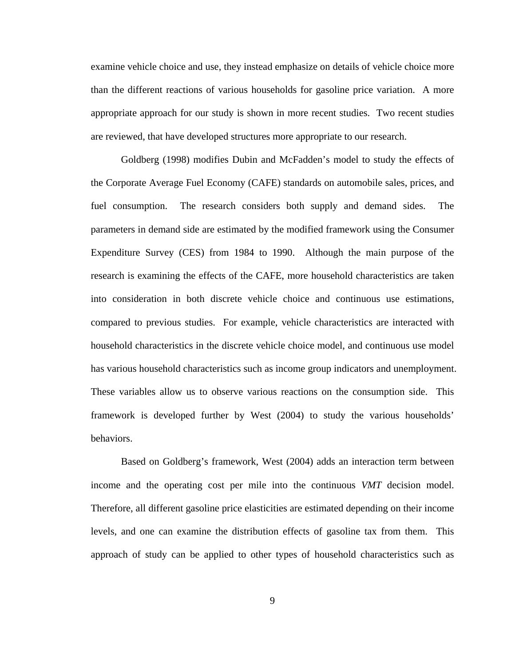examine vehicle choice and use, they instead emphasize on details of vehicle choice more than the different reactions of various households for gasoline price variation. A more appropriate approach for our study is shown in more recent studies. Two recent studies are reviewed, that have developed structures more appropriate to our research.

 Goldberg (1998) modifies Dubin and McFadden's model to study the effects of the Corporate Average Fuel Economy (CAFE) standards on automobile sales, prices, and fuel consumption. The research considers both supply and demand sides. The parameters in demand side are estimated by the modified framework using the Consumer Expenditure Survey (CES) from 1984 to 1990. Although the main purpose of the research is examining the effects of the CAFE, more household characteristics are taken into consideration in both discrete vehicle choice and continuous use estimations, compared to previous studies. For example, vehicle characteristics are interacted with household characteristics in the discrete vehicle choice model, and continuous use model has various household characteristics such as income group indicators and unemployment. These variables allow us to observe various reactions on the consumption side. This framework is developed further by West (2004) to study the various households' behaviors.

 Based on Goldberg's framework, West (2004) adds an interaction term between income and the operating cost per mile into the continuous *VMT* decision model. Therefore, all different gasoline price elasticities are estimated depending on their income levels, and one can examine the distribution effects of gasoline tax from them. This approach of study can be applied to other types of household characteristics such as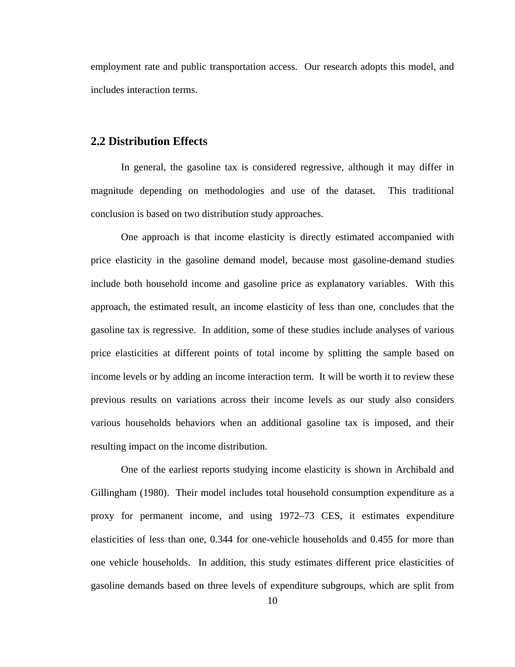employment rate and public transportation access. Our research adopts this model, and includes interaction terms.

#### **2.2 Distribution Effects**

 In general, the gasoline tax is considered regressive, although it may differ in magnitude depending on methodologies and use of the dataset. This traditional conclusion is based on two distribution study approaches.

One approach is that income elasticity is directly estimated accompanied with price elasticity in the gasoline demand model, because most gasoline-demand studies include both household income and gasoline price as explanatory variables. With this approach, the estimated result, an income elasticity of less than one, concludes that the gasoline tax is regressive. In addition, some of these studies include analyses of various price elasticities at different points of total income by splitting the sample based on income levels or by adding an income interaction term. It will be worth it to review these previous results on variations across their income levels as our study also considers various households behaviors when an additional gasoline tax is imposed, and their resulting impact on the income distribution.

One of the earliest reports studying income elasticity is shown in Archibald and Gillingham (1980). Their model includes total household consumption expenditure as a proxy for permanent income, and using 1972–73 CES, it estimates expenditure elasticities of less than one, 0.344 for one-vehicle households and 0.455 for more than one vehicle households. In addition, this study estimates different price elasticities of gasoline demands based on three levels of expenditure subgroups, which are split from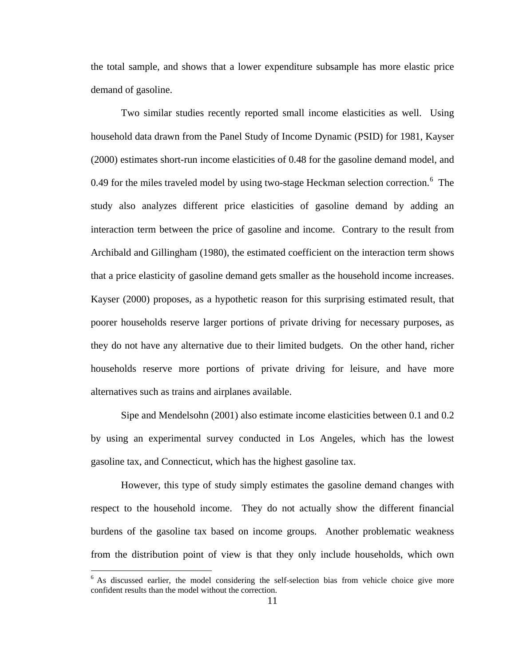the total sample, and shows that a lower expenditure subsample has more elastic price demand of gasoline.

Two similar studies recently reported small income elasticities as well. Using household data drawn from the Panel Study of Income Dynamic (PSID) for 1981, Kayser (2000) estimates short-run income elasticities of 0.48 for the gasoline demand model, and 0.49 for the miles traveled model by using two-stage Heckman selection correction. $6$  The study also analyzes different price elasticities of gasoline demand by adding an interaction term between the price of gasoline and income. Contrary to the result from Archibald and Gillingham (1980), the estimated coefficient on the interaction term shows that a price elasticity of gasoline demand gets smaller as the household income increases. Kayser (2000) proposes, as a hypothetic reason for this surprising estimated result, that poorer households reserve larger portions of private driving for necessary purposes, as they do not have any alternative due to their limited budgets. On the other hand, richer households reserve more portions of private driving for leisure, and have more alternatives such as trains and airplanes available.

Sipe and Mendelsohn (2001) also estimate income elasticities between 0.1 and 0.2 by using an experimental survey conducted in Los Angeles, which has the lowest gasoline tax, and Connecticut, which has the highest gasoline tax.

However, this type of study simply estimates the gasoline demand changes with respect to the household income. They do not actually show the different financial burdens of the gasoline tax based on income groups. Another problematic weakness from the distribution point of view is that they only include households, which own

<span id="page-19-0"></span> $6$  As discussed earlier, the model considering the self-selection bias from vehicle choice give more confident results than the model without the correction.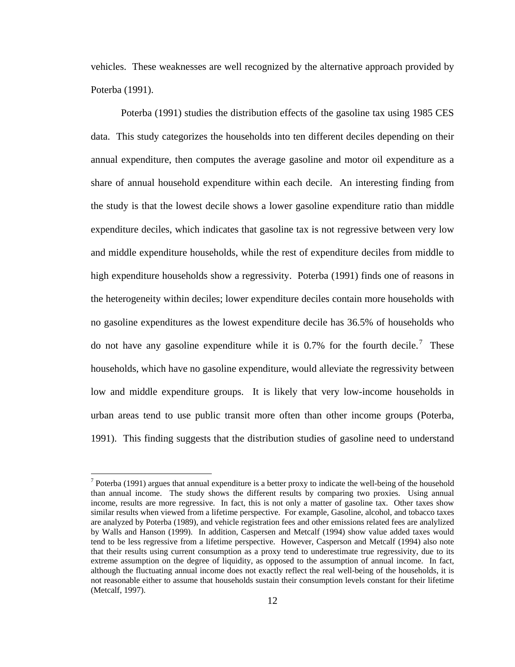vehicles. These weaknesses are well recognized by the alternative approach provided by Poterba (1991).

Poterba (1991) studies the distribution effects of the gasoline tax using 1985 CES data. This study categorizes the households into ten different deciles depending on their annual expenditure, then computes the average gasoline and motor oil expenditure as a share of annual household expenditure within each decile. An interesting finding from the study is that the lowest decile shows a lower gasoline expenditure ratio than middle expenditure deciles, which indicates that gasoline tax is not regressive between very low and middle expenditure households, while the rest of expenditure deciles from middle to high expenditure households show a regressivity. Poterba (1991) finds one of reasons in the heterogeneity within deciles; lower expenditure deciles contain more households with no gasoline expenditures as the lowest expenditure decile has 36.5% of households who do not have any gasoline expenditure while it is 0.[7](#page-20-0)% for the fourth decile.<sup>7</sup> These households, which have no gasoline expenditure, would alleviate the regressivity between low and middle expenditure groups. It is likely that very low-income households in urban areas tend to use public transit more often than other income groups (Poterba, 1991). This finding suggests that the distribution studies of gasoline need to understand

<u>.</u>

<span id="page-20-0"></span><sup>&</sup>lt;sup>7</sup> Poterba (1991) argues that annual expenditure is a better proxy to indicate the well-being of the household than annual income. The study shows the different results by comparing two proxies. Using annual income, results are more regressive. In fact, this is not only a matter of gasoline tax. Other taxes show similar results when viewed from a lifetime perspective. For example, Gasoline, alcohol, and tobacco taxes are analyzed by Poterba (1989), and vehicle registration fees and other emissions related fees are analylized by Walls and Hanson (1999). In addition, Caspersen and Metcalf (1994) show value added taxes would tend to be less regressive from a lifetime perspective. However, Casperson and Metcalf (1994) also note that their results using current consumption as a proxy tend to underestimate true regressivity, due to its extreme assumption on the degree of liquidity, as opposed to the assumption of annual income. In fact, although the fluctuating annual income does not exactly reflect the real well-being of the households, it is not reasonable either to assume that households sustain their consumption levels constant for their lifetime (Metcalf, 1997).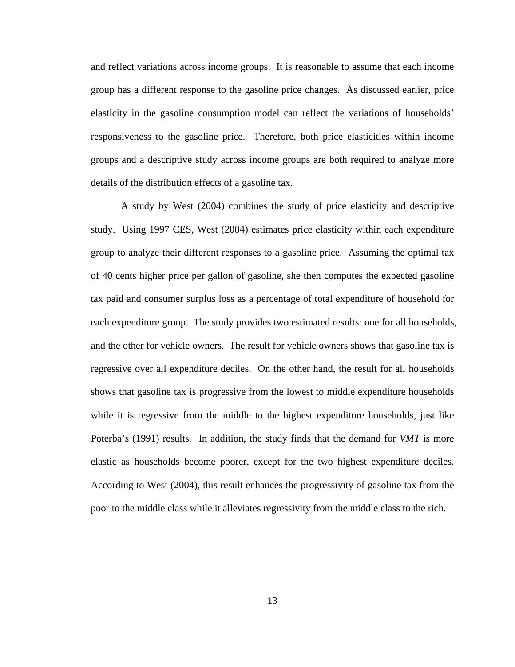and reflect variations across income groups. It is reasonable to assume that each income group has a different response to the gasoline price changes. As discussed earlier, price elasticity in the gasoline consumption model can reflect the variations of households' responsiveness to the gasoline price. Therefore, both price elasticities within income groups and a descriptive study across income groups are both required to analyze more details of the distribution effects of a gasoline tax.

A study by West (2004) combines the study of price elasticity and descriptive study. Using 1997 CES, West (2004) estimates price elasticity within each expenditure group to analyze their different responses to a gasoline price. Assuming the optimal tax of 40 cents higher price per gallon of gasoline, she then computes the expected gasoline tax paid and consumer surplus loss as a percentage of total expenditure of household for each expenditure group. The study provides two estimated results: one for all households, and the other for vehicle owners. The result for vehicle owners shows that gasoline tax is regressive over all expenditure deciles. On the other hand, the result for all households shows that gasoline tax is progressive from the lowest to middle expenditure households while it is regressive from the middle to the highest expenditure households, just like Poterba's (1991) results. In addition, the study finds that the demand for *VMT* is more elastic as households become poorer, except for the two highest expenditure deciles. According to West (2004), this result enhances the progressivity of gasoline tax from the poor to the middle class while it alleviates regressivity from the middle class to the rich.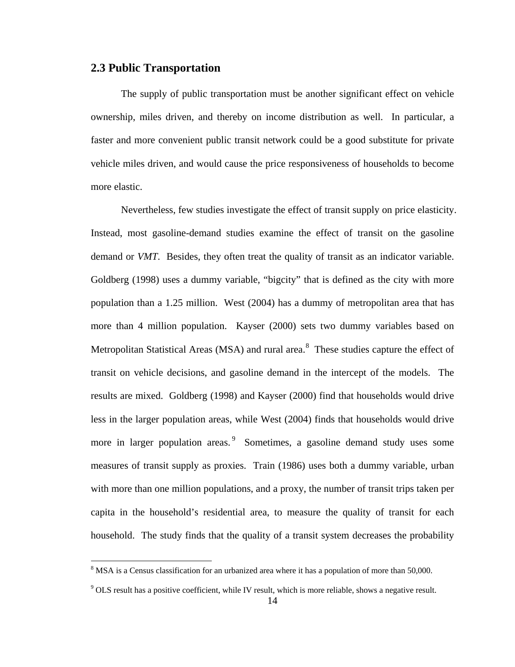#### **2.3 Public Transportation**

The supply of public transportation must be another significant effect on vehicle ownership, miles driven, and thereby on income distribution as well. In particular, a faster and more convenient public transit network could be a good substitute for private vehicle miles driven, and would cause the price responsiveness of households to become more elastic.

Nevertheless, few studies investigate the effect of transit supply on price elasticity. Instead, most gasoline-demand studies examine the effect of transit on the gasoline demand or *VMT*. Besides, they often treat the quality of transit as an indicator variable. Goldberg (1998) uses a dummy variable, "bigcity" that is defined as the city with more population than a 1.25 million. West (2004) has a dummy of metropolitan area that has more than 4 million population. Kayser (2000) sets two dummy variables based on Metropolitan Statistical Areas (MSA) and rural area.<sup>[8](#page-22-0)</sup> These studies capture the effect of transit on vehicle decisions, and gasoline demand in the intercept of the models. The results are mixed. Goldberg (1998) and Kayser (2000) find that households would drive less in the larger population areas, while West (2004) finds that households would drive more in larger population areas.<sup>[9](#page-22-1)</sup> Sometimes, a gasoline demand study uses some measures of transit supply as proxies. Train (1986) uses both a dummy variable, urban with more than one million populations, and a proxy, the number of transit trips taken per capita in the household's residential area, to measure the quality of transit for each household. The study finds that the quality of a transit system decreases the probability

<span id="page-22-0"></span><sup>&</sup>lt;sup>8</sup> MSA is a Census classification for an urbanized area where it has a population of more than 50,000.

<span id="page-22-1"></span> $9$  OLS result has a positive coefficient, while IV result, which is more reliable, shows a negative result.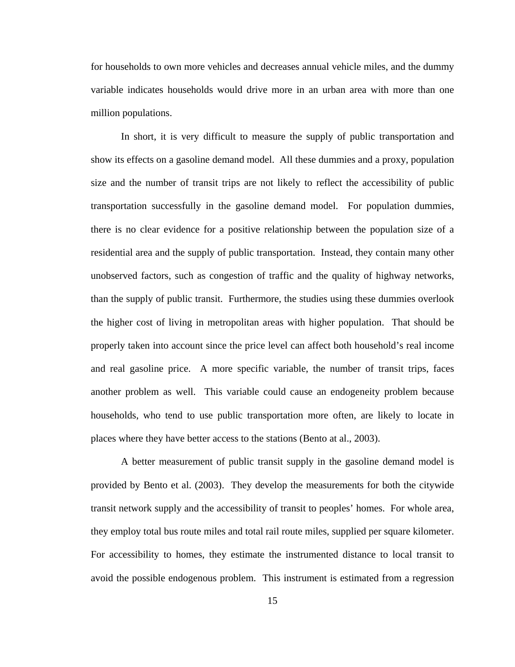for households to own more vehicles and decreases annual vehicle miles, and the dummy variable indicates households would drive more in an urban area with more than one million populations.

In short, it is very difficult to measure the supply of public transportation and show its effects on a gasoline demand model. All these dummies and a proxy, population size and the number of transit trips are not likely to reflect the accessibility of public transportation successfully in the gasoline demand model. For population dummies, there is no clear evidence for a positive relationship between the population size of a residential area and the supply of public transportation. Instead, they contain many other unobserved factors, such as congestion of traffic and the quality of highway networks, than the supply of public transit. Furthermore, the studies using these dummies overlook the higher cost of living in metropolitan areas with higher population. That should be properly taken into account since the price level can affect both household's real income and real gasoline price. A more specific variable, the number of transit trips, faces another problem as well. This variable could cause an endogeneity problem because households, who tend to use public transportation more often, are likely to locate in places where they have better access to the stations (Bento at al., 2003).

A better measurement of public transit supply in the gasoline demand model is provided by Bento et al. (2003). They develop the measurements for both the citywide transit network supply and the accessibility of transit to peoples' homes. For whole area, they employ total bus route miles and total rail route miles, supplied per square kilometer. For accessibility to homes, they estimate the instrumented distance to local transit to avoid the possible endogenous problem. This instrument is estimated from a regression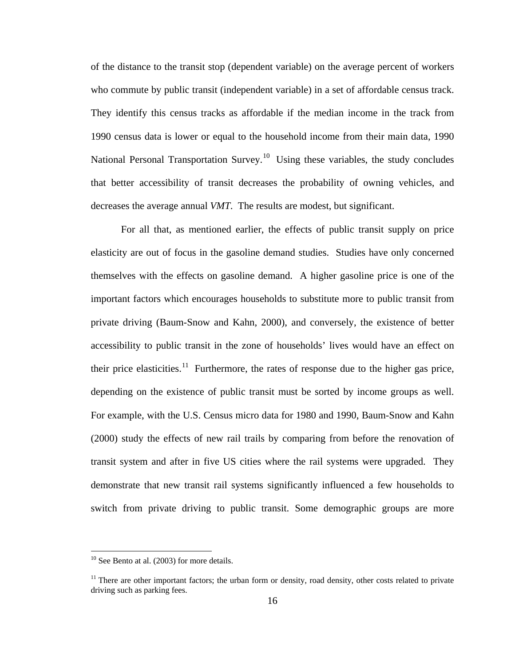of the distance to the transit stop (dependent variable) on the average percent of workers who commute by public transit (independent variable) in a set of affordable census track. They identify this census tracks as affordable if the median income in the track from 1990 census data is lower or equal to the household income from their main data, 1990 National Personal Transportation Survey.<sup>[10](#page-24-0)</sup> Using these variables, the study concludes that better accessibility of transit decreases the probability of owning vehicles, and decreases the average annual *VMT*. The results are modest, but significant.

For all that, as mentioned earlier, the effects of public transit supply on price elasticity are out of focus in the gasoline demand studies. Studies have only concerned themselves with the effects on gasoline demand. A higher gasoline price is one of the important factors which encourages households to substitute more to public transit from private driving (Baum-Snow and Kahn, 2000), and conversely, the existence of better accessibility to public transit in the zone of households' lives would have an effect on their price elasticities.<sup>[1](#page-24-1)1</sup> Furthermore, the rates of response due to the higher gas price, depending on the existence of public transit must be sorted by income groups as well. For example, with the U.S. Census micro data for 1980 and 1990, Baum-Snow and Kahn (2000) study the effects of new rail trails by comparing from before the renovation of transit system and after in five US cities where the rail systems were upgraded. They demonstrate that new transit rail systems significantly influenced a few households to switch from private driving to public transit. Some demographic groups are more

1

<span id="page-24-0"></span> $10$  See Bento at al. (2003) for more details.

<span id="page-24-1"></span><sup>&</sup>lt;sup>11</sup> There are other important factors; the urban form or density, road density, other costs related to private driving such as parking fees.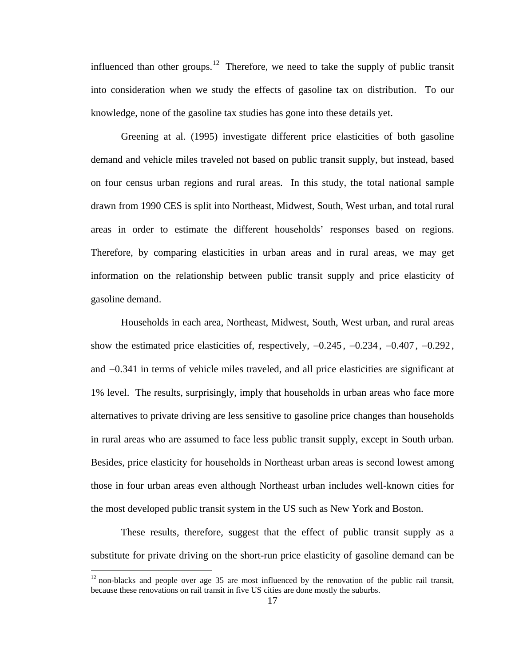influenced than other groups.<sup>[1](#page-25-0)2</sup> Therefore, we need to take the supply of public transit into consideration when we study the effects of gasoline tax on distribution. To our knowledge, none of the gasoline tax studies has gone into these details yet.

Greening at al. (1995) investigate different price elasticities of both gasoline demand and vehicle miles traveled not based on public transit supply, but instead, based on four census urban regions and rural areas. In this study, the total national sample drawn from 1990 CES is split into Northeast, Midwest, South, West urban, and total rural areas in order to estimate the different households' responses based on regions. Therefore, by comparing elasticities in urban areas and in rural areas, we may get information on the relationship between public transit supply and price elasticity of gasoline demand.

Households in each area, Northeast, Midwest, South, West urban, and rural areas show the estimated price elasticities of, respectively,  $-0.245$ ,  $-0.234$ ,  $-0.407$ ,  $-0.292$ , and −0.341 in terms of vehicle miles traveled, and all price elasticities are significant at 1% level. The results, surprisingly, imply that households in urban areas who face more alternatives to private driving are less sensitive to gasoline price changes than households in rural areas who are assumed to face less public transit supply, except in South urban. Besides, price elasticity for households in Northeast urban areas is second lowest among those in four urban areas even although Northeast urban includes well-known cities for the most developed public transit system in the US such as New York and Boston.

These results, therefore, suggest that the effect of public transit supply as a substitute for private driving on the short-run price elasticity of gasoline demand can be

1

<span id="page-25-0"></span> $12$  non-blacks and people over age 35 are most influenced by the renovation of the public rail transit, because these renovations on rail transit in five US cities are done mostly the suburbs.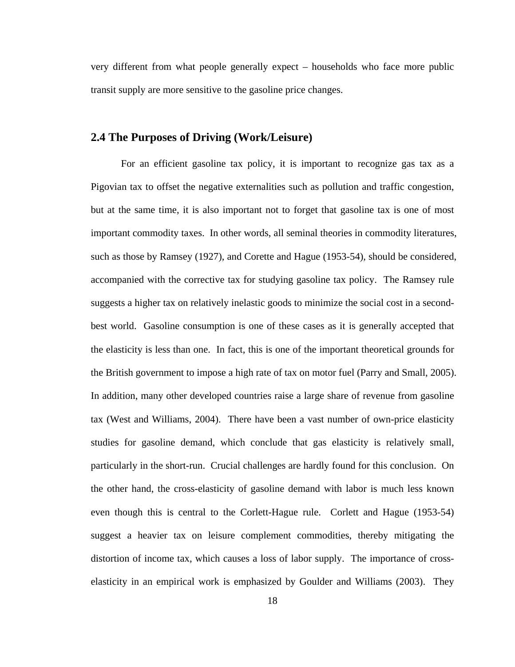very different from what people generally expect – households who face more public transit supply are more sensitive to the gasoline price changes.

### **2.4 The Purposes of Driving (Work/Leisure)**

For an efficient gasoline tax policy, it is important to recognize gas tax as a Pigovian tax to offset the negative externalities such as pollution and traffic congestion, but at the same time, it is also important not to forget that gasoline tax is one of most important commodity taxes. In other words, all seminal theories in commodity literatures, such as those by Ramsey (1927), and Corette and Hague (1953-54), should be considered, accompanied with the corrective tax for studying gasoline tax policy. The Ramsey rule suggests a higher tax on relatively inelastic goods to minimize the social cost in a secondbest world. Gasoline consumption is one of these cases as it is generally accepted that the elasticity is less than one. In fact, this is one of the important theoretical grounds for the British government to impose a high rate of tax on motor fuel (Parry and Small, 2005). In addition, many other developed countries raise a large share of revenue from gasoline tax (West and Williams, 2004). There have been a vast number of own-price elasticity studies for gasoline demand, which conclude that gas elasticity is relatively small, particularly in the short-run. Crucial challenges are hardly found for this conclusion. On the other hand, the cross-elasticity of gasoline demand with labor is much less known even though this is central to the Corlett-Hague rule. Corlett and Hague (1953-54) suggest a heavier tax on leisure complement commodities, thereby mitigating the distortion of income tax, which causes a loss of labor supply. The importance of crosselasticity in an empirical work is emphasized by Goulder and Williams (2003). They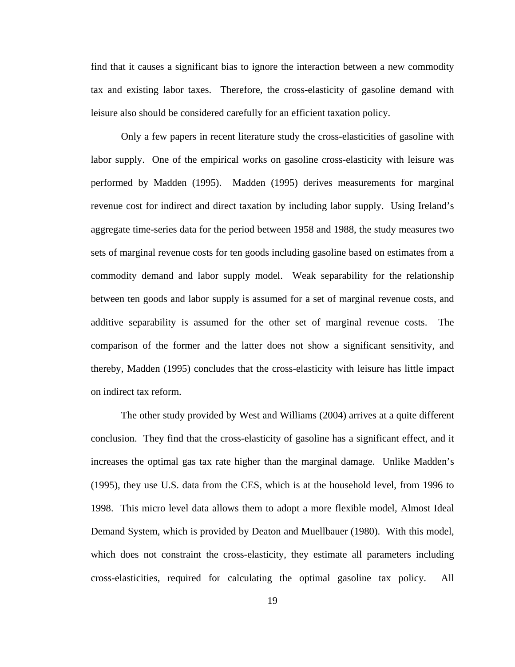find that it causes a significant bias to ignore the interaction between a new commodity tax and existing labor taxes. Therefore, the cross-elasticity of gasoline demand with leisure also should be considered carefully for an efficient taxation policy.

Only a few papers in recent literature study the cross-elasticities of gasoline with labor supply. One of the empirical works on gasoline cross-elasticity with leisure was performed by Madden (1995). Madden (1995) derives measurements for marginal revenue cost for indirect and direct taxation by including labor supply. Using Ireland's aggregate time-series data for the period between 1958 and 1988, the study measures two sets of marginal revenue costs for ten goods including gasoline based on estimates from a commodity demand and labor supply model. Weak separability for the relationship between ten goods and labor supply is assumed for a set of marginal revenue costs, and additive separability is assumed for the other set of marginal revenue costs. The comparison of the former and the latter does not show a significant sensitivity, and thereby, Madden (1995) concludes that the cross-elasticity with leisure has little impact on indirect tax reform.

 The other study provided by West and Williams (2004) arrives at a quite different conclusion. They find that the cross-elasticity of gasoline has a significant effect, and it increases the optimal gas tax rate higher than the marginal damage. Unlike Madden's (1995), they use U.S. data from the CES, which is at the household level, from 1996 to 1998. This micro level data allows them to adopt a more flexible model, Almost Ideal Demand System, which is provided by Deaton and Muellbauer (1980). With this model, which does not constraint the cross-elasticity, they estimate all parameters including cross-elasticities, required for calculating the optimal gasoline tax policy. All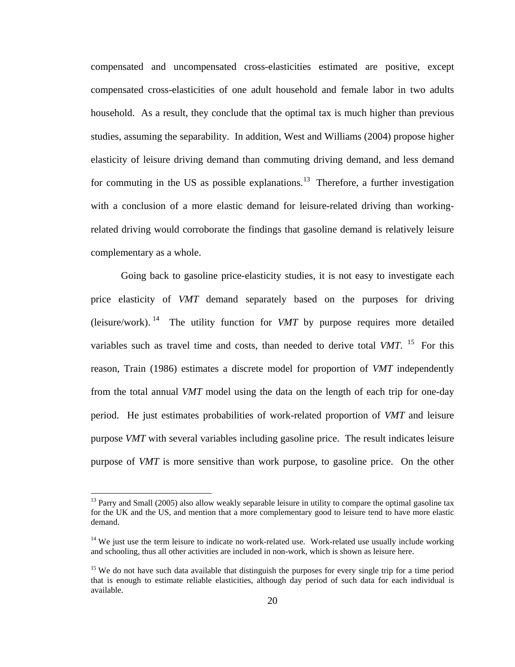compensated and uncompensated cross-elasticities estimated are positive, except compensated cross-elasticities of one adult household and female labor in two adults household. As a result, they conclude that the optimal tax is much higher than previous studies, assuming the separability. In addition, West and Williams (2004) propose higher elasticity of leisure driving demand than commuting driving demand, and less demand for commuting in the US as possible explanations.<sup>[13](#page-28-0)</sup> Therefore, a further investigation with a conclusion of a more elastic demand for leisure-related driving than workingrelated driving would corroborate the findings that gasoline demand is relatively leisure complementary as a whole.

Going back to gasoline price-elasticity studies, it is not easy to investigate each price elasticity of *VMT* demand separately based on the purposes for driving (leisure/work). <sup>[14](#page-28-1)</sup> The utility function for *VMT* by purpose requires more detailed variables such as travel time and costs, than needed to derive total *VMT*. <sup>[15](#page-28-2)</sup> For this reason, Train (1986) estimates a discrete model for proportion of *VMT* independently from the total annual *VMT* model using the data on the length of each trip for one-day period. He just estimates probabilities of work-related proportion of *VMT* and leisure purpose *VMT* with several variables including gasoline price. The result indicates leisure purpose of *VMT* is more sensitive than work purpose, to gasoline price. On the other

1

<span id="page-28-0"></span> $13$  Parry and Small (2005) also allow weakly separable leisure in utility to compare the optimal gasoline tax for the UK and the US, and mention that a more complementary good to leisure tend to have more elastic demand.

<span id="page-28-1"></span> $14$  We just use the term leisure to indicate no work-related use. Work-related use usually include working and schooling, thus all other activities are included in non-work, which is shown as leisure here.

<span id="page-28-2"></span><sup>&</sup>lt;sup>15</sup> We do not have such data available that distinguish the purposes for every single trip for a time period that is enough to estimate reliable elasticities, although day period of such data for each individual is available.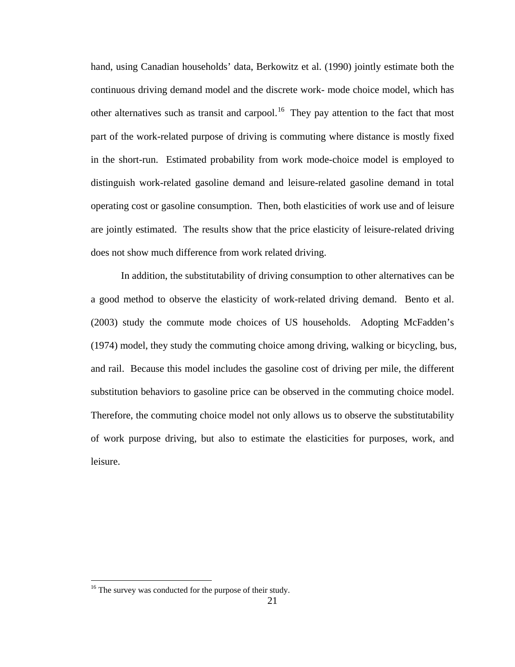hand, using Canadian households' data, Berkowitz et al. (1990) jointly estimate both the continuous driving demand model and the discrete work- mode choice model, which has other alternatives such as transit and carpool.<sup>[1](#page-29-0)6</sup> They pay attention to the fact that most part of the work-related purpose of driving is commuting where distance is mostly fixed in the short-run. Estimated probability from work mode-choice model is employed to distinguish work-related gasoline demand and leisure-related gasoline demand in total operating cost or gasoline consumption. Then, both elasticities of work use and of leisure are jointly estimated. The results show that the price elasticity of leisure-related driving does not show much difference from work related driving.

In addition, the substitutability of driving consumption to other alternatives can be a good method to observe the elasticity of work-related driving demand. Bento et al. (2003) study the commute mode choices of US households. Adopting McFadden's (1974) model, they study the commuting choice among driving, walking or bicycling, bus, and rail. Because this model includes the gasoline cost of driving per mile, the different substitution behaviors to gasoline price can be observed in the commuting choice model. Therefore, the commuting choice model not only allows us to observe the substitutability of work purpose driving, but also to estimate the elasticities for purposes, work, and leisure.

<span id="page-29-0"></span><sup>&</sup>lt;sup>16</sup> The survey was conducted for the purpose of their study.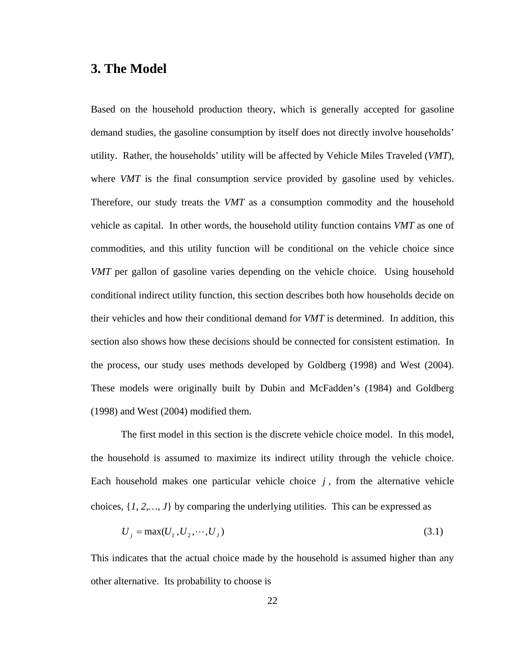### **3. The Model**

Based on the household production theory, which is generally accepted for gasoline demand studies, the gasoline consumption by itself does not directly involve households' utility. Rather, the households' utility will be affected by Vehicle Miles Traveled (*VMT*), where *VMT* is the final consumption service provided by gasoline used by vehicles. Therefore, our study treats the *VMT* as a consumption commodity and the household vehicle as capital. In other words, the household utility function contains *VMT* as one of commodities, and this utility function will be conditional on the vehicle choice since *VMT* per gallon of gasoline varies depending on the vehicle choice. Using household conditional indirect utility function, this section describes both how households decide on their vehicles and how their conditional demand for *VMT* is determined. In addition, this section also shows how these decisions should be connected for consistent estimation. In the process, our study uses methods developed by Goldberg (1998) and West (2004). These models were originally built by Dubin and McFadden's (1984) and Goldberg (1998) and West (2004) modified them.

The first model in this section is the discrete vehicle choice model. In this model, the household is assumed to maximize its indirect utility through the vehicle choice. Each household makes one particular vehicle choice  $j$ , from the alternative vehicle choices, {*1, 2,…, J*} by comparing the underlying utilities. This can be expressed as

$$
U_j = \max(U_1, U_2, \cdots, U_J) \tag{3.1}
$$

This indicates that the actual choice made by the household is assumed higher than any other alternative. Its probability to choose is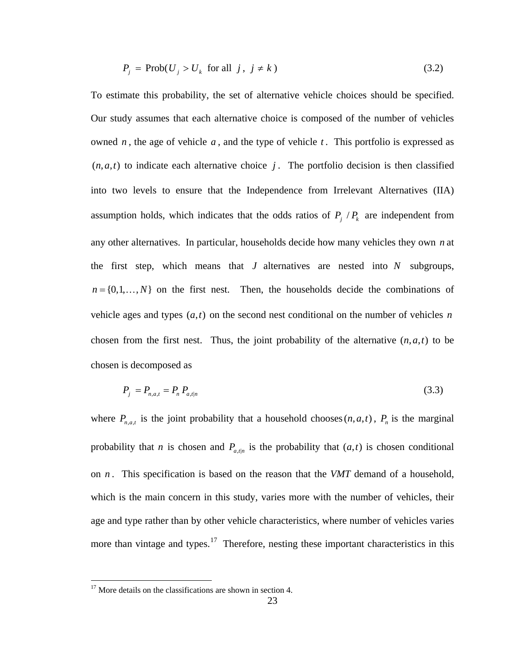$$
P_j = \text{Prob}(U_j > U_k \text{ for all } j, j \neq k) \tag{3.2}
$$

To estimate this probability, the set of alternative vehicle choices should be specified. Our study assumes that each alternative choice is composed of the number of vehicles owned *n* , the age of vehicle *a* , and the type of vehicle *t* . This portfolio is expressed as  $(n, a, t)$  to indicate each alternative choice *j*. The portfolio decision is then classified into two levels to ensure that the Independence from Irrelevant Alternatives (IIA) assumption holds, which indicates that the odds ratios of  $P_i / P_k$  are independent from any other alternatives. In particular, households decide how many vehicles they own *n* at the first step, which means that *J* alternatives are nested into *N* subgroups,  $n = \{0, 1, \ldots, N\}$  on the first nest. Then, the households decide the combinations of vehicle ages and types  $(a, t)$  on the second nest conditional on the number of vehicles *n* chosen from the first nest. Thus, the joint probability of the alternative  $(n, a, t)$  to be chosen is decomposed as

$$
P_j = P_{n,a,t} = P_n P_{a,t|n}
$$
\n(3.3)

where  $P_{n,a,t}$  is the joint probability that a household chooses  $(n, a, t)$ ,  $P_n$  is the marginal probability that *n* is chosen and  $P_{a,t|n}$  is the probability that  $(a, t)$  is chosen conditional on *n* . This specification is based on the reason that the *VMT* demand of a household, which is the main concern in this study, varies more with the number of vehicles, their age and type rather than by other vehicle characteristics, where number of vehicles varies more than vintage and types.<sup>[1](#page-31-0)7</sup> Therefore, nesting these important characteristics in this

<span id="page-31-0"></span> $17$  More details on the classifications are shown in section 4.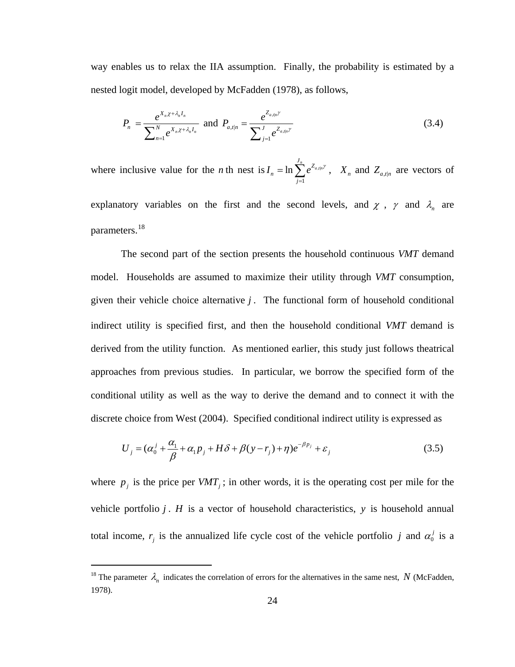way enables us to relax the IIA assumption. Finally, the probability is estimated by a nested logit model, developed by McFadden (1978), as follows,

$$
P_n = \frac{e^{X_n \chi + \lambda_n I_n}}{\sum_{n=1}^N e^{X_n \chi + \lambda_n I_n}} \text{ and } P_{a,t|n} = \frac{e^{Z_{a,t|n}\gamma}}{\sum_{j=1}^J e^{Z_{a,t|n}\gamma}}
$$
(3.4)

where inclusive value for the *n* th nest is  $I_n = \ln \sum e^{Z_{a,i}}$ 1  $\ln \sum_{n}^{\infty} e^{Z_{a,\text{min}}}$  $\frac{J_n}{\sqrt{2}}$  *Z n j*  $I_n = \ln \sum e^{Z_{a,\text{d}|n}}$  $=\ln \sum_{j=1}^{\infty} e^{Z_{a,j|n}\gamma}$ ,  $X_n$  and  $Z_{a,t|n}$  are vectors of

explanatory variables on the first and the second levels, and  $\chi$ ,  $\gamma$  and  $\lambda_n$  are parameters.[1](#page-32-0)8

 The second part of the section presents the household continuous *VMT* demand model. Households are assumed to maximize their utility through *VMT* consumption, given their vehicle choice alternative  $j$ . The functional form of household conditional indirect utility is specified first, and then the household conditional *VMT* demand is derived from the utility function. As mentioned earlier, this study just follows theatrical approaches from previous studies. In particular, we borrow the specified form of the conditional utility as well as the way to derive the demand and to connect it with the discrete choice from West (2004). Specified conditional indirect utility is expressed as

$$
U_j = (\alpha_0^j + \frac{\alpha_1}{\beta} + \alpha_1 p_j + H\delta + \beta(y - r_j) + \eta)e^{-\beta p_j} + \varepsilon_j
$$
\n(3.5)

where  $p_i$  is the price per  $VMT_i$ ; in other words, it is the operating cost per mile for the vehicle portfolio *j* . *H* is a vector of household characteristics, *y* is household annual total income,  $r_j$  is the annualized life cycle cost of the vehicle portfolio *j* and  $\alpha_0^j$  is a

<span id="page-32-0"></span><sup>&</sup>lt;sup>18</sup> The parameter  $\lambda_n$  indicates the correlation of errors for the alternatives in the same nest, N (McFadden, 1978).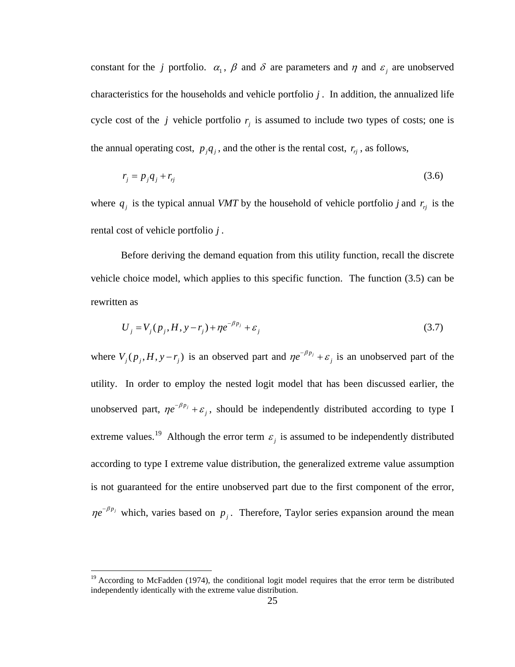constant for the *j* portfolio.  $\alpha_1$ ,  $\beta$  and  $\delta$  are parameters and  $\eta$  and  $\varepsilon_j$  are unobserved characteristics for the households and vehicle portfolio *j* . In addition, the annualized life cycle cost of the *j* vehicle portfolio  $r<sub>i</sub>$  is assumed to include two types of costs; one is the annual operating cost,  $p_j q_j$ , and the other is the rental cost,  $r_j$ , as follows,

$$
r_j = p_j q_j + r_{rj} \tag{3.6}
$$

where  $q_i$  is the typical annual *VMT* by the household of vehicle portfolio *j* and  $r_i$  is the rental cost of vehicle portfolio *j* .

Before deriving the demand equation from this utility function, recall the discrete vehicle choice model, which applies to this specific function. The function (3.5) can be rewritten as

$$
U_j = V_j(p_j, H, y - r_j) + \eta e^{-\beta p_j} + \varepsilon_j
$$
\n
$$
(3.7)
$$

where  $V_j(p_j, H, y - r_j)$  is an observed part and  $\eta e^{-\beta p_j} + \varepsilon_j$  is an unobserved part of the utility. In order to employ the nested logit model that has been discussed earlier, the unobserved part,  $\eta e^{-\beta p_j} + \varepsilon_j$ , should be independently distributed according to type I extreme values.<sup>[1](#page-33-0)9</sup> Although the error term  $\varepsilon$ <sub>*i*</sub> is assumed to be independently distributed according to type I extreme value distribution, the generalized extreme value assumption is not guaranteed for the entire unobserved part due to the first component of the error,  $\eta e^{-\beta p_j}$  which, varies based on  $p_j$ . Therefore, Taylor series expansion around the mean

<span id="page-33-0"></span> $19$  According to McFadden (1974), the conditional logit model requires that the error term be distributed independently identically with the extreme value distribution.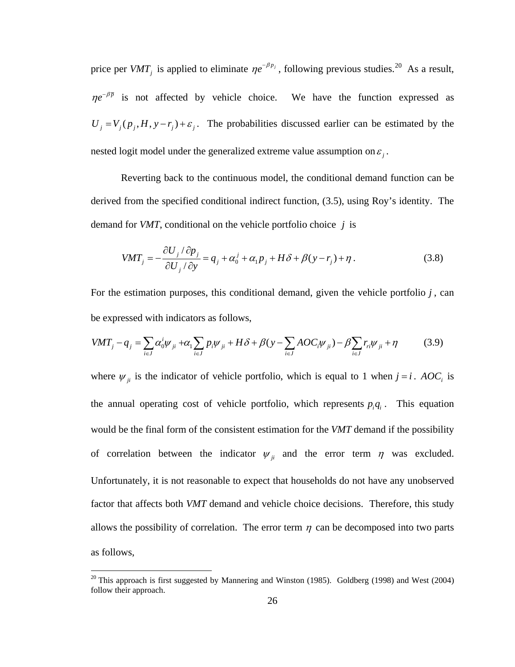price per *VMT<sub>i</sub>* is applied to eliminate  $\eta e^{-\beta p_j}$ , following previous studies.<sup>[20](#page-34-0)</sup> As a result,  $\eta e^{-\beta \bar{p}}$  is not affected by vehicle choice. We have the function expressed as  $U_i = V_i(p_i, H, y - r_i) + \varepsilon_i$ . The probabilities discussed earlier can be estimated by the nested logit model under the generalized extreme value assumption on  $\varepsilon_i$ .

Reverting back to the continuous model, the conditional demand function can be derived from the specified conditional indirect function, (3.5), using Roy's identity. The demand for *VMT*, conditional on the vehicle portfolio choice *j* is

$$
VMT_j = -\frac{\partial U_j/\partial p_j}{\partial U_j/\partial y} = q_j + \alpha_0^j + \alpha_1 p_j + H\delta + \beta(y - r_j) + \eta.
$$
 (3.8)

For the estimation purposes, this conditional demand, given the vehicle portfolio  $j$ , can be expressed with indicators as follows,

$$
VMT_j - q_j = \sum_{i \in J} \alpha_0^i \psi_{ji} + \alpha_1 \sum_{i \in J} p_i \psi_{ji} + H \delta + \beta (y - \sum_{i \in J} A O C_i \psi_{ji}) - \beta \sum_{i \in J} r_i \psi_{ji} + \eta
$$
 (3.9)

where  $\psi_{ji}$  is the indicator of vehicle portfolio, which is equal to 1 when  $j = i$ . *AOC<sub>i</sub>* is the annual operating cost of vehicle portfolio, which represents  $p_i q_i$ . This equation would be the final form of the consistent estimation for the *VMT* demand if the possibility of correlation between the indicator  $\psi_{ji}$  and the error term  $\eta$  was excluded. Unfortunately, it is not reasonable to expect that households do not have any unobserved factor that affects both *VMT* demand and vehicle choice decisions. Therefore, this study allows the possibility of correlation. The error term  $\eta$  can be decomposed into two parts as follows,

1

<span id="page-34-0"></span> $20$  This approach is first suggested by Mannering and Winston (1985). Goldberg (1998) and West (2004) follow their approach.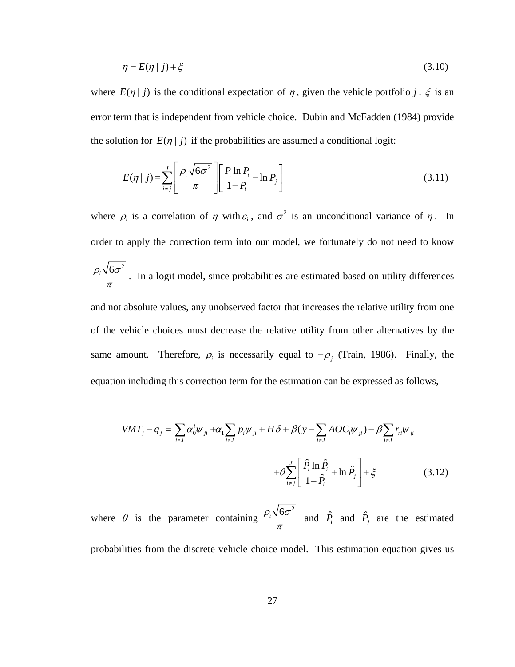$$
\eta = E(\eta \mid j) + \xi \tag{3.10}
$$

where  $E(\eta | j)$  is the conditional expectation of  $\eta$ , given the vehicle portfolio *j*.  $\xi$  is an error term that is independent from vehicle choice. Dubin and McFadden (1984) provide the solution for  $E(\eta | j)$  if the probabilities are assumed a conditional logit:

$$
E(\eta \mid j) = \sum_{i \neq j}^{J} \left[ \frac{\rho_i \sqrt{6\sigma^2}}{\pi} \right] \left[ \frac{P_i \ln P_i}{1 - P_i} - \ln P_j \right]
$$
(3.11)

where  $\rho_i$  is a correlation of  $\eta$  with  $\varepsilon_i$ , and  $\sigma^2$  is an unconditional variance of  $\eta$ . In order to apply the correction term into our model, we fortunately do not need to know  $\rho_{i} \sqrt{6\sigma^{2}}$  $\frac{1}{\pi}$ . In a logit model, since probabilities are estimated based on utility differences and not absolute values, any unobserved factor that increases the relative utility from one of the vehicle choices must decrease the relative utility from other alternatives by the same amount. Therefore,  $\rho_i$  is necessarily equal to  $-\rho_j$  (Train, 1986). Finally, the equation including this correction term for the estimation can be expressed as follows,

$$
VMT_j - q_j = \sum_{i \in J} \alpha_0^i \psi_{ji} + \alpha_1 \sum_{i \in J} p_i \psi_{ji} + H \delta + \beta (y - \sum_{i \in J} A O C_i \psi_{ji}) - \beta \sum_{i \in J} r_{ri} \psi_{ji}
$$
  
+ 
$$
\theta \sum_{i \neq j}^{J} \left[ \frac{\hat{P}_i \ln \hat{P}_i}{1 - \hat{P}_i} + \ln \hat{P}_j \right] + \xi
$$
(3.12)

where  $\theta$  is the parameter containing  $\frac{\rho_i \sqrt{6\sigma^2}}{2\sigma_i^2}$  $\frac{\partial \sigma}{\partial x}$  and  $\hat{P}_i$  and  $\hat{P}_j$  are the estimated

probabilities from the discrete vehicle choice model. This estimation equation gives us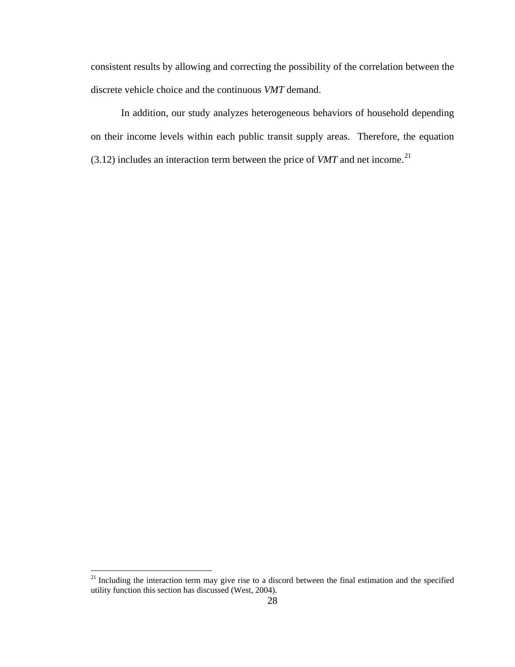consistent results by allowing and correcting the possibility of the correlation between the discrete vehicle choice and the continuous *VMT* demand.

 In addition, our study analyzes heterogeneous behaviors of household depending on their income levels within each public transit supply areas. Therefore, the equation  $(3.12)$  $(3.12)$  $(3.12)$  includes an interaction term between the price of *VMT* and net income.<sup>21</sup>

<span id="page-36-0"></span> $21$  Including the interaction term may give rise to a discord between the final estimation and the specified utility function this section has discussed (West, 2004).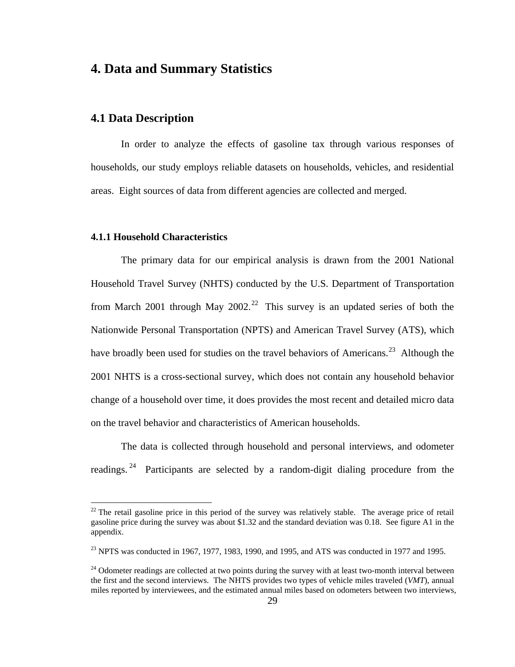# **4. Data and Summary Statistics**

# **4.1 Data Description**

In order to analyze the effects of gasoline tax through various responses of households, our study employs reliable datasets on households, vehicles, and residential areas. Eight sources of data from different agencies are collected and merged.

### **4.1.1 Household Characteristics**

 $\overline{a}$ 

The primary data for our empirical analysis is drawn from the 2001 National Household Travel Survey (NHTS) conducted by the U.S. Department of Transportation from March [2](#page-37-0)001 through May 2002.<sup>22</sup> This survey is an updated series of both the Nationwide Personal Transportation (NPTS) and American Travel Survey (ATS), which have broadly been used for studies on the travel behaviors of Americans.<sup>[2](#page-37-1)3</sup> Although the 2001 NHTS is a cross-sectional survey, which does not contain any household behavior change of a household over time, it does provides the most recent and detailed micro data on the travel behavior and characteristics of American households.

The data is collected through household and personal interviews, and odometer readings. [24](#page-37-2) Participants are selected by a random-digit dialing procedure from the

<span id="page-37-0"></span> $22$  The retail gasoline price in this period of the survey was relatively stable. The average price of retail gasoline price during the survey was about \$1.32 and the standard deviation was 0.18. See figure A1 in the appendix.

<span id="page-37-1"></span> $^{23}$  NPTS was conducted in 1967, 1977, 1983, 1990, and 1995, and ATS was conducted in 1977 and 1995.

<span id="page-37-2"></span><sup>&</sup>lt;sup>24</sup> Odometer readings are collected at two points during the survey with at least two-month interval between the first and the second interviews. The NHTS provides two types of vehicle miles traveled (*VMT*), annual miles reported by interviewees, and the estimated annual miles based on odometers between two interviews,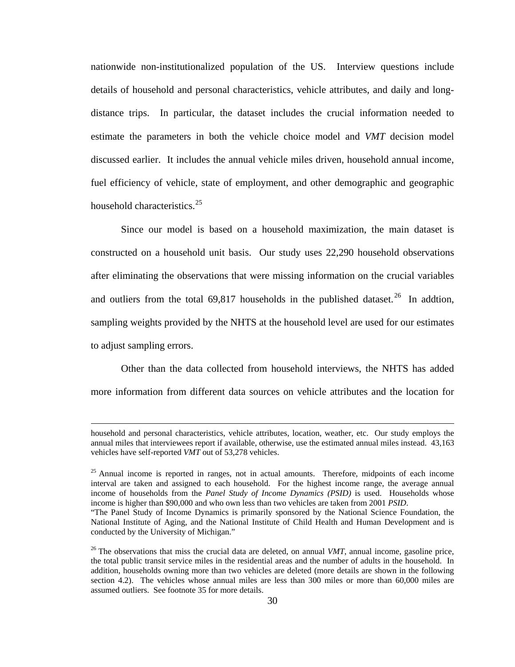nationwide non-institutionalized population of the US. Interview questions include details of household and personal characteristics, vehicle attributes, and daily and longdistance trips. In particular, the dataset includes the crucial information needed to estimate the parameters in both the vehicle choice model and *VMT* decision model discussed earlier. It includes the annual vehicle miles driven, household annual income, fuel efficiency of vehicle, state of employment, and other demographic and geographic household characteristics.<sup>[2](#page-38-0)5</sup>

Since our model is based on a household maximization, the main dataset is constructed on a household unit basis. Our study uses 22,290 household observations after eliminating the observations that were missing information on the crucial variables and outliers from the total 69,817 households in the published dataset.<sup>[26](#page-38-1)</sup> In addtion, sampling weights provided by the NHTS at the household level are used for our estimates to adjust sampling errors.

Other than the data collected from household interviews, the NHTS has added more information from different data sources on vehicle attributes and the location for

household and personal characteristics, vehicle attributes, location, weather, etc. Our study employs the annual miles that interviewees report if available, otherwise, use the estimated annual miles instead. 43,163 vehicles have self-reported *VMT* out of 53,278 vehicles.

<span id="page-38-0"></span><sup>&</sup>lt;sup>25</sup> Annual income is reported in ranges, not in actual amounts. Therefore, midpoints of each income interval are taken and assigned to each household. For the highest income range, the average annual income of households from the *Panel Study of Income Dynamics (PSID)* is used. Households whose income is higher than \$90,000 and who own less than two vehicles are taken from 2001 *PSID*.

<sup>&</sup>quot;The Panel Study of Income Dynamics is primarily sponsored by the National Science Foundation, the National Institute of Aging, and the National Institute of Child Health and Human Development and is conducted by the University of Michigan."

<span id="page-38-1"></span> $^{26}$  The observations that miss the crucial data are deleted, on annual *VMT*, annual income, gasoline price, the total public transit service miles in the residential areas and the number of adults in the household. In addition, households owning more than two vehicles are deleted (more details are shown in the following section 4.2). The vehicles whose annual miles are less than 300 miles or more than 60,000 miles are assumed outliers. See footnote 35 for more details.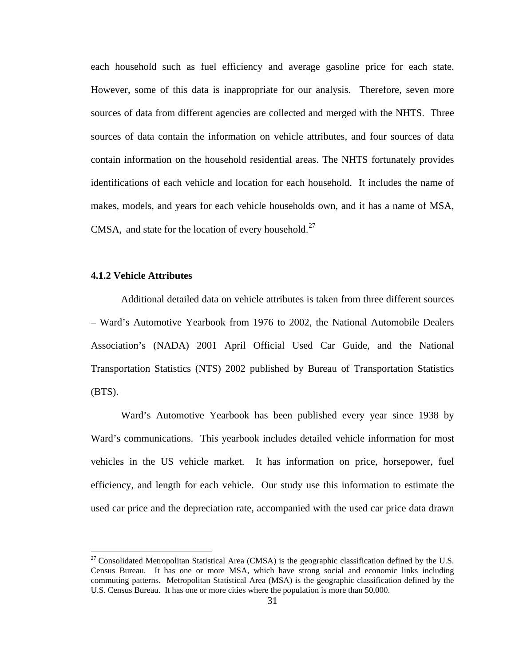each household such as fuel efficiency and average gasoline price for each state. However, some of this data is inappropriate for our analysis. Therefore, seven more sources of data from different agencies are collected and merged with the NHTS. Three sources of data contain the information on vehicle attributes, and four sources of data contain information on the household residential areas. The NHTS fortunately provides identifications of each vehicle and location for each household. It includes the name of makes, models, and years for each vehicle households own, and it has a name of MSA, CMSA, and state for the location of every household.<sup>[2](#page-39-0)7</sup>

#### **4.1.2 Vehicle Attributes**

1

Additional detailed data on vehicle attributes is taken from three different sources – Ward's Automotive Yearbook from 1976 to 2002, the National Automobile Dealers Association's (NADA) 2001 April Official Used Car Guide, and the National Transportation Statistics (NTS) 2002 published by Bureau of Transportation Statistics  $(BTS)$ .

Ward's Automotive Yearbook has been published every year since 1938 by Ward's communications. This yearbook includes detailed vehicle information for most vehicles in the US vehicle market. It has information on price, horsepower, fuel efficiency, and length for each vehicle. Our study use this information to estimate the used car price and the depreciation rate, accompanied with the used car price data drawn

<span id="page-39-0"></span><sup>&</sup>lt;sup>27</sup> Consolidated Metropolitan Statistical Area (CMSA) is the geographic classification defined by the U.S. Census Bureau. It has one or more MSA, which have strong social and economic links including commuting patterns. Metropolitan Statistical Area (MSA) is the geographic classification defined by the U.S. Census Bureau. It has one or more cities where the population is more than 50,000.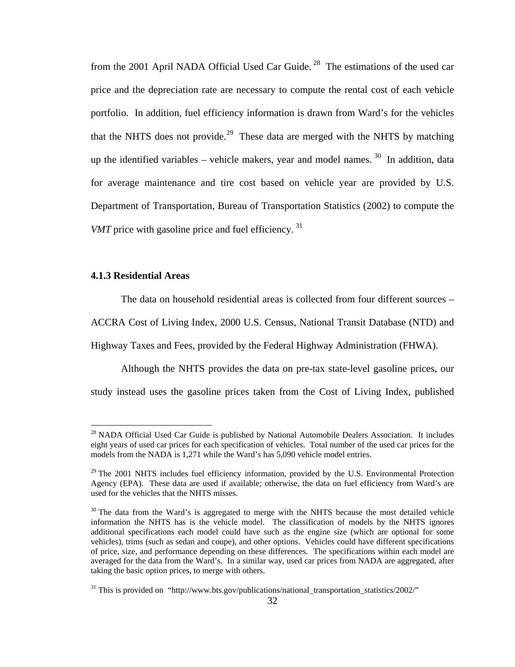from the 2001 April NADA Official Used Car Guide. [28](#page-40-0) The estimations of the used car price and the depreciation rate are necessary to compute the rental cost of each vehicle portfolio. In addition, fuel efficiency information is drawn from Ward's for the vehicles that the NHTS does not provide.<sup>[29](#page-40-1)</sup> These data are merged with the NHTS by matching up the identified variables – vehicle makers, year and model names.  $30$  $30$  In addition, data for average maintenance and tire cost based on vehicle year are provided by U.S. Department of Transportation, Bureau of Transportation Statistics (2002) to compute the *VMT* price with gasoline price and fuel efficiency.<sup>[31](#page-40-3)</sup>

#### **4.1.3 Residential Areas**

 $\overline{a}$ 

The data on household residential areas is collected from four different sources –

ACCRA Cost of Living Index, 2000 U.S. Census, National Transit Database (NTD) and

Highway Taxes and Fees, provided by the Federal Highway Administration (FHWA).

Although the NHTS provides the data on pre-tax state-level gasoline prices, our study instead uses the gasoline prices taken from the Cost of Living Index, published

<span id="page-40-0"></span> $^{28}$  NADA Official Used Car Guide is published by National Automobile Dealers Association. It includes eight years of used car prices for each specification of vehicles. Total number of the used car prices for the models from the NADA is 1,271 while the Ward's has 5,090 vehicle model entries.

<span id="page-40-1"></span> $29$  The 2001 NHTS includes fuel efficiency information, provided by the U.S. Environmental Protection Agency (EPA). These data are used if available; otherwise, the data on fuel efficiency from Ward's are used for the vehicles that the NHTS misses.

<span id="page-40-2"></span> $30$  The data from the Ward's is aggregated to merge with the NHTS because the most detailed vehicle information the NHTS has is the vehicle model. The classification of models by the NHTS ignores additional specifications each model could have such as the engine size (which are optional for some vehicles), trims (such as sedan and coupe), and other options. Vehicles could have different specifications of price, size, and performance depending on these differences. The specifications within each model are averaged for the data from the Ward's. In a similar way, used car prices from NADA are aggregated, after taking the basic option prices, to merge with others.

<span id="page-40-3"></span><sup>&</sup>lt;sup>31</sup> This is provided on "http://www.bts.gov/publications/national\_transportation\_statistics/2002/"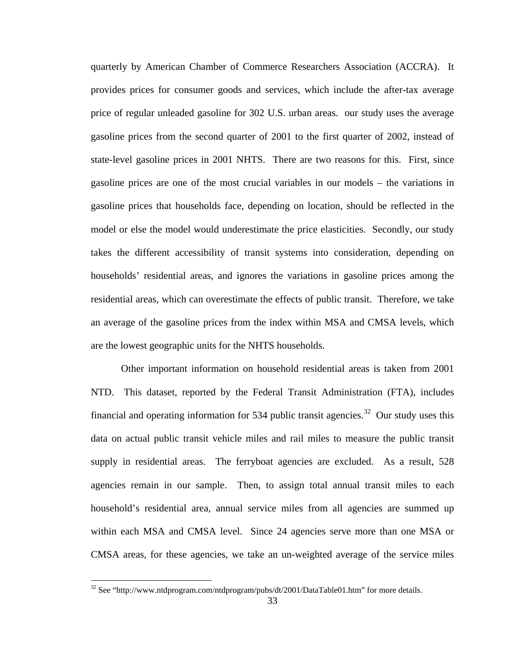quarterly by American Chamber of Commerce Researchers Association (ACCRA). It provides prices for consumer goods and services, which include the after-tax average price of regular unleaded gasoline for 302 U.S. urban areas. our study uses the average gasoline prices from the second quarter of 2001 to the first quarter of 2002, instead of state-level gasoline prices in 2001 NHTS. There are two reasons for this. First, since gasoline prices are one of the most crucial variables in our models – the variations in gasoline prices that households face, depending on location, should be reflected in the model or else the model would underestimate the price elasticities. Secondly, our study takes the different accessibility of transit systems into consideration, depending on households' residential areas, and ignores the variations in gasoline prices among the residential areas, which can overestimate the effects of public transit. Therefore, we take an average of the gasoline prices from the index within MSA and CMSA levels, which are the lowest geographic units for the NHTS households.

Other important information on household residential areas is taken from 2001 NTD. This dataset, reported by the Federal Transit Administration (FTA), includes financial and operating information for 534 public transit agencies.<sup>[32](#page-41-0)</sup> Our study uses this data on actual public transit vehicle miles and rail miles to measure the public transit supply in residential areas. The ferryboat agencies are excluded. As a result, 528 agencies remain in our sample. Then, to assign total annual transit miles to each household's residential area, annual service miles from all agencies are summed up within each MSA and CMSA level. Since 24 agencies serve more than one MSA or CMSA areas, for these agencies, we take an un-weighted average of the service miles

<span id="page-41-0"></span> $32$  See "http://www.ntdprogram.com/ntdprogram/pubs/dt/2001/DataTable01.htm" for more details.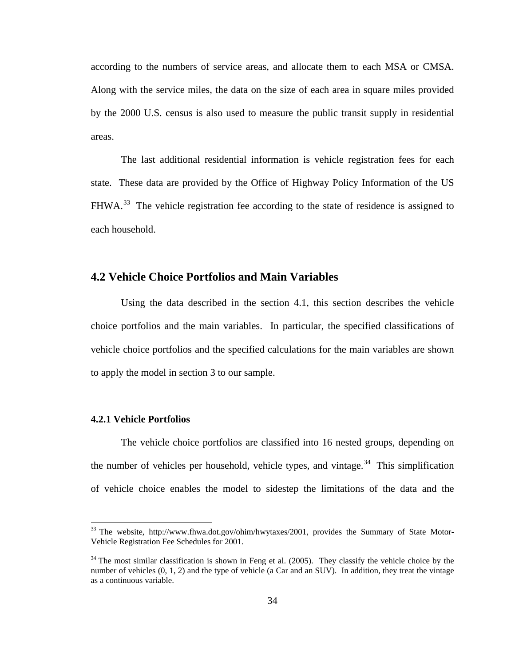according to the numbers of service areas, and allocate them to each MSA or CMSA. Along with the service miles, the data on the size of each area in square miles provided by the 2000 U.S. census is also used to measure the public transit supply in residential areas.

The last additional residential information is vehicle registration fees for each state. These data are provided by the Office of Highway Policy Information of the US FHWA.<sup>[33](#page-42-0)</sup> The vehicle registration fee according to the state of residence is assigned to each household.

## **4.2 Vehicle Choice Portfolios and Main Variables**

 Using the data described in the section 4.1, this section describes the vehicle choice portfolios and the main variables. In particular, the specified classifications of vehicle choice portfolios and the specified calculations for the main variables are shown to apply the model in section 3 to our sample.

#### **4.2.1 Vehicle Portfolios**

 $\overline{a}$ 

The vehicle choice portfolios are classified into 16 nested groups, depending on the number of vehicles per household, vehicle types, and vintage.<sup>[34](#page-42-1)</sup> This simplification of vehicle choice enables the model to sidestep the limitations of the data and the

<span id="page-42-0"></span> $33$  The website, http://www.fhwa.dot.gov/ohim/hwytaxes/2001, provides the Summary of State Motor-Vehicle Registration Fee Schedules for 2001.

<span id="page-42-1"></span> $34$  The most similar classification is shown in Feng et al. (2005). They classify the vehicle choice by the number of vehicles  $(0, 1, 2)$  and the type of vehicle (a Car and an SUV). In addition, they treat the vintage as a continuous variable.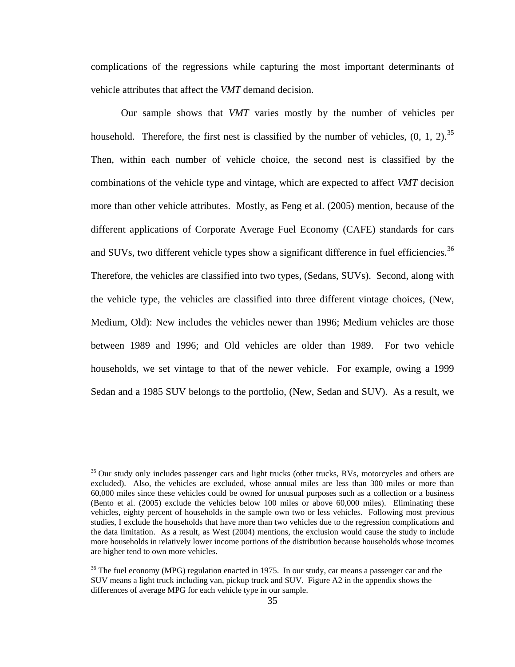complications of the regressions while capturing the most important determinants of vehicle attributes that affect the *VMT* demand decision.

Our sample shows that *VMT* varies mostly by the number of vehicles per household. Therefore, the first nest is classified by the number of vehicles,  $(0, 1, 2)$ .<sup>[35](#page-43-0)</sup> Then, within each number of vehicle choice, the second nest is classified by the combinations of the vehicle type and vintage, which are expected to affect *VMT* decision more than other vehicle attributes. Mostly, as Feng et al. (2005) mention, because of the different applications of Corporate Average Fuel Economy (CAFE) standards for cars and SUVs, two different vehicle types show a significant difference in fuel efficiencies.<sup>[36](#page-43-1)</sup> Therefore, the vehicles are classified into two types, (Sedans, SUVs). Second, along with the vehicle type, the vehicles are classified into three different vintage choices, (New, Medium, Old): New includes the vehicles newer than 1996; Medium vehicles are those between 1989 and 1996; and Old vehicles are older than 1989. For two vehicle households, we set vintage to that of the newer vehicle. For example, owing a 1999 Sedan and a 1985 SUV belongs to the portfolio, (New, Sedan and SUV). As a result, we

<span id="page-43-0"></span><sup>&</sup>lt;sup>35</sup> Our study only includes passenger cars and light trucks (other trucks, RVs, motorcycles and others are excluded). Also, the vehicles are excluded, whose annual miles are less than 300 miles or more than 60,000 miles since these vehicles could be owned for unusual purposes such as a collection or a business (Bento et al. (2005) exclude the vehicles below 100 miles or above 60,000 miles). Eliminating these vehicles, eighty percent of households in the sample own two or less vehicles. Following most previous studies, I exclude the households that have more than two vehicles due to the regression complications and the data limitation. As a result, as West (2004) mentions, the exclusion would cause the study to include more households in relatively lower income portions of the distribution because households whose incomes are higher tend to own more vehicles.

<span id="page-43-1"></span><sup>&</sup>lt;sup>36</sup> The fuel economy (MPG) regulation enacted in 1975. In our study, car means a passenger car and the SUV means a light truck including van, pickup truck and SUV. Figure A2 in the appendix shows the differences of average MPG for each vehicle type in our sample.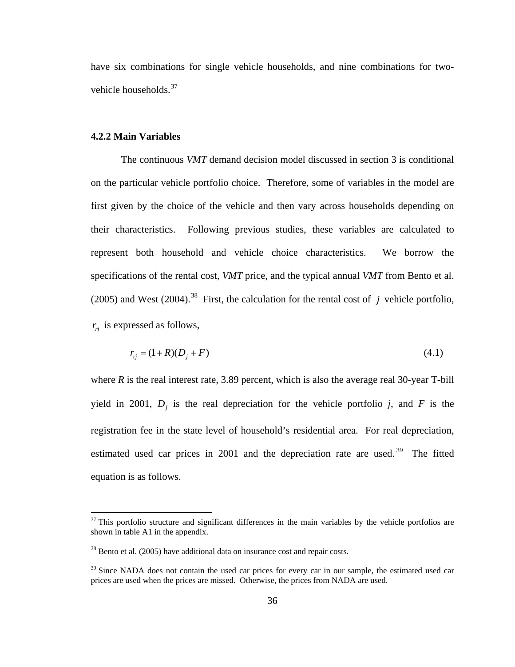have six combinations for single vehicle households, and nine combinations for two-vehicle households.<sup>[3](#page-44-0)7</sup>

#### **4.2.2 Main Variables**

1

The continuous *VMT* demand decision model discussed in section 3 is conditional on the particular vehicle portfolio choice. Therefore, some of variables in the model are first given by the choice of the vehicle and then vary across households depending on their characteristics. Following previous studies, these variables are calculated to represent both household and vehicle choice characteristics. We borrow the specifications of the rental cost, *VMT* price, and the typical annual *VMT* from Bento et al. (2005) and West (2004).<sup>[3](#page-44-1)8</sup> First, the calculation for the rental cost of *j* vehicle portfolio,  $r_{ri}$  is expressed as follows,

$$
r_{ij} = (1 + R)(D_j + F) \tag{4.1}
$$

where  $R$  is the real interest rate, 3.89 percent, which is also the average real 30-year T-bill yield in 2001,  $D_i$  is the real depreciation for the vehicle portfolio  $j$ , and  $F$  is the registration fee in the state level of household's residential area. For real depreciation, estimated used car prices in 2001 and the depreciation rate are used.<sup>[3](#page-44-2)9</sup> The fitted equation is as follows.

<span id="page-44-0"></span> $37$  This portfolio structure and significant differences in the main variables by the vehicle portfolios are shown in table A1 in the appendix.

<span id="page-44-1"></span><sup>&</sup>lt;sup>38</sup> Bento et al. (2005) have additional data on insurance cost and repair costs.

<span id="page-44-2"></span><sup>&</sup>lt;sup>39</sup> Since NADA does not contain the used car prices for every car in our sample, the estimated used car prices are used when the prices are missed. Otherwise, the prices from NADA are used.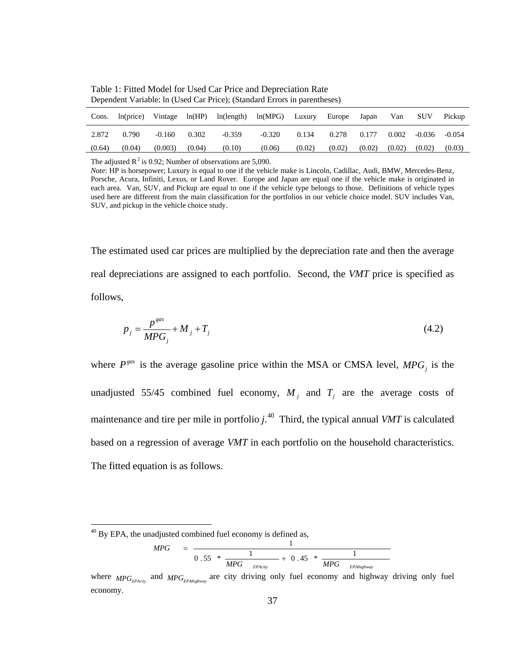| Cons.  | ln(price) | Vintage  | ln(HP) | ln(length) | ln(MPG)  | Luxury | Europe | Japan  | Van    | <b>SUV</b> | Pickup   |
|--------|-----------|----------|--------|------------|----------|--------|--------|--------|--------|------------|----------|
| 2.872  | 0.790     | $-0.160$ | 0.302  | $-0.359$   | $-0.320$ | 0.134  | 0.278  | 0.177  | 0.002  | -0.036     | $-0.054$ |
| (0.64) | (0.04)    | (0.003)  | (0.04) | (0.10)     | (0.06)   | (0.02) | (0.02) | (0.02) | (0.02) | (0.02)     | (0.03)   |

Table 1: Fitted Model for Used Car Price and Depreciation Rate Dependent Variable: ln (Used Car Price); (Standard Errors in parentheses)

The adjusted  $R^2$  is 0.92; Number of observations are 5,090.

*Note*: HP is horsepower; Luxury is equal to one if the vehicle make is Lincoln, Cadillac, Audi, BMW, Mercedes-Benz, Porsche, Acura, Infiniti, Lexus, or Land Rover. Europe and Japan are equal one if the vehicle make is originated in each area. Van, SUV, and Pickup are equal to one if the vehicle type belongs to those. Definitions of vehicle types used here are different from the main classification for the portfolios in our vehicle choice model. SUV includes Van, SUV, and pickup in the vehicle choice study.

The estimated used car prices are multiplied by the depreciation rate and then the average real depreciations are assigned to each portfolio. Second, the *VMT* price is specified as follows,

$$
p_j = \frac{p^{gas}}{MPG_j} + M_j + T_j \tag{4.2}
$$

where  $P<sup>gas</sup>$  is the average gasoline price within the MSA or CMSA level,  $MPG<sub>j</sub>$  is the unadjusted 55/45 combined fuel economy,  $M_i$  and  $T_i$  are the average costs of maintenance and tire per mile in portfolio  $j^{(4)}$  $j^{(4)}$  $j^{(4)}$ . Third, the typical annual *VMT* is calculated based on a regression of average *VMT* in each portfolio on the household characteristics. The fitted equation is as follows.

1

$$
MPG = \frac{1}{0.55 * \frac{1}{MPG - EPAcity}} + 0.45 * \frac{1}{MPG - EPAhighway}}
$$

<span id="page-45-0"></span> $40$  By EPA, the unadjusted combined fuel economy is defined as,

where  $MPG_{EPAcir}$  and  $MPG_{EPAhichway}$  are city driving only fuel economy and highway driving only fuel economy.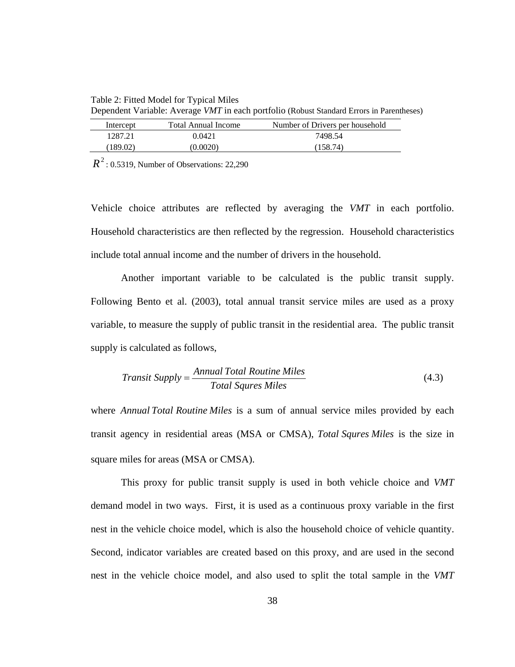Table 2: Fitted Model for Typical Miles Dependent Variable: Average *VMT* in each portfolio (Robust Standard Errors in Parentheses)

| Intercept | <b>Total Annual Income</b> | Number of Drivers per household |
|-----------|----------------------------|---------------------------------|
| 1287.21   | 0.0421                     | 7498.54                         |
| (189.02)  | (0.0020)                   | (158.74)                        |

 $R^2$ : 0.5319, Number of Observations: 22,290

Vehicle choice attributes are reflected by averaging the *VMT* in each portfolio. Household characteristics are then reflected by the regression. Household characteristics include total annual income and the number of drivers in the household.

Another important variable to be calculated is the public transit supply. Following Bento et al. (2003), total annual transit service miles are used as a proxy variable, to measure the supply of public transit in the residential area. The public transit supply is calculated as follows,

$$
Transit \, Supply = \frac{Annual \, Total \, Routine \, Miles}{Total \, Squres \, Miles}
$$
\n
$$
(4.3)
$$

where *Annual Total Routine Miles* is a sum of annual service miles provided by each transit agency in residential areas (MSA or CMSA), *Total Squres Miles* is the size in square miles for areas (MSA or CMSA).

This proxy for public transit supply is used in both vehicle choice and *VMT* demand model in two ways. First, it is used as a continuous proxy variable in the first nest in the vehicle choice model, which is also the household choice of vehicle quantity. Second, indicator variables are created based on this proxy, and are used in the second nest in the vehicle choice model, and also used to split the total sample in the *VMT*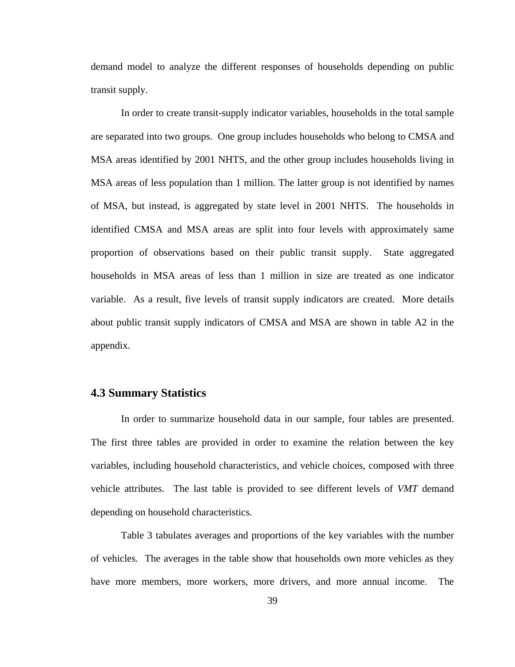demand model to analyze the different responses of households depending on public transit supply.

In order to create transit-supply indicator variables, households in the total sample are separated into two groups. One group includes households who belong to CMSA and MSA areas identified by 2001 NHTS, and the other group includes households living in MSA areas of less population than 1 million. The latter group is not identified by names of MSA, but instead, is aggregated by state level in 2001 NHTS. The households in identified CMSA and MSA areas are split into four levels with approximately same proportion of observations based on their public transit supply. State aggregated households in MSA areas of less than 1 million in size are treated as one indicator variable. As a result, five levels of transit supply indicators are created. More details about public transit supply indicators of CMSA and MSA are shown in table A2 in the appendix.

### **4.3 Summary Statistics**

 In order to summarize household data in our sample, four tables are presented. The first three tables are provided in order to examine the relation between the key variables, including household characteristics, and vehicle choices, composed with three vehicle attributes. The last table is provided to see different levels of *VMT* demand depending on household characteristics.

 Table 3 tabulates averages and proportions of the key variables with the number of vehicles. The averages in the table show that households own more vehicles as they have more members, more workers, more drivers, and more annual income. The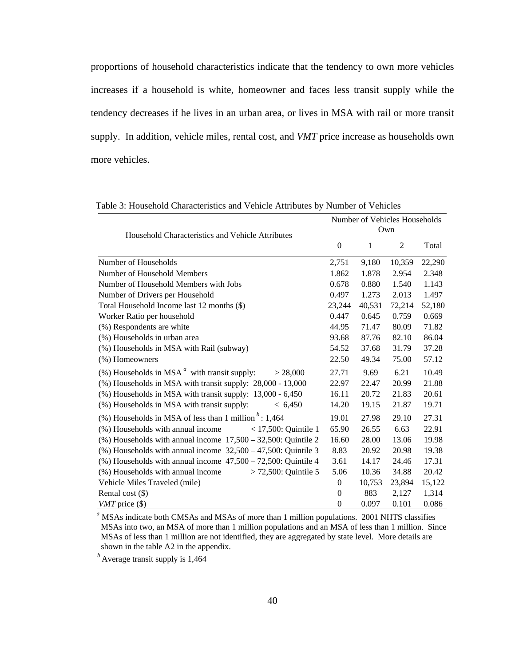proportions of household characteristics indicate that the tendency to own more vehicles increases if a household is white, homeowner and faces less transit supply while the tendency decreases if he lives in an urban area, or lives in MSA with rail or more transit supply. In addition, vehicle miles, rental cost, and *VMT* price increase as households own more vehicles.

| Household Characteristics and Vehicle Attributes                    | Number of Vehicles Households<br>Own |        |                |        |  |  |
|---------------------------------------------------------------------|--------------------------------------|--------|----------------|--------|--|--|
|                                                                     | $\theta$                             | 1      | $\overline{2}$ | Total  |  |  |
| Number of Households                                                | 2,751                                | 9,180  | 10,359         | 22,290 |  |  |
| Number of Household Members                                         | 1.862                                | 1.878  | 2.954          | 2.348  |  |  |
| Number of Household Members with Jobs                               | 0.678                                | 0.880  | 1.540          | 1.143  |  |  |
| Number of Drivers per Household                                     | 0.497                                | 1.273  | 2.013          | 1.497  |  |  |
| Total Household Income last 12 months (\$)                          | 23,244                               | 40,531 | 72,214         | 52,180 |  |  |
| Worker Ratio per household                                          | 0.447                                | 0.645  | 0.759          | 0.669  |  |  |
| (%) Respondents are white                                           | 44.95                                | 71.47  | 80.09          | 71.82  |  |  |
| (%) Households in urban area                                        | 93.68                                | 87.76  | 82.10          | 86.04  |  |  |
| (%) Households in MSA with Rail (subway)                            | 54.52                                | 37.68  | 31.79          | 37.28  |  |  |
| (%) Homeowners                                                      | 22.50                                | 49.34  | 75.00          | 57.12  |  |  |
| $(\%)$ Households in MSA $^a$ with transit supply:<br>> 28,000      | 27.71                                | 9.69   | 6.21           | 10.49  |  |  |
| $(\%)$ Households in MSA with transit supply: $28,000 - 13,000$     | 22.97                                | 22.47  | 20.99          | 21.88  |  |  |
| $(\%)$ Households in MSA with transit supply: 13,000 - 6,450        | 16.11                                | 20.72  | 21.83          | 20.61  |  |  |
| (%) Households in MSA with transit supply:<br>< 6,450               | 14.20                                | 19.15  | 21.87          | 19.71  |  |  |
| (%) Households in MSA of less than 1 million $\frac{b}{2}$ : 1,464  | 19.01                                | 27.98  | 29.10          | 27.31  |  |  |
| (%) Households with annual income<br>$<$ 17,500: Ouintile 1         | 65.90                                | 26.55  | 6.63           | 22.91  |  |  |
| $(\%)$ Households with annual income $17,500 - 32,500$ : Quintile 2 | 16.60                                | 28.00  | 13.06          | 19.98  |  |  |
| $(\%)$ Households with annual income $32,500 - 47,500$ : Quintile 3 | 8.83                                 | 20.92  | 20.98          | 19.38  |  |  |
| $(\%)$ Households with annual income $47,500 - 72,500$ : Quintile 4 | 3.61                                 | 14.17  | 24.46          | 17.31  |  |  |
| (%) Households with annual income<br>$> 72,500$ : Quintile 5        | 5.06                                 | 10.36  | 34.88          | 20.42  |  |  |
| Vehicle Miles Traveled (mile)                                       | $\overline{0}$                       | 10,753 | 23,894         | 15,122 |  |  |
| Rental cost $(\$)$                                                  | $\theta$                             | 883    | 2,127          | 1,314  |  |  |
| <i>VMT</i> price $(\$)$                                             | $\mathbf{0}$                         | 0.097  | 0.101          | 0.086  |  |  |

Table 3: Household Characteristics and Vehicle Attributes by Number of Vehicles

 *<sup>a</sup>* MSAs indicate both CMSAs and MSAs of more than 1 million populations. 2001 NHTS classifies MSAs into two, an MSA of more than 1 million populations and an MSA of less than 1 million. Since MSAs of less than 1 million are not identified, they are aggregated by state level. More details are shown in the table A2 in the appendix.

*b* Average transit supply is 1,464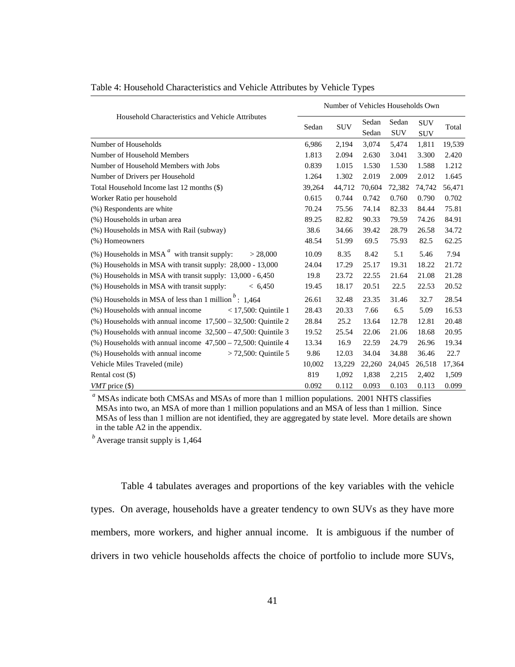|                                                                     |        | Number of Vehicles Households Own |                |                     |                          |        |  |
|---------------------------------------------------------------------|--------|-----------------------------------|----------------|---------------------|--------------------------|--------|--|
| Household Characteristics and Vehicle Attributes                    | Sedan  | <b>SUV</b>                        | Sedan<br>Sedan | Sedan<br><b>SUV</b> | <b>SUV</b><br><b>SUV</b> | Total  |  |
| Number of Households                                                | 6,986  | 2,194                             | 3,074          | 5,474               | 1,811                    | 19,539 |  |
| Number of Household Members                                         | 1.813  | 2.094                             | 2.630          | 3.041               | 3.300                    | 2.420  |  |
| Number of Household Members with Jobs                               | 0.839  | 1.015                             | 1.530          | 1.530               | 1.588                    | 1.212  |  |
| Number of Drivers per Household                                     | 1.264  | 1.302                             | 2.019          | 2.009               | 2.012                    | 1.645  |  |
| Total Household Income last 12 months (\$)                          | 39,264 | 44,712                            | 70,604         | 72,382              | 74,742                   | 56,471 |  |
| Worker Ratio per household                                          | 0.615  | 0.744                             | 0.742          | 0.760               | 0.790                    | 0.702  |  |
| (%) Respondents are white                                           | 70.24  | 75.56                             | 74.14          | 82.33               | 84.44                    | 75.81  |  |
| (%) Households in urban area                                        | 89.25  | 82.82                             | 90.33          | 79.59               | 74.26                    | 84.91  |  |
| (%) Households in MSA with Rail (subway)                            | 38.6   | 34.66                             | 39.42          | 28.79               | 26.58                    | 34.72  |  |
| (%) Homeowners                                                      | 48.54  | 51.99                             | 69.5           | 75.93               | 82.5                     | 62.25  |  |
| $(\%)$ Households in MSA $^a$ with transit supply:<br>> 28,000      | 10.09  | 8.35                              | 8.42           | 5.1                 | 5.46                     | 7.94   |  |
| $(\%)$ Households in MSA with transit supply: 28,000 - 13,000       | 24.04  | 17.29                             | 25.17          | 19.31               | 18.22                    | 21.72  |  |
| $(\%)$ Households in MSA with transit supply: 13,000 - 6,450        | 19.8   | 23.72                             | 22.55          | 21.64               | 21.08                    | 21.28  |  |
| (%) Households in MSA with transit supply:<br>< 6,450               | 19.45  | 18.17                             | 20.51          | 22.5                | 22.53                    | 20.52  |  |
| (%) Households in MSA of less than 1 million $b$ : 1,464            | 26.61  | 32.48                             | 23.35          | 31.46               | 32.7                     | 28.54  |  |
| (%) Households with annual income<br>$<$ 17,500: Ouintile 1         | 28.43  | 20.33                             | 7.66           | 6.5                 | 5.09                     | 16.53  |  |
| $(\%)$ Households with annual income $17,500 - 32,500$ : Quintile 2 | 28.84  | 25.2                              | 13.64          | 12.78               | 12.81                    | 20.48  |  |
| (%) Households with annual income $32,500 - 47,500$ : Quintile 3    | 19.52  | 25.54                             | 22.06          | 21.06               | 18.68                    | 20.95  |  |
| $(\%)$ Households with annual income $47,500 - 72,500$ : Quintile 4 | 13.34  | 16.9                              | 22.59          | 24.79               | 26.96                    | 19.34  |  |
| (%) Households with annual income<br>$> 72,500$ : Quintile 5        | 9.86   | 12.03                             | 34.04          | 34.88               | 36.46                    | 22.7   |  |
| Vehicle Miles Traveled (mile)                                       | 10,002 | 13,229                            | 22,260         | 24,045              | 26,518                   | 17,364 |  |
| Rental cost $(\$)$                                                  | 819    | 1,092                             | 1,838          | 2,215               | 2,402                    | 1,509  |  |
| <i>VMT</i> price $(\$)$                                             | 0.092  | 0.112                             | 0.093          | 0.103               | 0.113                    | 0.099  |  |

Table 4: Household Characteristics and Vehicle Attributes by Vehicle Types

<sup>a</sup> MSAs indicate both CMSAs and MSAs of more than 1 million populations. 2001 NHTS classifies MSAs into two, an MSA of more than 1 million populations and an MSA of less than 1 million. Since MSAs of less than 1 million are not identified, they are aggregated by state level. More details are shown in the table A2 in the appendix.

*b* Average transit supply is 1,464

Table 4 tabulates averages and proportions of the key variables with the vehicle types. On average, households have a greater tendency to own SUVs as they have more members, more workers, and higher annual income. It is ambiguous if the number of drivers in two vehicle households affects the choice of portfolio to include more SUVs,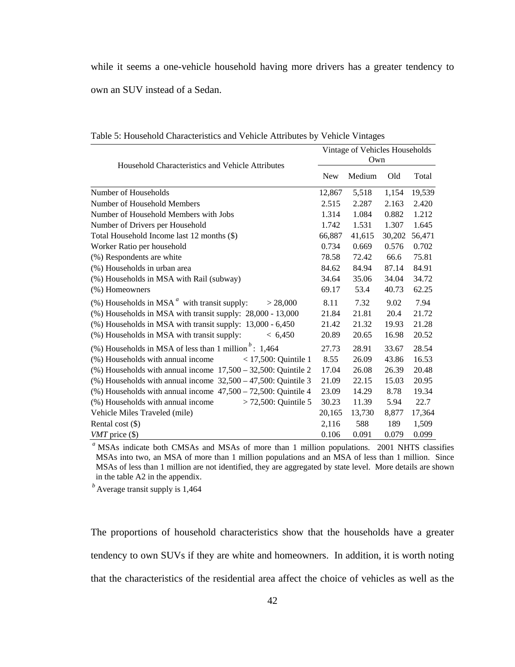while it seems a one-vehicle household having more drivers has a greater tendency to own an SUV instead of a Sedan.

| Household Characteristics and Vehicle Attributes                    | Vintage of Vehicles Households<br>Own |        |        |        |  |  |
|---------------------------------------------------------------------|---------------------------------------|--------|--------|--------|--|--|
|                                                                     | <b>New</b>                            | Medium | Old    | Total  |  |  |
| Number of Households                                                | 12,867                                | 5,518  | 1,154  | 19,539 |  |  |
| Number of Household Members                                         | 2.515                                 | 2.287  | 2.163  | 2.420  |  |  |
| Number of Household Members with Jobs                               | 1.314                                 | 1.084  | 0.882  | 1.212  |  |  |
| Number of Drivers per Household                                     | 1.742                                 | 1.531  | 1.307  | 1.645  |  |  |
| Total Household Income last 12 months (\$)                          | 66,887                                | 41,615 | 30,202 | 56,471 |  |  |
| Worker Ratio per household                                          | 0.734                                 | 0.669  | 0.576  | 0.702  |  |  |
| (%) Respondents are white                                           | 78.58                                 | 72.42  | 66.6   | 75.81  |  |  |
| (%) Households in urban area                                        | 84.62                                 | 84.94  | 87.14  | 84.91  |  |  |
| (%) Households in MSA with Rail (subway)                            | 34.64                                 | 35.06  | 34.04  | 34.72  |  |  |
| (%) Homeowners                                                      | 69.17                                 | 53.4   | 40.73  | 62.25  |  |  |
| $(\%)$ Households in MSA $^a$ with transit supply:<br>> 28,000      | 8.11                                  | 7.32   | 9.02   | 7.94   |  |  |
| $(\%)$ Households in MSA with transit supply: $28,000 - 13,000$     | 21.84                                 | 21.81  | 20.4   | 21.72  |  |  |
| (%) Households in MSA with transit supply: 13,000 - 6,450           | 21.42                                 | 21.32  | 19.93  | 21.28  |  |  |
| (%) Households in MSA with transit supply:<br>< 6,450               | 20.89                                 | 20.65  | 16.98  | 20.52  |  |  |
| (%) Households in MSA of less than 1 million $b$ : 1,464            | 27.73                                 | 28.91  | 33.67  | 28.54  |  |  |
| (%) Households with annual income<br>$<$ 17,500: Quintile 1         | 8.55                                  | 26.09  | 43.86  | 16.53  |  |  |
| $(\%)$ Households with annual income $17,500 - 32,500$ : Quintile 2 | 17.04                                 | 26.08  | 26.39  | 20.48  |  |  |
| $(\%)$ Households with annual income $32,500 - 47,500$ : Quintile 3 | 21.09                                 | 22.15  | 15.03  | 20.95  |  |  |
| $(\%)$ Households with annual income $47,500 - 72,500$ : Quintile 4 | 23.09                                 | 14.29  | 8.78   | 19.34  |  |  |
| (%) Households with annual income<br>$> 72,500$ : Quintile 5        | 30.23                                 | 11.39  | 5.94   | 22.7   |  |  |
| Vehicle Miles Traveled (mile)                                       | 20,165                                | 13,730 | 8,877  | 17,364 |  |  |
| Rental cost $(\$)$                                                  | 2,116                                 | 588    | 189    | 1,509  |  |  |
| $VMT$ price $(\$)$                                                  | 0.106                                 | 0.091  | 0.079  | 0.099  |  |  |

Table 5: Household Characteristics and Vehicle Attributes by Vehicle Vintages

<sup>a</sup> MSAs indicate both CMSAs and MSAs of more than 1 million populations. 2001 NHTS classifies MSAs into two, an MSA of more than 1 million populations and an MSA of less than 1 million. Since MSAs of less than 1 million are not identified, they are aggregated by state level. More details are shown in the table A2 in the appendix.

*b* Average transit supply is 1,464

The proportions of household characteristics show that the households have a greater tendency to own SUVs if they are white and homeowners. In addition, it is worth noting that the characteristics of the residential area affect the choice of vehicles as well as the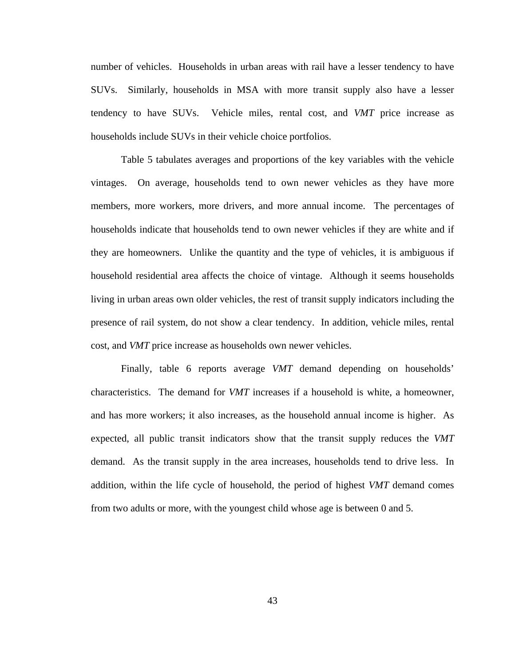number of vehicles. Households in urban areas with rail have a lesser tendency to have SUVs. Similarly, households in MSA with more transit supply also have a lesser tendency to have SUVs. Vehicle miles, rental cost, and *VMT* price increase as households include SUVs in their vehicle choice portfolios.

 Table 5 tabulates averages and proportions of the key variables with the vehicle vintages. On average, households tend to own newer vehicles as they have more members, more workers, more drivers, and more annual income. The percentages of households indicate that households tend to own newer vehicles if they are white and if they are homeowners. Unlike the quantity and the type of vehicles, it is ambiguous if household residential area affects the choice of vintage. Although it seems households living in urban areas own older vehicles, the rest of transit supply indicators including the presence of rail system, do not show a clear tendency. In addition, vehicle miles, rental cost, and *VMT* price increase as households own newer vehicles.

Finally, table 6 reports average *VMT* demand depending on households' characteristics. The demand for *VMT* increases if a household is white, a homeowner, and has more workers; it also increases, as the household annual income is higher. As expected, all public transit indicators show that the transit supply reduces the *VMT* demand. As the transit supply in the area increases, households tend to drive less. In addition, within the life cycle of household, the period of highest *VMT* demand comes from two adults or more, with the youngest child whose age is between 0 and 5.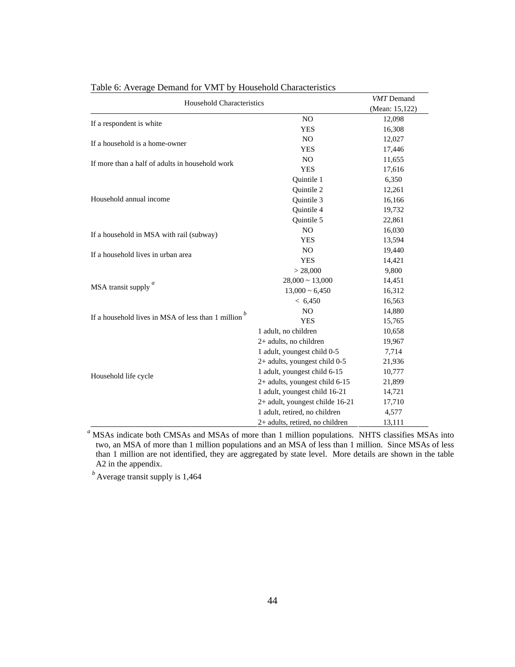| <b>Household Characteristics</b>                   | <b>VMT</b> Demand                |                |
|----------------------------------------------------|----------------------------------|----------------|
|                                                    |                                  | (Mean: 15,122) |
| If a respondent is white                           | N <sub>O</sub>                   | 12,098         |
|                                                    | <b>YES</b>                       | 16,308         |
| If a household is a home-owner                     | N <sub>O</sub>                   | 12,027         |
|                                                    | <b>YES</b>                       | 17,446         |
| If more than a half of adults in household work    | N <sub>O</sub>                   | 11,655         |
|                                                    | <b>YES</b>                       | 17,616         |
|                                                    | Quintile 1                       | 6,350          |
|                                                    | Quintile 2                       | 12,261         |
| Household annual income                            | Quintile 3                       | 16,166         |
|                                                    | Quintile 4                       | 19,732         |
|                                                    | Quintile 5                       | 22,861         |
| If a household in MSA with rail (subway)           | N <sub>O</sub>                   | 16,030         |
|                                                    | <b>YES</b>                       | 13,594         |
| If a household lives in urban area                 | N <sub>O</sub>                   | 19,440         |
|                                                    | <b>YES</b>                       | 14,421         |
|                                                    | > 28,000                         | 9,800          |
|                                                    | $28,000 \sim 13,000$             | 14,451         |
| MSA transit supply <sup><i>a</i></sup>             | $13,000 \sim 6,450$              | 16,312         |
|                                                    | < 6,450                          | 16,563         |
|                                                    | N <sub>O</sub>                   | 14,880         |
| If a household lives in MSA of less than 1 million | <b>YES</b>                       | 15,765         |
|                                                    | 1 adult, no children             | 10,658         |
|                                                    | 2+ adults, no children           | 19,967         |
|                                                    | 1 adult, youngest child 0-5      | 7,714          |
|                                                    | 2+ adults, youngest child 0-5    | 21,936         |
| Household life cycle                               | 1 adult, youngest child 6-15     | 10,777         |
|                                                    | $2+$ adults, youngest child 6-15 | 21,899         |
|                                                    | 1 adult, youngest child 16-21    | 14,721         |
|                                                    | 2+ adult, youngest childe 16-21  | 17,710         |
|                                                    | 1 adult, retired, no children    | 4,577          |
|                                                    | 2+ adults, retired, no children  | 13,111         |

Table 6: Average Demand for VMT by Household Characteristics

*<sup>a</sup>* MSAs indicate both CMSAs and MSAs of more than 1 million populations. NHTS classifies MSAs into two, an MSA of more than 1 million populations and an MSA of less than 1 million. Since MSAs of less than 1 million are not identified, they are aggregated by state level. More details are shown in the table A2 in the appendix.

*b* Average transit supply is 1,464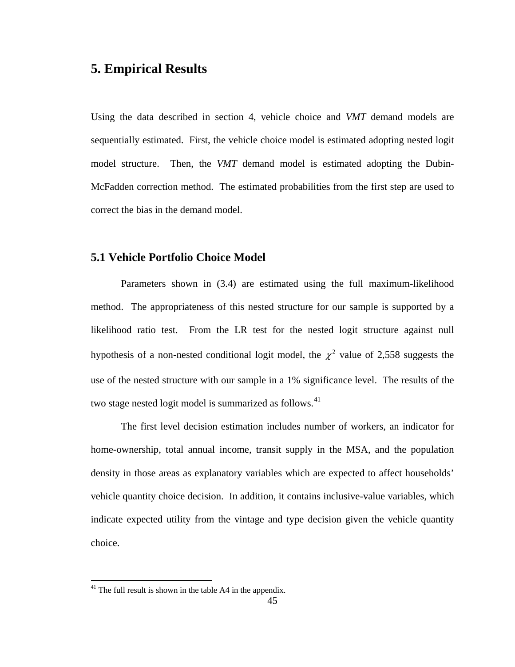# **5. Empirical Results**

Using the data described in section 4, vehicle choice and *VMT* demand models are sequentially estimated. First, the vehicle choice model is estimated adopting nested logit model structure. Then, the *VMT* demand model is estimated adopting the Dubin-McFadden correction method. The estimated probabilities from the first step are used to correct the bias in the demand model.

## **5.1 Vehicle Portfolio Choice Model**

 Parameters shown in (3.4) are estimated using the full maximum-likelihood method. The appropriateness of this nested structure for our sample is supported by a likelihood ratio test. From the LR test for the nested logit structure against null hypothesis of a non-nested conditional logit model, the  $\chi^2$  value of 2,558 suggests the use of the nested structure with our sample in a 1% significance level. The results of the two stage nested logit model is summarized as follows.<sup>[4](#page-53-0)1</sup>

The first level decision estimation includes number of workers, an indicator for home-ownership, total annual income, transit supply in the MSA, and the population density in those areas as explanatory variables which are expected to affect households' vehicle quantity choice decision. In addition, it contains inclusive-value variables, which indicate expected utility from the vintage and type decision given the vehicle quantity choice.

<span id="page-53-0"></span> $41$ <sup>41</sup> The full result is shown in the table A4 in the appendix.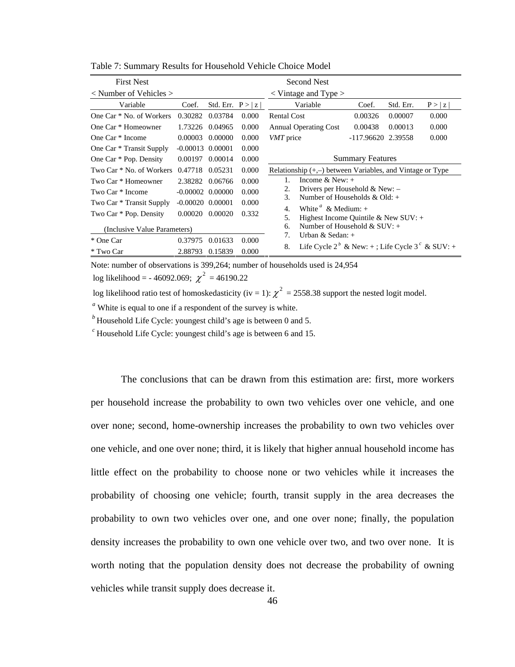| <b>First Nest</b>                                     |                      |                     |                                                                                  | <b>Second Nest</b>                                                           |                                  |           |        |  |  |
|-------------------------------------------------------|----------------------|---------------------|----------------------------------------------------------------------------------|------------------------------------------------------------------------------|----------------------------------|-----------|--------|--|--|
| $\langle$ Number of Vehicles $\rangle$                |                      |                     |                                                                                  | $\langle$ Vintage and Type $\rangle$                                         |                                  |           |        |  |  |
| Variable                                              | Coef.                | Std. Err. $P >  z $ |                                                                                  | Variable                                                                     | Coef.                            | Std. Err. | P >  z |  |  |
| One Car * No. of Workers                              | 0.30282              | 0.03784             | 0.000                                                                            | <b>Rental Cost</b>                                                           | 0.00326                          | 0.00007   | 0.000  |  |  |
| One Car * Homeowner                                   | 1.73226              | 0.04965             | 0.000                                                                            | <b>Annual Operating Cost</b>                                                 | 0.00438                          | 0.00013   | 0.000  |  |  |
| One Car * Income                                      | 0.00003              | 0.00000             | 0.000                                                                            | VMT price                                                                    | -117.96620 2.39558               |           | 0.000  |  |  |
| One Car * Transit Supply                              | $-0.00013$ $0.00001$ |                     | 0.000                                                                            |                                                                              |                                  |           |        |  |  |
| One Car * Pop. Density<br>0.00197<br>0.00014<br>0.000 |                      |                     |                                                                                  | <b>Summary Features</b>                                                      |                                  |           |        |  |  |
| Two Car * No. of Workers                              | 0.47718              | 0.05231             | 0.000                                                                            | Relationship $(+,-)$ between Variables, and Vintage or Type                  |                                  |           |        |  |  |
| Two Car * Homeowner                                   | 2.38282              | 0.06766             | 0.000                                                                            | Income $& New: +$<br>1.                                                      |                                  |           |        |  |  |
| Two Car * Income                                      | $-0.00002$ $0.00000$ |                     | 0.000                                                                            | 2.<br>Number of Households & Old: $+$<br>3.                                  | Drivers per Household & New: $-$ |           |        |  |  |
| Two Car * Transit Supply                              | $-0.00020$ $0.00001$ |                     | 0.000                                                                            |                                                                              |                                  |           |        |  |  |
| Two Car * Pop. Density                                | 0.00020              | 0.00020             | 0.332                                                                            | White $a^a \& \text{Median:} +$<br>4.<br>5.                                  |                                  |           |        |  |  |
| (Inclusive Value Parameters)                          |                      |                     | Highest Income Quintile & New SUV: $+$<br>Number of Household $&$ SUV: $+$<br>6. |                                                                              |                                  |           |        |  |  |
| * One Car                                             | 0.37975              | 0.01633             | 0.000                                                                            | 7.<br>Urban & Sedan: $+$                                                     |                                  |           |        |  |  |
| * Two Car                                             | 2.88793              | 0.15839             | 0.000                                                                            | Life Cycle 2 <sup>b</sup> & New: +; Life Cycle 3 <sup>c</sup> & SUV: +<br>8. |                                  |           |        |  |  |

Table 7: Summary Results for Household Vehicle Choice Model

Note: number of observations is 399,264; number of households used is 24,954

log likelihood = - 46092.069;  $\chi^2$  = 46190.22

log likelihood ratio test of homoskedasticity (iv = 1):  $\chi^2$  = 2558.38 support the nested logit model.

*<sup>a</sup>* White is equal to one if a respondent of the survey is white.

<sup>*b*</sup> Household Life Cycle: youngest child's age is between 0 and 5.

*c* Household Life Cycle: youngest child's age is between 6 and 15.

The conclusions that can be drawn from this estimation are: first, more workers per household increase the probability to own two vehicles over one vehicle, and one over none; second, home-ownership increases the probability to own two vehicles over one vehicle, and one over none; third, it is likely that higher annual household income has little effect on the probability to choose none or two vehicles while it increases the probability of choosing one vehicle; fourth, transit supply in the area decreases the probability to own two vehicles over one, and one over none; finally, the population density increases the probability to own one vehicle over two, and two over none. It is worth noting that the population density does not decrease the probability of owning vehicles while transit supply does decrease it.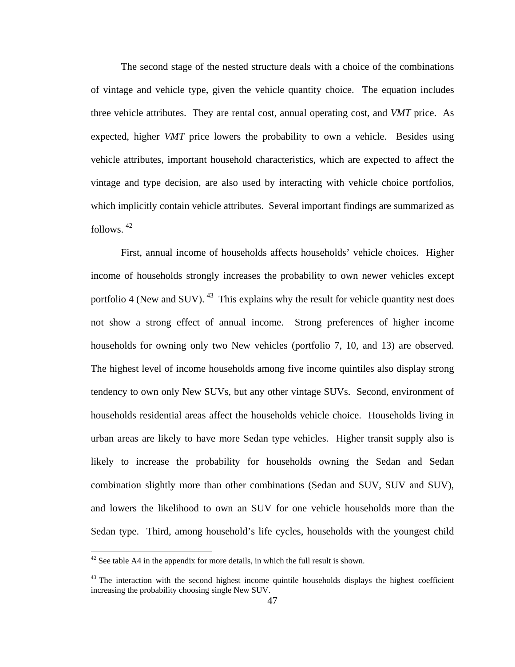The second stage of the nested structure deals with a choice of the combinations of vintage and vehicle type, given the vehicle quantity choice. The equation includes three vehicle attributes. They are rental cost, annual operating cost, and *VMT* price. As expected, higher *VMT* price lowers the probability to own a vehicle. Besides using vehicle attributes, important household characteristics, which are expected to affect the vintage and type decision, are also used by interacting with vehicle choice portfolios, which implicitly contain vehicle attributes. Several important findings are summarized as follows. [42](#page-55-0)

First, annual income of households affects households' vehicle choices. Higher income of households strongly increases the probability to own newer vehicles except portfolio 4 (New and SUV). <sup>[43](#page-55-1)</sup> This explains why the result for vehicle quantity nest does not show a strong effect of annual income. Strong preferences of higher income households for owning only two New vehicles (portfolio 7, 10, and 13) are observed. The highest level of income households among five income quintiles also display strong tendency to own only New SUVs, but any other vintage SUVs. Second, environment of households residential areas affect the households vehicle choice. Households living in urban areas are likely to have more Sedan type vehicles. Higher transit supply also is likely to increase the probability for households owning the Sedan and Sedan combination slightly more than other combinations (Sedan and SUV, SUV and SUV), and lowers the likelihood to own an SUV for one vehicle households more than the Sedan type. Third, among household's life cycles, households with the youngest child

<span id="page-55-0"></span> $42$  See table A4 in the appendix for more details, in which the full result is shown.

<span id="page-55-1"></span> $43$  The interaction with the second highest income quintile households displays the highest coefficient increasing the probability choosing single New SUV.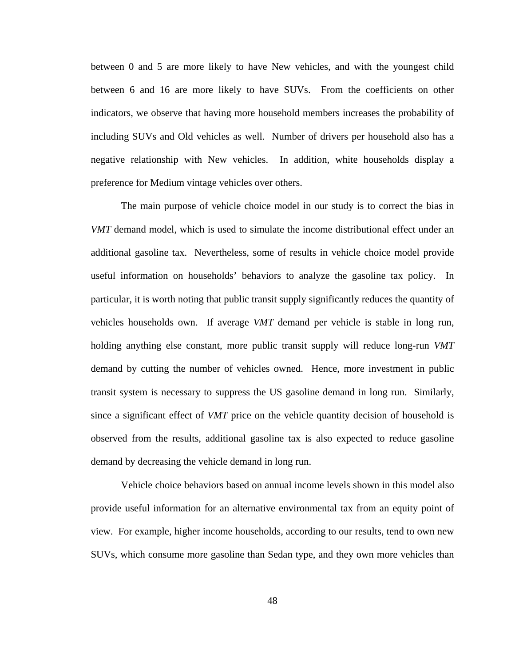between 0 and 5 are more likely to have New vehicles, and with the youngest child between 6 and 16 are more likely to have SUVs. From the coefficients on other indicators, we observe that having more household members increases the probability of including SUVs and Old vehicles as well. Number of drivers per household also has a negative relationship with New vehicles. In addition, white households display a preference for Medium vintage vehicles over others.

 The main purpose of vehicle choice model in our study is to correct the bias in *VMT* demand model, which is used to simulate the income distributional effect under an additional gasoline tax. Nevertheless, some of results in vehicle choice model provide useful information on households' behaviors to analyze the gasoline tax policy. In particular, it is worth noting that public transit supply significantly reduces the quantity of vehicles households own. If average *VMT* demand per vehicle is stable in long run, holding anything else constant, more public transit supply will reduce long-run *VMT* demand by cutting the number of vehicles owned. Hence, more investment in public transit system is necessary to suppress the US gasoline demand in long run. Similarly, since a significant effect of *VMT* price on the vehicle quantity decision of household is observed from the results, additional gasoline tax is also expected to reduce gasoline demand by decreasing the vehicle demand in long run.

 Vehicle choice behaviors based on annual income levels shown in this model also provide useful information for an alternative environmental tax from an equity point of view. For example, higher income households, according to our results, tend to own new SUVs, which consume more gasoline than Sedan type, and they own more vehicles than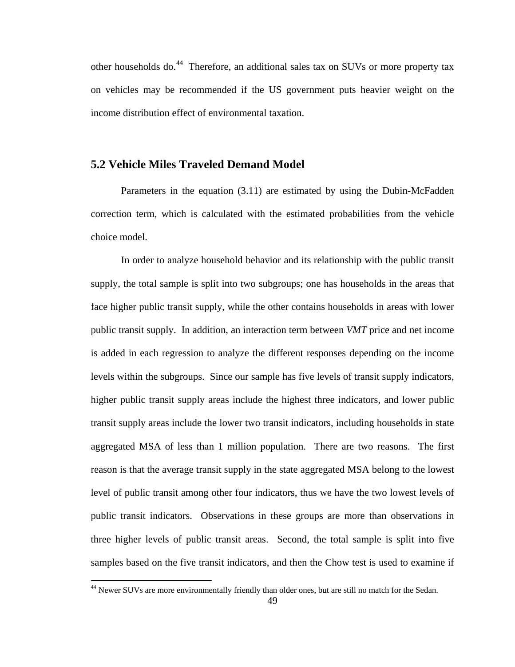other households do.[44](#page-57-0) Therefore, an additional sales tax on SUVs or more property tax on vehicles may be recommended if the US government puts heavier weight on the income distribution effect of environmental taxation.

## **5.2 Vehicle Miles Traveled Demand Model**

Parameters in the equation (3.11) are estimated by using the Dubin-McFadden correction term, which is calculated with the estimated probabilities from the vehicle choice model.

In order to analyze household behavior and its relationship with the public transit supply, the total sample is split into two subgroups; one has households in the areas that face higher public transit supply, while the other contains households in areas with lower public transit supply. In addition, an interaction term between *VMT* price and net income is added in each regression to analyze the different responses depending on the income levels within the subgroups. Since our sample has five levels of transit supply indicators, higher public transit supply areas include the highest three indicators, and lower public transit supply areas include the lower two transit indicators, including households in state aggregated MSA of less than 1 million population. There are two reasons. The first reason is that the average transit supply in the state aggregated MSA belong to the lowest level of public transit among other four indicators, thus we have the two lowest levels of public transit indicators. Observations in these groups are more than observations in three higher levels of public transit areas. Second, the total sample is split into five samples based on the five transit indicators, and then the Chow test is used to examine if

<span id="page-57-0"></span><sup>&</sup>lt;sup>44</sup> Newer SUVs are more environmentally friendly than older ones, but are still no match for the Sedan.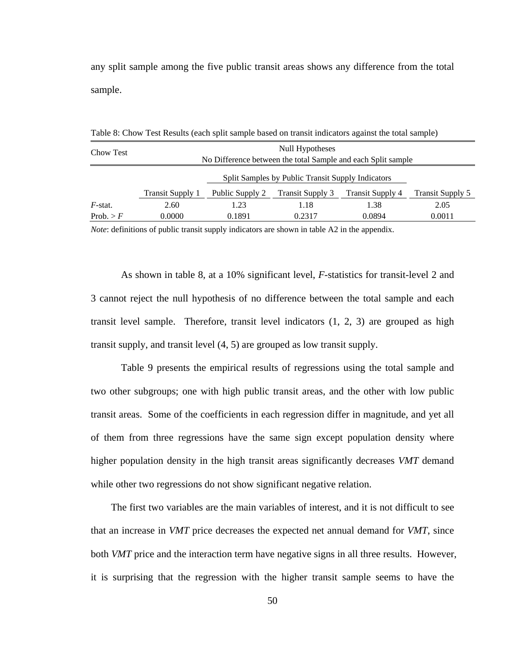any split sample among the five public transit areas shows any difference from the total sample.

Null Hypotheses Chow Test No Difference between the total Sample and each Split sample Split Samples by Public Transit Supply Indicators Transit Supply 1 Public Supply 2 Transit Supply 3 Transit Supply 4 Transit Supply 5 *F*-stat. 2.60 1.23 1.18 1.38 2.05 Prob.  $> F$  0.0000 0.1891 0.2317 0.0894 0.0011

Table 8: Chow Test Results (each split sample based on transit indicators against the total sample)

*Note*: definitions of public transit supply indicators are shown in table A2 in the appendix.

As shown in table 8, at a 10% significant level, *F*-statistics for transit-level 2 and 3 cannot reject the null hypothesis of no difference between the total sample and each transit level sample. Therefore, transit level indicators  $(1, 2, 3)$  are grouped as high transit supply, and transit level (4, 5) are grouped as low transit supply.

Table 9 presents the empirical results of regressions using the total sample and two other subgroups; one with high public transit areas, and the other with low public transit areas. Some of the coefficients in each regression differ in magnitude, and yet all of them from three regressions have the same sign except population density where higher population density in the high transit areas significantly decreases *VMT* demand while other two regressions do not show significant negative relation.

The first two variables are the main variables of interest, and it is not difficult to see that an increase in *VMT* price decreases the expected net annual demand for *VMT*, since both *VMT* price and the interaction term have negative signs in all three results. However, it is surprising that the regression with the higher transit sample seems to have the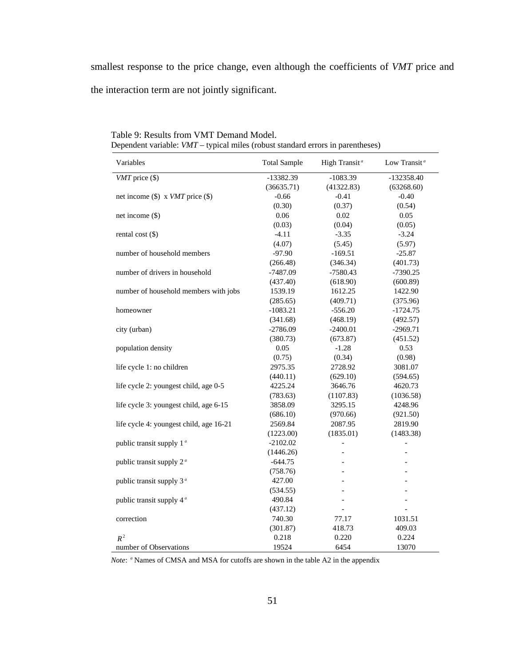smallest response to the price change, even although the coefficients of *VMT* price and the interaction term are not jointly significant.

| Variables                               | <b>Total Sample</b> | High Transit <sup>a</sup> | Low Transit <sup>a</sup> |
|-----------------------------------------|---------------------|---------------------------|--------------------------|
| $VMT$ price $(\$)$                      | -13382.39           | $-1083.39$                | $-132358.40$             |
|                                         | (36635.71)          | (41322.83)                | (63268.60)               |
| net income $(\$)$ x VMT price $(\$)$    | $-0.66$             | $-0.41$                   | $-0.40$                  |
|                                         | (0.30)              | (0.37)                    | (0.54)                   |
| net income (\$)                         | 0.06                | 0.02                      | 0.05                     |
|                                         | (0.03)              | (0.04)                    | (0.05)                   |
| rental cost $(\$)$                      | $-4.11$             | $-3.35$                   | $-3.24$                  |
|                                         | (4.07)              | (5.45)                    | (5.97)                   |
| number of household members             | $-97.90$            | $-169.51$                 | $-25.87$                 |
|                                         | (266.48)            | (346.34)                  | (401.73)                 |
| number of drivers in household          | $-7487.09$          | $-7580.43$                | $-7390.25$               |
|                                         | (437.40)            | (618.90)                  | (600.89)                 |
| number of household members with jobs   | 1539.19             | 1612.25                   | 1422.90                  |
|                                         | (285.65)            | (409.71)                  | (375.96)                 |
| homeowner                               | $-1083.21$          | $-556.20$                 | $-1724.75$               |
|                                         | (341.68)            | (468.19)                  | (492.57)                 |
| city (urban)                            | $-2786.09$          | $-2400.01$                | $-2969.71$               |
|                                         | (380.73)            | (673.87)                  | (451.52)                 |
| population density                      | 0.05                | $-1.28$                   | 0.53                     |
|                                         | (0.75)              | (0.34)                    | (0.98)                   |
| life cycle 1: no children               | 2975.35             | 2728.92                   | 3081.07                  |
|                                         | (440.11)            | (629.10)                  | (594.65)                 |
| life cycle 2: youngest child, age 0-5   | 4225.24             | 3646.76                   | 4620.73                  |
|                                         | (783.63)            | (1107.83)                 | (1036.58)                |
| life cycle 3: youngest child, age 6-15  | 3858.09             | 3295.15                   | 4248.96                  |
|                                         | (686.10)            | (970.66)                  | (921.50)                 |
| life cycle 4: youngest child, age 16-21 | 2569.84             | 2087.95                   | 2819.90                  |
|                                         | (1223.00)           | (1835.01)                 | (1483.38)                |
| public transit supply 1 <sup>a</sup>    | $-2102.02$          | $\overline{\phantom{0}}$  | $\overline{\phantom{0}}$ |
|                                         | (1446.26)           | $\overline{a}$            | $\overline{a}$           |
| public transit supply 2 <sup>a</sup>    | $-644.75$           |                           |                          |
|                                         | (758.76)            |                           | $\overline{\phantom{0}}$ |
| public transit supply 3 <sup>a</sup>    | 427.00              |                           | $\frac{1}{2}$            |
|                                         | (534.55)            | $\overline{a}$            | $\qquad \qquad -$        |
| public transit supply 4 <sup>a</sup>    | 490.84              | $\overline{a}$            | $\overline{a}$           |
|                                         | (437.12)            |                           |                          |
| correction                              | 740.30              | 77.17                     | 1031.51                  |
|                                         | (301.87)            | 418.73                    | 409.03                   |
| $R^2$                                   | 0.218               | 0.220                     | 0.224                    |
| number of Observations                  | 19524               | 6454                      | 13070                    |

Table 9: Results from VMT Demand Model. Dependent variable: *VMT* – typical miles (robust standard errors in parentheses)

*Note*: *<sup>a</sup>* Names of CMSA and MSA for cutoffs are shown in the table A2 in the appendix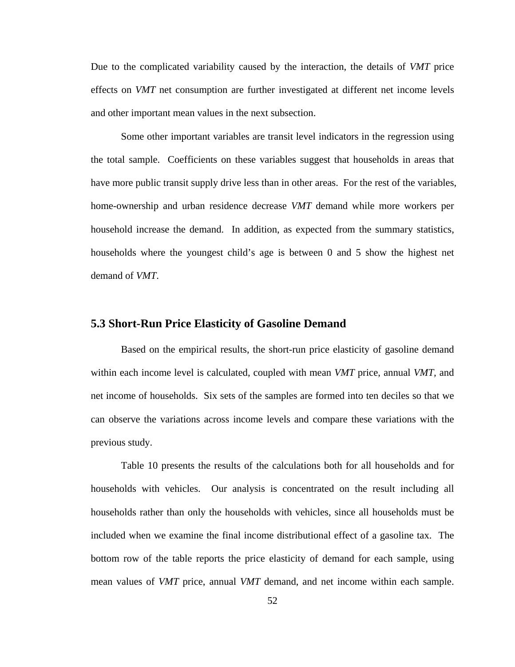Due to the complicated variability caused by the interaction, the details of *VMT* price effects on *VMT* net consumption are further investigated at different net income levels and other important mean values in the next subsection.

Some other important variables are transit level indicators in the regression using the total sample. Coefficients on these variables suggest that households in areas that have more public transit supply drive less than in other areas. For the rest of the variables, home-ownership and urban residence decrease *VMT* demand while more workers per household increase the demand. In addition, as expected from the summary statistics, households where the youngest child's age is between 0 and 5 show the highest net demand of *VMT*.

#### **5.3 Short-Run Price Elasticity of Gasoline Demand**

 Based on the empirical results, the short-run price elasticity of gasoline demand within each income level is calculated, coupled with mean *VMT* price, annual *VMT,* and net income of households. Six sets of the samples are formed into ten deciles so that we can observe the variations across income levels and compare these variations with the previous study.

Table 10 presents the results of the calculations both for all households and for households with vehicles. Our analysis is concentrated on the result including all households rather than only the households with vehicles, since all households must be included when we examine the final income distributional effect of a gasoline tax. The bottom row of the table reports the price elasticity of demand for each sample, using mean values of *VMT* price, annual *VMT* demand, and net income within each sample.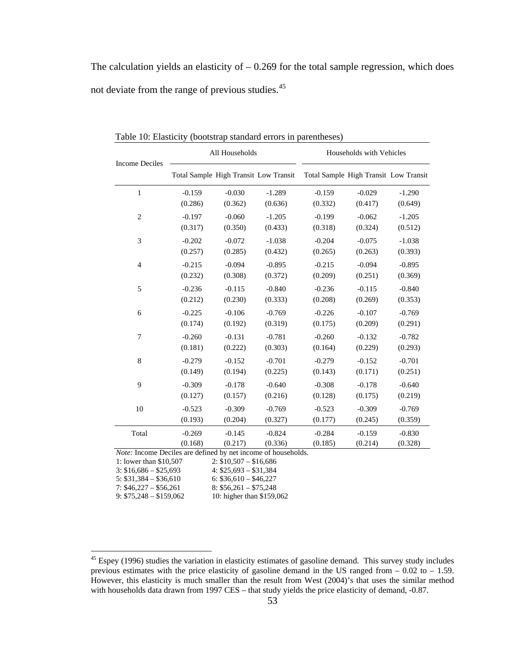The calculation yields an elasticity of  $-0.269$  for the total sample regression, which does not deviate from the range of previous studies.[45](#page-61-0)

| <b>Income Deciles</b> |                                       | All Households |          | Households with Vehicles              |          |          |  |
|-----------------------|---------------------------------------|----------------|----------|---------------------------------------|----------|----------|--|
|                       | Total Sample High Transit Low Transit |                |          | Total Sample High Transit Low Transit |          |          |  |
| $\mathbf{1}$          | $-0.159$                              | $-0.030$       | $-1.289$ | $-0.159$                              | $-0.029$ | $-1.290$ |  |
|                       | (0.286)                               | (0.362)        | (0.636)  | (0.332)                               | (0.417)  | (0.649)  |  |
| 2                     | $-0.197$                              | $-0.060$       | $-1.205$ | $-0.199$                              | $-0.062$ | $-1.205$ |  |
|                       | (0.317)                               | (0.350)        | (0.433)  | (0.318)                               | (0.324)  | (0.512)  |  |
| 3                     | $-0.202$                              | $-0.072$       | $-1.038$ | $-0.204$                              | $-0.075$ | $-1.038$ |  |
|                       | (0.257)                               | (0.285)        | (0.432)  | (0.265)                               | (0.263)  | (0.393)  |  |
| $\overline{4}$        | $-0.215$                              | $-0.094$       | $-0.895$ | $-0.215$                              | $-0.094$ | $-0.895$ |  |
|                       | (0.232)                               | (0.308)        | (0.372)  | (0.209)                               | (0.251)  | (0.369)  |  |
| 5                     | $-0.236$                              | $-0.115$       | $-0.840$ | $-0.236$                              | $-0.115$ | $-0.840$ |  |
|                       | (0.212)                               | (0.230)        | (0.333)  | (0.208)                               | (0.269)  | (0.353)  |  |
| 6                     | $-0.225$                              | $-0.106$       | $-0.769$ | $-0.226$                              | $-0.107$ | $-0.769$ |  |
|                       | (0.174)                               | (0.192)        | (0.319)  | (0.175)                               | (0.209)  | (0.291)  |  |
| 7                     | $-0.260$                              | $-0.131$       | $-0.781$ | $-0.260$                              | $-0.132$ | $-0.782$ |  |
|                       | (0.181)                               | (0.222)        | (0.303)  | (0.164)                               | (0.229)  | (0.293)  |  |
| 8                     | $-0.279$                              | $-0.152$       | $-0.701$ | $-0.279$                              | $-0.152$ | $-0.701$ |  |
|                       | (0.149)                               | (0.194)        | (0.225)  | (0.143)                               | (0.171)  | (0.251)  |  |
| 9                     | $-0.309$                              | $-0.178$       | $-0.640$ | $-0.308$                              | $-0.178$ | $-0.640$ |  |
|                       | (0.127)                               | (0.157)        | (0.216)  | (0.128)                               | (0.175)  | (0.219)  |  |
| 10                    | $-0.523$                              | $-0.309$       | $-0.769$ | $-0.523$                              | $-0.309$ | $-0.769$ |  |
|                       | (0.193)                               | (0.204)        | (0.327)  | (0.177)                               | (0.245)  | (0.359)  |  |
| Total                 | $-0.269$                              | $-0.145$       | $-0.824$ | $-0.284$                              | $-0.159$ | $-0.830$ |  |
|                       | (0.168)                               | (0.217)        | (0.336)  | (0.185)                               | (0.214)  | (0.328)  |  |

Table 10: Elasticity (bootstrap standard errors in parentheses)

*Note:* Income Deciles are defined by net income of households.

|                         | ----- - - , --- . ---- ----- -- --- --- |
|-------------------------|-----------------------------------------|
| 1: lower than \$10,507  | $2: $10,507 - $16,686$                  |
| $3: $16,686 - $25,693$  | $4: $25,693 - $31,384$                  |
| $5: $31,384 - $36,610$  | $6: $36,610 - $46,227$                  |
| $7: $46,227 - $56,261$  | $8: $56,261 - $75,248$                  |
| $9: $75,248 - $159,062$ | 10: higher than \$159,062               |
|                         |                                         |

<span id="page-61-0"></span> $45$  Espey (1996) studies the variation in elasticity estimates of gasoline demand. This survey study includes previous estimates with the price elasticity of gasoline demand in the US ranged from  $-0.02$  to  $-1.59$ . However, this elasticity is much smaller than the result from West (2004)'s that uses the similar method with households data drawn from 1997 CES – that study yields the price elasticity of demand, -0.87.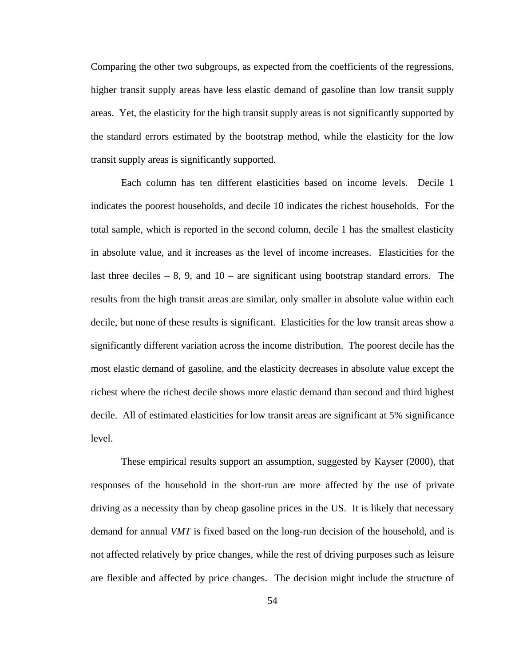Comparing the other two subgroups, as expected from the coefficients of the regressions, higher transit supply areas have less elastic demand of gasoline than low transit supply areas. Yet, the elasticity for the high transit supply areas is not significantly supported by the standard errors estimated by the bootstrap method, while the elasticity for the low transit supply areas is significantly supported.

Each column has ten different elasticities based on income levels. Decile 1 indicates the poorest households, and decile 10 indicates the richest households. For the total sample, which is reported in the second column, decile 1 has the smallest elasticity in absolute value, and it increases as the level of income increases. Elasticities for the last three deciles  $-8$ , 9, and 10 – are significant using bootstrap standard errors. The results from the high transit areas are similar, only smaller in absolute value within each decile, but none of these results is significant. Elasticities for the low transit areas show a significantly different variation across the income distribution. The poorest decile has the most elastic demand of gasoline, and the elasticity decreases in absolute value except the richest where the richest decile shows more elastic demand than second and third highest decile. All of estimated elasticities for low transit areas are significant at 5% significance level.

These empirical results support an assumption, suggested by Kayser (2000), that responses of the household in the short-run are more affected by the use of private driving as a necessity than by cheap gasoline prices in the US. It is likely that necessary demand for annual *VMT* is fixed based on the long-run decision of the household, and is not affected relatively by price changes, while the rest of driving purposes such as leisure are flexible and affected by price changes. The decision might include the structure of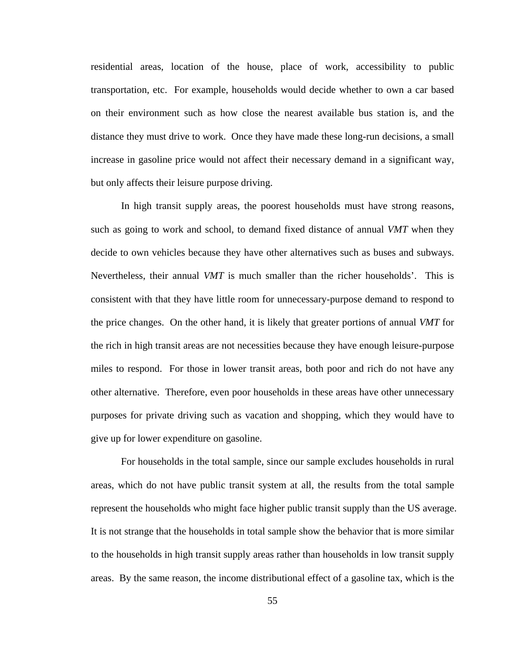residential areas, location of the house, place of work, accessibility to public transportation, etc. For example, households would decide whether to own a car based on their environment such as how close the nearest available bus station is, and the distance they must drive to work. Once they have made these long-run decisions, a small increase in gasoline price would not affect their necessary demand in a significant way, but only affects their leisure purpose driving.

In high transit supply areas, the poorest households must have strong reasons, such as going to work and school, to demand fixed distance of annual *VMT* when they decide to own vehicles because they have other alternatives such as buses and subways. Nevertheless, their annual *VMT* is much smaller than the richer households'. This is consistent with that they have little room for unnecessary-purpose demand to respond to the price changes. On the other hand, it is likely that greater portions of annual *VMT* for the rich in high transit areas are not necessities because they have enough leisure-purpose miles to respond. For those in lower transit areas, both poor and rich do not have any other alternative. Therefore, even poor households in these areas have other unnecessary purposes for private driving such as vacation and shopping, which they would have to give up for lower expenditure on gasoline.

For households in the total sample, since our sample excludes households in rural areas, which do not have public transit system at all, the results from the total sample represent the households who might face higher public transit supply than the US average. It is not strange that the households in total sample show the behavior that is more similar to the households in high transit supply areas rather than households in low transit supply areas. By the same reason, the income distributional effect of a gasoline tax, which is the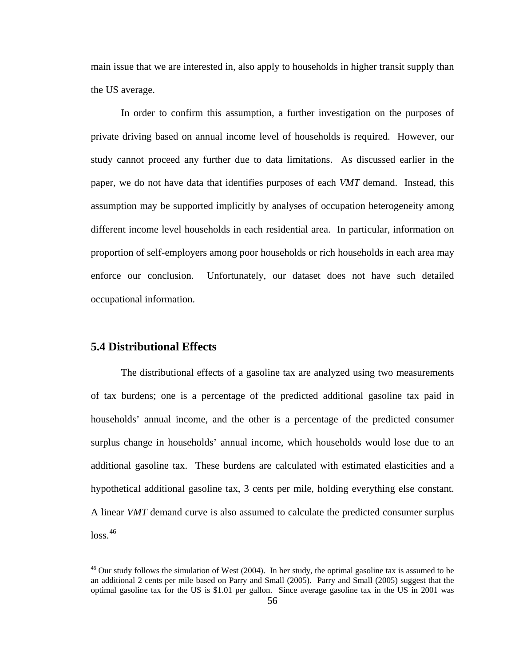main issue that we are interested in, also apply to households in higher transit supply than the US average.

In order to confirm this assumption, a further investigation on the purposes of private driving based on annual income level of households is required. However, our study cannot proceed any further due to data limitations. As discussed earlier in the paper, we do not have data that identifies purposes of each *VMT* demand. Instead, this assumption may be supported implicitly by analyses of occupation heterogeneity among different income level households in each residential area. In particular, information on proportion of self-employers among poor households or rich households in each area may enforce our conclusion. Unfortunately, our dataset does not have such detailed occupational information.

### **5.4 Distributional Effects**

<u>.</u>

 The distributional effects of a gasoline tax are analyzed using two measurements of tax burdens; one is a percentage of the predicted additional gasoline tax paid in households' annual income, and the other is a percentage of the predicted consumer surplus change in households' annual income, which households would lose due to an additional gasoline tax. These burdens are calculated with estimated elasticities and a hypothetical additional gasoline tax, 3 cents per mile, holding everything else constant. A linear *VMT* demand curve is also assumed to calculate the predicted consumer surplus  $loss.<sup>46</sup>$  $loss.<sup>46</sup>$  $loss.<sup>46</sup>$ 

<span id="page-64-0"></span> $46$  Our study follows the simulation of West (2004). In her study, the optimal gasoline tax is assumed to be an additional 2 cents per mile based on Parry and Small (2005). Parry and Small (2005) suggest that the optimal gasoline tax for the US is \$1.01 per gallon. Since average gasoline tax in the US in 2001 was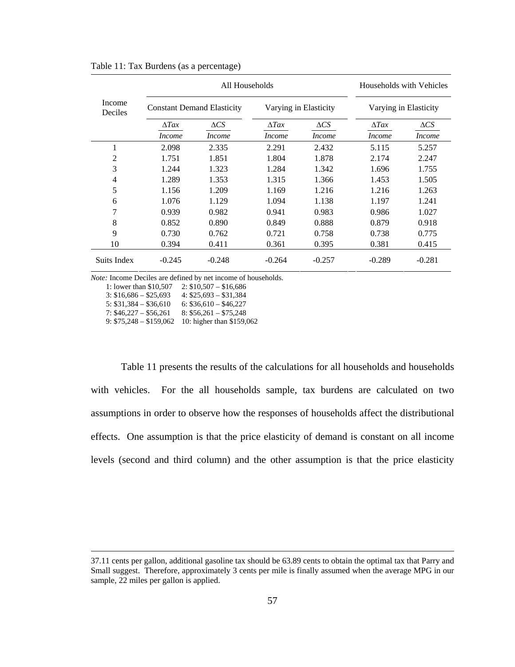|                   |               | All Households                    | Households with Vehicles |                       |                       |                |  |
|-------------------|---------------|-----------------------------------|--------------------------|-----------------------|-----------------------|----------------|--|
| Income<br>Deciles |               | <b>Constant Demand Elasticity</b> |                          | Varying in Elasticity | Varying in Elasticity |                |  |
|                   | $\Lambda$ Tax | $\triangle CS$                    | $\Lambda$ Tax            | $\triangle CS$        | $\Lambda$ Tax         | $\triangle CS$ |  |
|                   | <i>Income</i> | <i>Income</i>                     | <i>Income</i>            | <i>Income</i>         | <i>Income</i>         | <i>Income</i>  |  |
| 1                 | 2.098         | 2.335                             | 2.291                    | 2.432                 | 5.115                 | 5.257          |  |
| 2                 | 1.751         | 1.851                             | 1.804                    | 1.878                 | 2.174                 | 2.247          |  |
| 3                 | 1.244         | 1.323                             | 1.284                    | 1.342                 | 1.696                 | 1.755          |  |
| 4                 | 1.289         | 1.353                             | 1.315                    | 1.366                 | 1.453                 | 1.505          |  |
| 5                 | 1.156         | 1.209                             | 1.169                    | 1.216                 | 1.216                 | 1.263          |  |
| 6                 | 1.076         | 1.129                             | 1.094                    | 1.138                 | 1.197                 | 1.241          |  |
| 7                 | 0.939         | 0.982                             | 0.941                    | 0.983                 | 0.986                 | 1.027          |  |
| 8                 | 0.852         | 0.890                             | 0.849                    | 0.888                 | 0.879                 | 0.918          |  |
| 9                 | 0.730         | 0.762                             | 0.721                    | 0.758                 | 0.738                 | 0.775          |  |
| 10                | 0.394         | 0.411                             | 0.361                    | 0.395                 | 0.381                 | 0.415          |  |
| Suits Index       | $-0.245$      | $-0.248$                          | $-0.264$                 | $-0.257$              | $-0.289$              | $-0.281$       |  |

Table 11: Tax Burdens (as a percentage)

*Note:* Income Deciles are defined by net income of households.

1: lower than \$10,507 2: \$10,507 – \$16,686

3:  $$16,686 - $25,693$  4:  $$25,693 - $31,384$ 

5:  $$31,384 - $36,610$  6:  $$36,610 - $46,227$ 

7:  $$46,227 - $56,261$  8:  $$56,261 - $75,248$ 

9: \$75,248 – \$159,062 10: higher than \$159,062

Table 11 presents the results of the calculations for all households and households with vehicles. For the all households sample, tax burdens are calculated on two assumptions in order to observe how the responses of households affect the distributional effects. One assumption is that the price elasticity of demand is constant on all income levels (second and third column) and the other assumption is that the price elasticity

 <sup>37.11</sup> cents per gallon, additional gasoline tax should be 63.89 cents to obtain the optimal tax that Parry and Small suggest. Therefore, approximately 3 cents per mile is finally assumed when the average MPG in our sample, 22 miles per gallon is applied.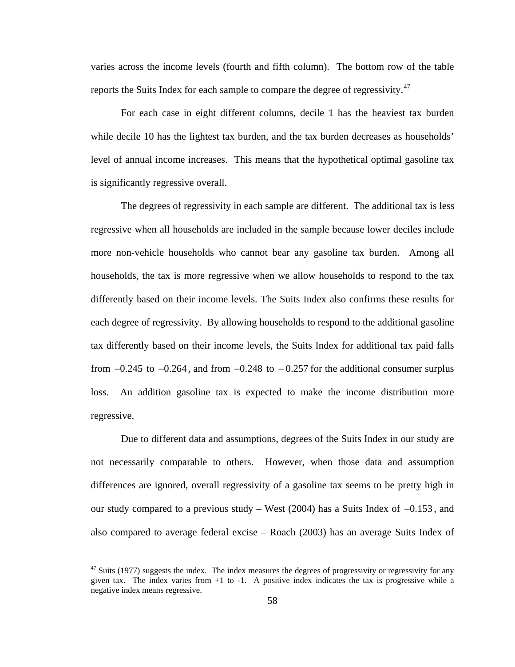varies across the income levels (fourth and fifth column). The bottom row of the table reports the Suits Index for each sample to compare the degree of regressivity. $47$  $47$ 

For each case in eight different columns, decile 1 has the heaviest tax burden while decile 10 has the lightest tax burden, and the tax burden decreases as households' level of annual income increases. This means that the hypothetical optimal gasoline tax is significantly regressive overall.

The degrees of regressivity in each sample are different. The additional tax is less regressive when all households are included in the sample because lower deciles include more non-vehicle households who cannot bear any gasoline tax burden. Among all households, the tax is more regressive when we allow households to respond to the tax differently based on their income levels. The Suits Index also confirms these results for each degree of regressivity. By allowing households to respond to the additional gasoline tax differently based on their income levels, the Suits Index for additional tax paid falls from  $-0.245$  to  $-0.264$ , and from  $-0.248$  to  $-0.257$  for the additional consumer surplus loss. An addition gasoline tax is expected to make the income distribution more regressive.

Due to different data and assumptions, degrees of the Suits Index in our study are not necessarily comparable to others. However, when those data and assumption differences are ignored, overall regressivity of a gasoline tax seems to be pretty high in our study compared to a previous study – West (2004) has a Suits Index of −0.153 , and also compared to average federal excise – Roach (2003) has an average Suits Index of

<span id="page-66-0"></span> $47$  Suits (1977) suggests the index. The index measures the degrees of progressivity or regressivity for any given tax. The index varies from  $+1$  to  $-1$ . A positive index indicates the tax is progressive while a negative index means regressive.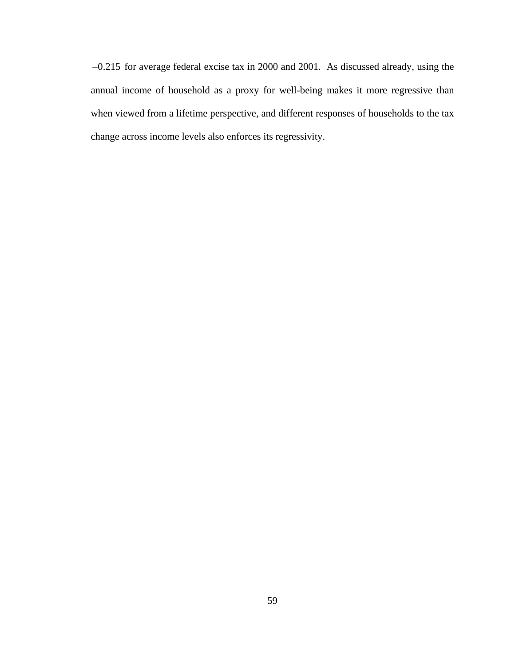−0.215 for average federal excise tax in 2000 and 2001. As discussed already, using the annual income of household as a proxy for well-being makes it more regressive than when viewed from a lifetime perspective, and different responses of households to the tax change across income levels also enforces its regressivity.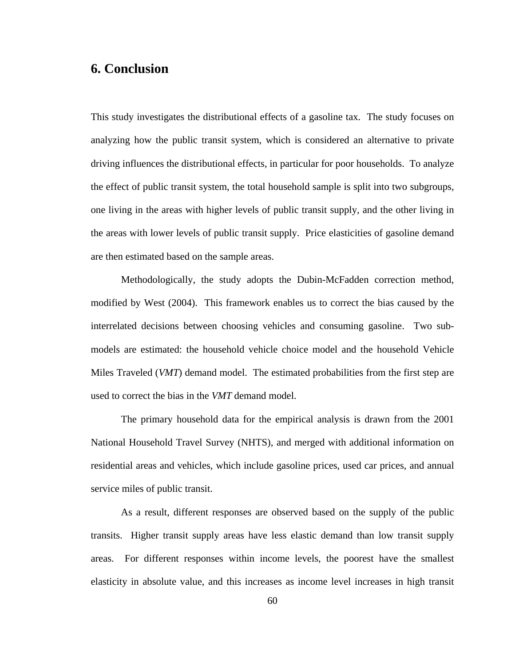# **6. Conclusion**

This study investigates the distributional effects of a gasoline tax. The study focuses on analyzing how the public transit system, which is considered an alternative to private driving influences the distributional effects, in particular for poor households. To analyze the effect of public transit system, the total household sample is split into two subgroups, one living in the areas with higher levels of public transit supply, and the other living in the areas with lower levels of public transit supply. Price elasticities of gasoline demand are then estimated based on the sample areas.

 Methodologically, the study adopts the Dubin-McFadden correction method, modified by West (2004). This framework enables us to correct the bias caused by the interrelated decisions between choosing vehicles and consuming gasoline. Two submodels are estimated: the household vehicle choice model and the household Vehicle Miles Traveled (*VMT*) demand model. The estimated probabilities from the first step are used to correct the bias in the *VMT* demand model.

The primary household data for the empirical analysis is drawn from the 2001 National Household Travel Survey (NHTS), and merged with additional information on residential areas and vehicles, which include gasoline prices, used car prices, and annual service miles of public transit.

As a result, different responses are observed based on the supply of the public transits. Higher transit supply areas have less elastic demand than low transit supply areas. For different responses within income levels, the poorest have the smallest elasticity in absolute value, and this increases as income level increases in high transit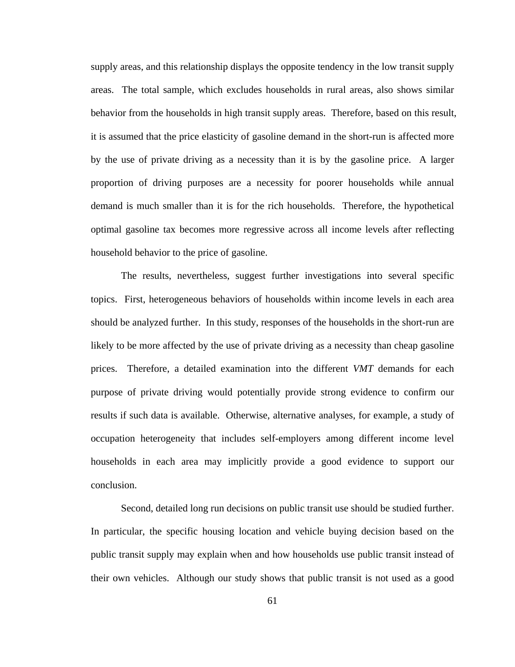supply areas, and this relationship displays the opposite tendency in the low transit supply areas. The total sample, which excludes households in rural areas, also shows similar behavior from the households in high transit supply areas. Therefore, based on this result, it is assumed that the price elasticity of gasoline demand in the short-run is affected more by the use of private driving as a necessity than it is by the gasoline price. A larger proportion of driving purposes are a necessity for poorer households while annual demand is much smaller than it is for the rich households. Therefore, the hypothetical optimal gasoline tax becomes more regressive across all income levels after reflecting household behavior to the price of gasoline.

The results, nevertheless, suggest further investigations into several specific topics. First, heterogeneous behaviors of households within income levels in each area should be analyzed further. In this study, responses of the households in the short-run are likely to be more affected by the use of private driving as a necessity than cheap gasoline prices. Therefore, a detailed examination into the different *VMT* demands for each purpose of private driving would potentially provide strong evidence to confirm our results if such data is available. Otherwise, alternative analyses, for example, a study of occupation heterogeneity that includes self-employers among different income level households in each area may implicitly provide a good evidence to support our conclusion.

Second, detailed long run decisions on public transit use should be studied further. In particular, the specific housing location and vehicle buying decision based on the public transit supply may explain when and how households use public transit instead of their own vehicles. Although our study shows that public transit is not used as a good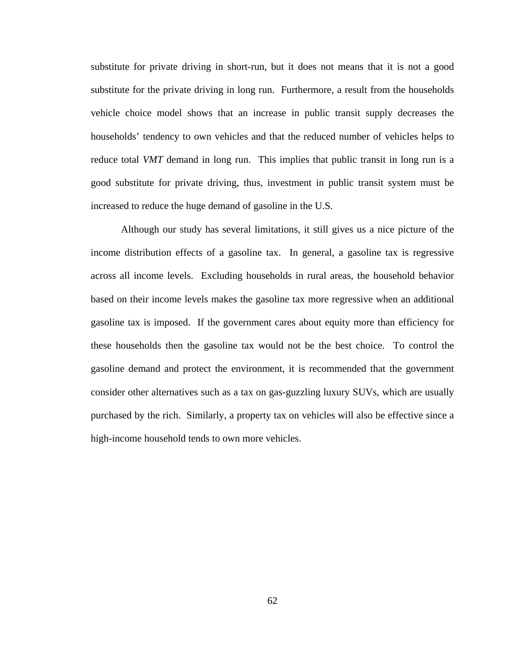substitute for private driving in short-run, but it does not means that it is not a good substitute for the private driving in long run. Furthermore, a result from the households vehicle choice model shows that an increase in public transit supply decreases the households' tendency to own vehicles and that the reduced number of vehicles helps to reduce total *VMT* demand in long run. This implies that public transit in long run is a good substitute for private driving, thus, investment in public transit system must be increased to reduce the huge demand of gasoline in the U.S.

Although our study has several limitations, it still gives us a nice picture of the income distribution effects of a gasoline tax. In general, a gasoline tax is regressive across all income levels. Excluding households in rural areas, the household behavior based on their income levels makes the gasoline tax more regressive when an additional gasoline tax is imposed. If the government cares about equity more than efficiency for these households then the gasoline tax would not be the best choice. To control the gasoline demand and protect the environment, it is recommended that the government consider other alternatives such as a tax on gas-guzzling luxury SUVs, which are usually purchased by the rich. Similarly, a property tax on vehicles will also be effective since a high-income household tends to own more vehicles.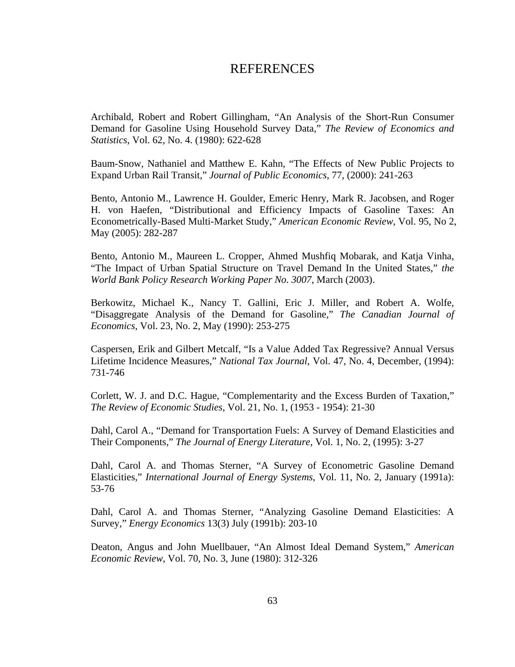# REFERENCES

Archibald, Robert and Robert Gillingham, "An Analysis of the Short-Run Consumer Demand for Gasoline Using Household Survey Data," *The Review of Economics and Statistics*, Vol. 62, No. 4. (1980): 622-628

Baum-Snow, Nathaniel and Matthew E. Kahn, "The Effects of New Public Projects to Expand Urban Rail Transit," *Journal of Public Economics*, 77, (2000): 241-263

Bento, Antonio M., Lawrence H. Goulder, Emeric Henry, Mark R. Jacobsen, and Roger H. von Haefen, "Distributional and Efficiency Impacts of Gasoline Taxes: An Econometrically-Based Multi-Market Study," *American Economic Review*, Vol. 95, No 2, May (2005): 282-287

Bento, Antonio M., Maureen L. Cropper, Ahmed Mushfiq Mobarak, and Katja Vinha, "The Impact of Urban Spatial Structure on Travel Demand In the United States," *the World Bank Policy Research Working Paper No. 3007*, March (2003).

Berkowitz, Michael K., Nancy T. Gallini, Eric J. Miller, and Robert A. Wolfe, "Disaggregate Analysis of the Demand for Gasoline," *The Canadian Journal of Economics*, Vol. 23, No. 2, May (1990): 253-275

Caspersen, Erik and Gilbert Metcalf, "Is a Value Added Tax Regressive? Annual Versus Lifetime Incidence Measures," *National Tax Journal*, Vol. 47, No. 4, December, (1994): 731-746

Corlett, W. J. and D.C. Hague, "Complementarity and the Excess Burden of Taxation," *The Review of Economic Studies*, Vol. 21, No. 1, (1953 - 1954): 21-30

Dahl, Carol A., "Demand for Transportation Fuels: A Survey of Demand Elasticities and Their Components," *The Journal of Energy Literature*, Vol. 1, No. 2, (1995): 3-27

Dahl, Carol A. and Thomas Sterner, "A Survey of Econometric Gasoline Demand Elasticities," *International Journal of Energy Systems*, Vol. 11, No. 2, January (1991a): 53-76

Dahl, Carol A. and Thomas Sterner, "Analyzing Gasoline Demand Elasticities: A Survey," *Energy Economics* 13(3) July (1991b): 203-10

Deaton, Angus and John Muellbauer, "An Almost Ideal Demand System," *American Economic Review*, Vol. 70, No. 3, June (1980): 312-326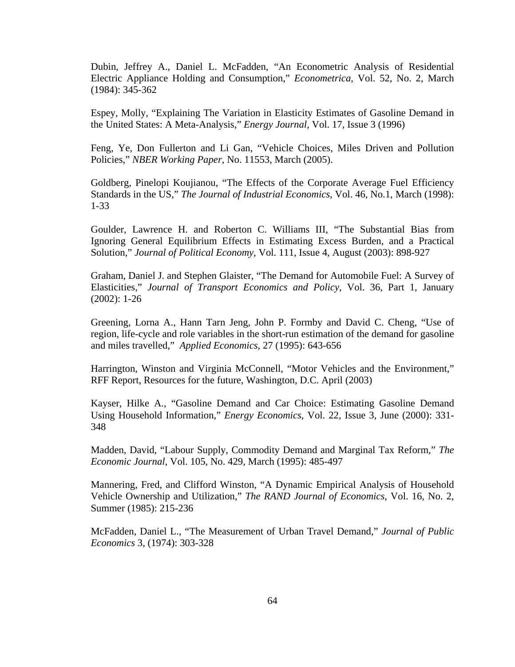Dubin, Jeffrey A., Daniel L. McFadden, "An Econometric Analysis of Residential Electric Appliance Holding and Consumption," *Econometrica*, Vol. 52, No. 2, March (1984): 345-362

Espey, Molly, "Explaining The Variation in Elasticity Estimates of Gasoline Demand in the United States: A Meta-Analysis," *Energy Journal*, Vol. 17, Issue 3 (1996)

Feng, Ye, Don Fullerton and Li Gan, "Vehicle Choices, Miles Driven and Pollution Policies," *NBER Working Paper*, No. 11553, March (2005).

Goldberg, Pinelopi Koujianou, "The Effects of the Corporate Average Fuel Efficiency Standards in the US," *The Journal of Industrial Economics*, Vol. 46, No.1, March (1998): 1-33

Goulder, Lawrence H. and Roberton C. Williams III, "The Substantial Bias from Ignoring General Equilibrium Effects in Estimating Excess Burden, and a Practical Solution," *[Journal of Political Economy](http://ideas.repec.org/s/ucp/jpolec.html)*, Vol. 111, Issue 4, August (2003): 898-927

Graham, Daniel J. and Stephen Glaister, "The Demand for Automobile Fuel: A Survey of Elasticities," *Journal of Transport Economics and Policy*, Vol. 36, Part 1, January (2002): 1-26

Greening, Lorna A., Hann Tarn Jeng, John P. Formby and David C. Cheng, "Use of region, life-cycle and role variables in the short-run estimation of the demand for gasoline and miles travelled," *Applied Economics*, 27 (1995): 643-656

Harrington, Winston and Virginia McConnell, "Motor Vehicles and the Environment," RFF Report, Resources for the future, Washington, D.C. April (2003)

Kayser, Hilke A., "Gasoline Demand and Car Choice: Estimating Gasoline Demand Using Household Information," *Energy Economics*, Vol. 22, Issue 3, June (2000): 331- 348

Madden, David, "Labour Supply, Commodity Demand and Marginal Tax Reform," *The Economic Journal*, Vol. 105, No. 429, March (1995): 485-497

Mannering, Fred, and Clifford Winston, "A Dynamic Empirical Analysis of Household Vehicle Ownership and Utilization," *The RAND Journal of Economics*, Vol. 16, No. 2, Summer (1985): 215-236

McFadden, Daniel L., "The Measurement of Urban Travel Demand," *Journal of Public Economics* 3, (1974): 303-328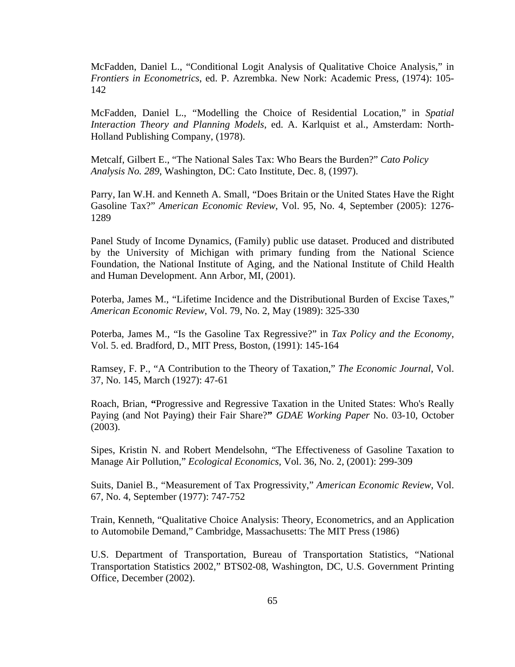McFadden, Daniel L., "Conditional Logit Analysis of Qualitative Choice Analysis," in *Frontiers in Econometrics*, ed. P. Azrembka. New Nork: Academic Press, (1974): 105- 142

McFadden, Daniel L., "Modelling the Choice of Residential Location," in *Spatial Interaction Theory and Planning Models*, ed. A. Karlquist et al., Amsterdam: North-Holland Publishing Company, (1978).

Metcalf, Gilbert E., "The National Sales Tax: Who Bears the Burden?" *Cato Policy Analysis No. 289*, Washington, DC: Cato Institute, Dec. 8, (1997).

Parry, Ian W.H. and Kenneth A. Small, "Does Britain or the United States Have the Right Gasoline Tax?" *American Economic Review*, Vol. 95, No. 4, September (2005): 1276- 1289

Panel Study of Income Dynamics, (Family) public use dataset. Produced and distributed by the University of Michigan with primary funding from the National Science Foundation, the National Institute of Aging, and the National Institute of Child Health and Human Development. Ann Arbor, MI, (2001).

Poterba, James M., "Lifetime Incidence and the Distributional Burden of Excise Taxes," *American Economic Review*, Vol. 79, No. 2, May (1989): 325-330

Poterba, James M., "Is the Gasoline Tax Regressive?" in *Tax Policy and the Economy*, Vol. 5. ed. Bradford, D., MIT Press, Boston, (1991): 145-164

Ramsey, F. P., "A Contribution to the Theory of Taxation," *The Economic Journal*, Vol. 37, No. 145, March (1927): 47-61

Roach, Brian, **"**[Progressive and Regressive Taxation in the United States: Who's Really](http://www.ase.tufts.edu/gdae/Pubs/wp/03-10-Tax_Incidence.pdf)  [Paying \(and Not Paying\) their Fair Share?](http://www.ase.tufts.edu/gdae/Pubs/wp/03-10-Tax_Incidence.pdf)**"** *GDAE Working Paper* No. 03-10, October (2003).

Sipes, Kristin N. and Robert Mendelsohn, "The Effectiveness of Gasoline Taxation to Manage Air Pollution," *Ecological Economics*, Vol. 36, No. 2, (2001): 299-309

Suits, Daniel B., "Measurement of Tax Progressivity," *American Economic Review*, Vol. 67, No. 4, September (1977): 747-752

Train, Kenneth, "Qualitative Choice Analysis: Theory, Econometrics, and an Application to Automobile Demand," Cambridge, Massachusetts: The MIT Press (1986)

U.S. Department of Transportation, Bureau of Transportation Statistics, "National Transportation Statistics 2002," BTS02-08, Washington, DC, U.S. Government Printing Office, December (2002).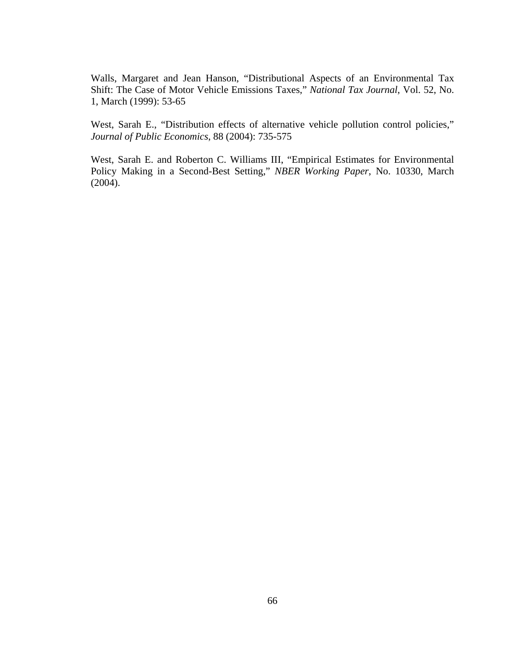Walls, Margaret and Jean Hanson, "Distributional Aspects of an Environmental Tax Shift: The Case of Motor Vehicle Emissions Taxes," *National Tax Journal*, Vol. 52, No. 1, March (1999): 53-65

West, Sarah E., "Distribution effects of alternative vehicle pollution control policies," *Journal of Public Economics*, 88 (2004): 735-575

West, Sarah E. and Roberton C. Williams III, "Empirical Estimates for Environmental Policy Making in a Second-Best Setting," *NBER Working Paper*, No. 10330, March (2004).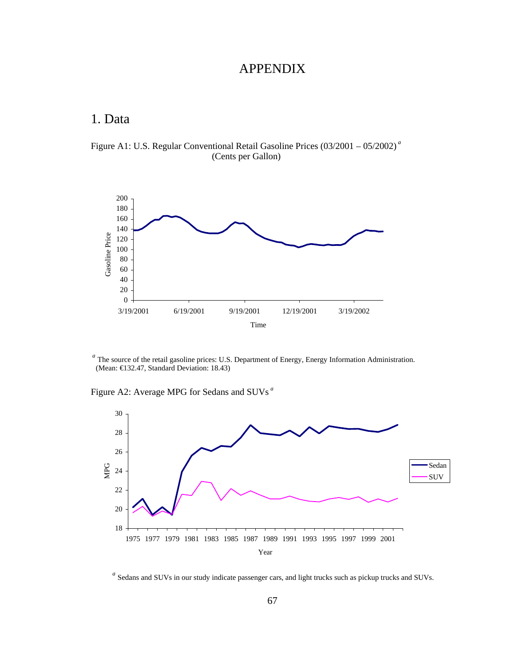## APPENDIX

# 1. Data

Figure A1: U.S. Regular Conventional Retail Gasoline Prices (03/2001 – 05/2002) *<sup>a</sup>* (Cents per Gallon)



*<sup>a</sup>* The source of the retail gasoline prices: U.S. Department of Energy, Energy Information Administration. (Mean: €132.47, Standard Deviation: 18.43)

Figure A2: Average MPG for Sedans and SUVs *<sup>a</sup>*



*<sup>a</sup>* Sedans and SUVs in our study indicate passenger cars, and light trucks such as pickup trucks and SUVs.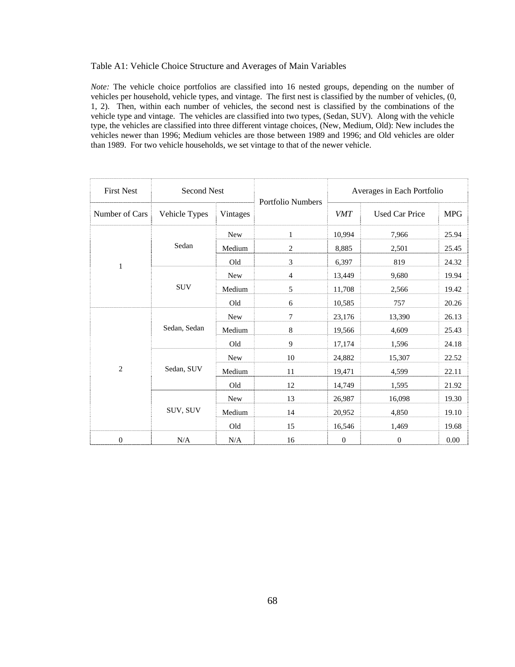#### Table A1: Vehicle Choice Structure and Averages of Main Variables

*Note:* The vehicle choice portfolios are classified into 16 nested groups, depending on the number of vehicles per household, vehicle types, and vintage. The first nest is classified by the number of vehicles, (0, 1, 2). Then, within each number of vehicles, the second nest is classified by the combinations of the vehicle type and vintage. The vehicles are classified into two types, (Sedan, SUV). Along with the vehicle type, the vehicles are classified into three different vintage choices, (New, Medium, Old): New includes the vehicles newer than 1996; Medium vehicles are those between 1989 and 1996; and Old vehicles are older than 1989. For two vehicle households, we set vintage to that of the newer vehicle.

| <b>First Nest</b> | <b>Second Nest</b> |            | <b>Portfolio Numbers</b> | Averages in Each Portfolio |                       |            |
|-------------------|--------------------|------------|--------------------------|----------------------------|-----------------------|------------|
| Number of Cars    | Vehicle Types      | Vintages   |                          | <b>VMT</b>                 | <b>Used Car Price</b> | <b>MPG</b> |
|                   |                    | New        | 1                        | 10,994                     | 7,966                 | 25.94      |
|                   | Sedan              | Medium     | 2                        | 8,885                      | 2,501                 | 25.45      |
| $\mathbf{1}$      |                    | Old        | 3                        | 6,397                      | 819                   | 24.32      |
|                   |                    | <b>New</b> | $\overline{4}$           | 13,449                     | 9,680                 | 19.94      |
|                   | <b>SUV</b>         | Medium     | 5                        | 11,708                     | 2,566                 | 19.42      |
|                   |                    | Old        | 6                        | 10,585                     | 757                   | 20.26      |
|                   | Sedan, Sedan       | <b>New</b> | $\overline{7}$           | 23,176                     | 13,390                | 26.13      |
|                   |                    | Medium     | 8                        | 19,566                     | 4,609                 | 25.43      |
|                   |                    | Old        | 9                        | 17,174                     | 1,596                 | 24.18      |
|                   | Sedan, SUV         | <b>New</b> | 10                       | 24,882                     | 15,307                | 22.52      |
| $\overline{2}$    |                    | Medium     | 11                       | 19,471                     | 4,599                 | 22.11      |
|                   |                    | Old        | 12                       | 14,749                     | 1,595                 | 21.92      |
|                   |                    | <b>New</b> | 13                       | 26,987                     | 16,098                | 19.30      |
|                   | SUV, SUV           | Medium     | 14                       | 20,952                     | 4,850                 | 19.10      |
|                   |                    | Old        | 15                       | 16,546                     | 1,469                 | 19.68      |
| $\boldsymbol{0}$  | N/A                | N/A        | 16                       | $\boldsymbol{0}$           | $\boldsymbol{0}$      | $0.00\,$   |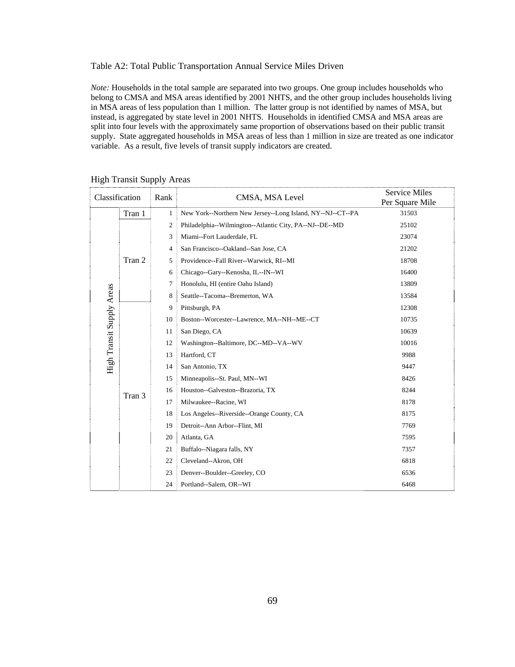Table A2: Total Public Transportation Annual Service Miles Driven

*Note:* Households in the total sample are separated into two groups. One group includes households who belong to CMSA and MSA areas identified by 2001 NHTS, and the other group includes households living in MSA areas of less population than 1 million. The latter group is not identified by names of MSA, but instead, is aggregated by state level in 2001 NHTS. Households in identified CMSA and MSA areas are split into four levels with the approximately same proportion of observations based on their public transit supply. State aggregated households in MSA areas of less than 1 million in size are treated as one indicator variable. As a result, five levels of transit supply indicators are created.

| Classification            |        | Rank | CMSA, MSA Level                                            | <b>Service Miles</b><br>Per Square Mile |
|---------------------------|--------|------|------------------------------------------------------------|-----------------------------------------|
|                           | Tran 1 | 1    | New York--Northern New Jersey--Long Island, NY--NJ--CT--PA | 31503                                   |
|                           |        | 2    | Philadelphia--Wilmington--Atlantic City, PA--NJ--DE--MD    | 25102                                   |
|                           |        | 3    | Miami--Fort Lauderdale, FL                                 | 23074                                   |
|                           |        | 4    | San Francisco--Oakland--San Jose, CA                       | 21202                                   |
|                           | Tran 2 | 5    | Providence--Fall River--Warwick, RI--MI                    | 18708                                   |
|                           |        | 6    | Chicago--Gary--Kenosha, IL--IN--WI                         | 16400                                   |
|                           |        | 7    | Honolulu, HI (entire Oahu Island)                          | 13809                                   |
|                           |        | 8    | Seattle--Tacoma--Bremerton, WA                             | 13584                                   |
| High Transit Supply Areas |        | 9    | Pittsburgh, PA                                             | 12308                                   |
|                           | Tran 3 | 10   | Boston--Worcester--Lawrence, MA--NH--ME--CT                | 10735                                   |
|                           |        | 11   | San Diego, CA                                              | 10639                                   |
|                           |        | 12   | Washington--Baltimore, DC--MD--VA--WV                      | 10016                                   |
|                           |        | 13   | Hartford, CT                                               | 9988                                    |
|                           |        | 14   | San Antonio, TX                                            | 9447                                    |
|                           |        | 15   | Minneapolis--St. Paul, MN--WI                              | 8426                                    |
|                           |        | 16   | Houston--Galveston--Brazoria, TX                           | 8244                                    |
|                           |        | 17   | Milwaukee--Racine, WI                                      | 8178                                    |
|                           |        | 18   | Los Angeles--Riverside--Orange County, CA                  | 8175                                    |
|                           |        | 19   | Detroit--Ann Arbor--Flint, MI                              | 7769                                    |
|                           |        | 20   | Atlanta, GA                                                | 7595                                    |
|                           |        | 21   | Buffalo--Niagara falls, NY                                 | 7357                                    |
|                           |        | 22   | Cleveland--Akron, OH                                       | 6818                                    |
|                           |        | 23   | Denver--Boulder--Greeley, CO                               | 6536                                    |
|                           |        | 24   | Portland--Salem, OR--WI                                    | 6468                                    |

High Transit Supply Areas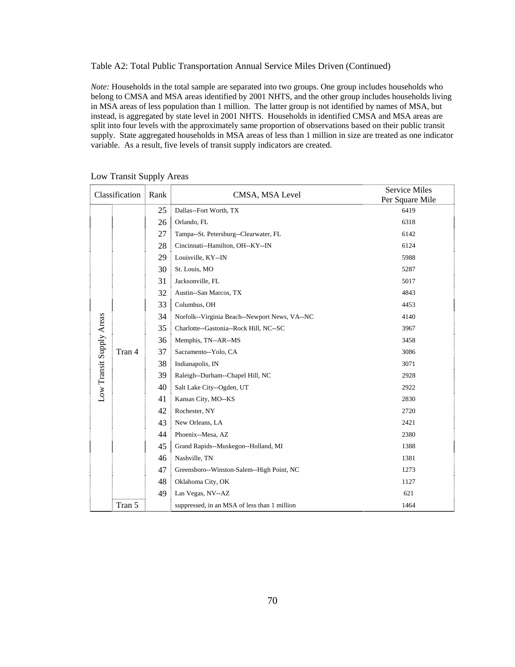Table A2: Total Public Transportation Annual Service Miles Driven (Continued)

*Note:* Households in the total sample are separated into two groups. One group includes households who belong to CMSA and MSA areas identified by 2001 NHTS, and the other group includes households living in MSA areas of less population than 1 million. The latter group is not identified by names of MSA, but instead, is aggregated by state level in 2001 NHTS. Households in identified CMSA and MSA areas are split into four levels with the approximately same proportion of observations based on their public transit supply. State aggregated households in MSA areas of less than 1 million in size are treated as one indicator variable. As a result, five levels of transit supply indicators are created.

| Classification           |        | Rank | CMSA, MSA Level                               | <b>Service Miles</b><br>Per Square Mile |
|--------------------------|--------|------|-----------------------------------------------|-----------------------------------------|
|                          |        | 25   | Dallas--Fort Worth, TX                        | 6419                                    |
|                          |        | 26   | Orlando, FL                                   | 6318                                    |
|                          |        | 27   | Tampa--St. Petersburg--Clearwater, FL         | 6142                                    |
|                          |        | 28   | Cincinnati--Hamilton, OH--KY--IN              | 6124                                    |
|                          |        | 29   | Louisville, KY--IN                            | 5988                                    |
|                          |        | 30   | St. Louis, MO                                 | 5287                                    |
|                          |        | 31   | Jacksonville, FL                              | 5017                                    |
|                          |        | 32   | Austin--San Marcos, TX                        | 4843                                    |
|                          |        | 33   | Columbus, OH                                  | 4453                                    |
|                          | Tran 4 | 34   | Norfolk--Virginia Beach--Newport News, VA--NC | 4140                                    |
|                          |        | 35   | Charlotte--Gastonia--Rock Hill, NC--SC        | 3967                                    |
| Low Transit Supply Areas |        | 36   | Memphis, TN--AR--MS                           | 3458                                    |
|                          |        | 37   | Sacramento--Yolo, CA                          | 3086                                    |
|                          |        | 38   | Indianapolis, IN                              | 3071                                    |
|                          |        | 39   | Raleigh--Durham--Chapel Hill, NC              | 2928                                    |
|                          |        | 40   | Salt Lake City--Ogden, UT                     | 2922                                    |
|                          |        | 41   | Kansas City, MO--KS                           | 2830                                    |
|                          |        | 42   | Rochester, NY                                 | 2720                                    |
|                          |        | 43   | New Orleans, LA                               | 2421                                    |
|                          |        | 44   | Phoenix--Mesa, AZ                             | 2380                                    |
|                          |        | 45   | Grand Rapids--Muskegon--Holland, MI           | 1388                                    |
|                          |        | 46   | Nashville, TN                                 | 1381                                    |
|                          |        | 47   | Greensboro--Winston-Salem--High Point, NC     | 1273                                    |
|                          |        | 48   | Oklahoma City, OK                             | 1127                                    |
|                          |        | 49   | Las Vegas, NV--AZ                             | 621                                     |
|                          | Tran 5 |      | suppressed, in an MSA of less than 1 million  | 1464                                    |

#### Low Transit Supply Areas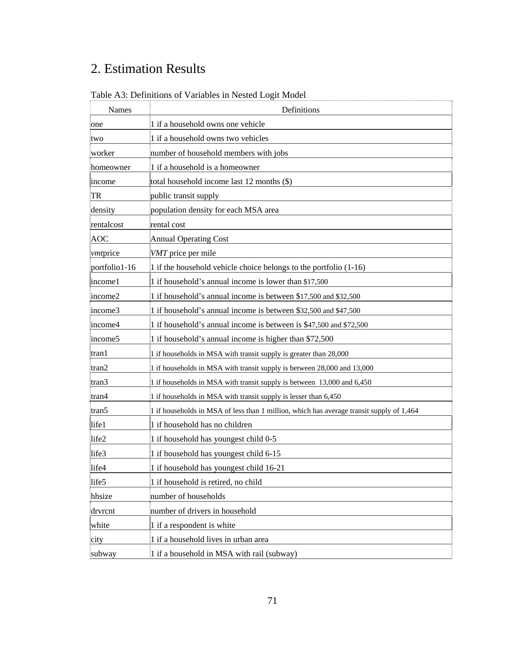# 2. Estimation Results

| Names            | Definitions                                                                              |  |  |  |
|------------------|------------------------------------------------------------------------------------------|--|--|--|
| one              | 1 if a household owns one vehicle                                                        |  |  |  |
| two              | 1 if a household owns two vehicles                                                       |  |  |  |
| worker           | number of household members with jobs                                                    |  |  |  |
| homeowner        | 1 if a household is a homeowner                                                          |  |  |  |
| income           | total household income last 12 months (\$)                                               |  |  |  |
| TR               | public transit supply                                                                    |  |  |  |
| density          | population density for each MSA area                                                     |  |  |  |
| rentalcost       | rental cost                                                                              |  |  |  |
| AOC              | <b>Annual Operating Cost</b>                                                             |  |  |  |
| <i>vmt</i> price | VMT price per mile                                                                       |  |  |  |
| portfolio1-16    | 1 if the household vehicle choice belongs to the portfolio (1-16)                        |  |  |  |
| income1          | 1 if household's annual income is lower than \$17,500                                    |  |  |  |
| income2          | 1 if household's annual income is between \$17,500 and \$32,500                          |  |  |  |
| income3          | 1 if household's annual income is between \$32,500 and \$47,500                          |  |  |  |
| income4          | 1 if household's annual income is between is \$47,500 and \$72,500                       |  |  |  |
| income5          | 1 if household's annual income is higher than \$72,500                                   |  |  |  |
| $ $ tran1        | 1 if households in MSA with transit supply is greater than 28,000                        |  |  |  |
| tran2            | 1 if households in MSA with transit supply is between 28,000 and 13,000                  |  |  |  |
| tran3            | 1 if households in MSA with transit supply is between 13,000 and 6,450                   |  |  |  |
| tran4            | 1 if households in MSA with transit supply is lesser than 6,450                          |  |  |  |
| tran5            | 1 if households in MSA of less than 1 million, which has average transit supply of 1,464 |  |  |  |
| life1            | 1 if household has no children                                                           |  |  |  |
| life2            | 1 if household has youngest child 0-5                                                    |  |  |  |
| life3            | 1 if household has youngest child 6-15                                                   |  |  |  |
| life4            | 1 if household has youngest child 16-21                                                  |  |  |  |
| life5            | 1 if household is retired, no child                                                      |  |  |  |
| hhsize           | number of households                                                                     |  |  |  |
| drvrcnt          | number of drivers in household                                                           |  |  |  |
| white            | 1 if a respondent is white                                                               |  |  |  |
| city             | 1 if a household lives in urban area                                                     |  |  |  |
| subway           | 1 if a household in MSA with rail (subway)                                               |  |  |  |

Table A3: Definitions of Variables in Nested Logit Model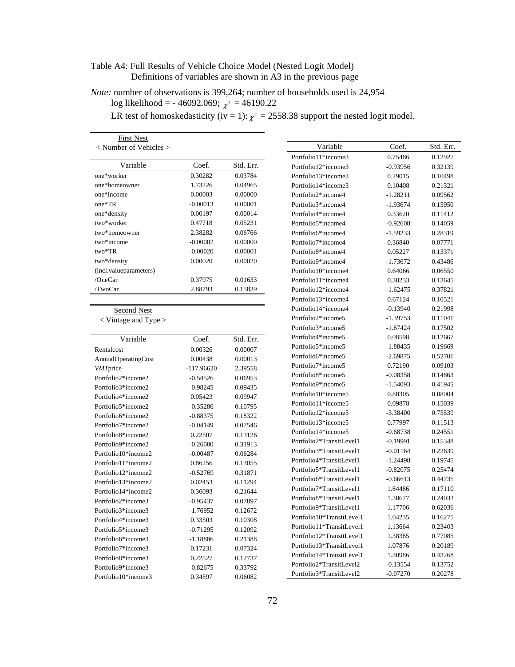## Table A4: Full Results of Vehicle Choice Model (Nested Logit Model) Definitions of variables are shown in A3 in the previous page

*Note:* number of observations is 399,264; number of households used is 24,954 log likelihood = - 46092.069;  $\chi^2$  = 46190.22

LR test of homoskedasticity (iv = 1):  $\chi^2 = 2558.38$  support the nested logit model.

| <b>First Nest</b>          |            |           |
|----------------------------|------------|-----------|
| $<$ Number of Vehicles $>$ |            |           |
|                            |            |           |
| Variable                   | Coef.      | Std. Err. |
| one*worker                 | 0.30282    | 0.03784   |
| one*homeowner              | 1.73226    | 0.04965   |
| one*income                 | 0.00003    | 0.00000   |
| one*TR                     | $-0.00013$ | 0.00001   |
| one*density                | 0.00197    | 0.00014   |
| two*worker                 | 0.47718    | 0.05231   |
| two*homeowner              | 2.38282    | 0.06766   |
| two*income                 | $-0.00002$ | 0.00000   |
| two*TR                     | $-0.00020$ | 0.00001   |
| two*density                | 0.00020    | 0.00020   |
| (incl.valueparameters)     |            |           |
| /OneCar                    | 0.37975    | 0.01633   |
| /TwoCar                    | 2.88793    | 0.15839   |

Second Nest

< Vintage and Type >

| Variable            | Coef.        | Std. Err. |
|---------------------|--------------|-----------|
| Rentalcost          | 0.00326      | 0.00007   |
| AnnualOperatingCost | 0.00438      | 0.00013   |
| <b>VMT</b> price    | $-117.96620$ | 2.39558   |
| Portfolio2*income2  | $-0.54526$   | 0.06953   |
| Portfolio3*income2  | $-0.98245$   | 0.09435   |
| Portfolio4*income2  | 0.05423      | 0.09947   |
| Portfolio5*income2  | $-0.35286$   | 0.10795   |
| Portfolio6*income2  | $-0.88375$   | 0.18322   |
| Portfolio7*income2  | $-0.04149$   | 0.07546   |
| Portfolio8*income2  | 0.22507      | 0.13126   |
| Portfolio9*income2  | $-0.26000$   | 0.31913   |
| Portfolio10*income2 | $-0.00487$   | 0.06284   |
| Portfolio11*income2 | 0.86256      | 0.13055   |
| Portfolio12*income2 | $-0.52769$   | 0.31871   |
| Portfolio13*income2 | 0.02453      | 0.11294   |
| Portfolio14*income2 | 0.36093      | 0.21644   |
| Portfolio2*income3  | $-0.95437$   | 0.07897   |
| Portfolio3*income3  | $-1.76952$   | 0.12672   |
| Portfolio4*income3  | 0.33503      | 0.10308   |
| Portfolio5*income3  | $-0.71295$   | 0.12092   |
| Portfolio6*income3  | $-1.18886$   | 0.21388   |
| Portfolio7*income3  | 0.17231      | 0.07324   |
| Portfolio8*income3  | 0.22527      | 0.12737   |
| Portfolio9*income3  | $-0.82675$   | 0.33792   |
| Portfolio10*income3 | 0.34597      | 0.06082   |

| Variable                  | Coef.      | Std. Err. |
|---------------------------|------------|-----------|
| Portfolio11*income3       | 0.75486    | 0.12927   |
| Portfolio12*income3       | $-0.93956$ | 0.32139   |
| Portfolio13*income3       | 0.29015    | 0.10498   |
| Portfolio14*income3       | 0.10408    | 0.21321   |
| Portfolio2*income4        | -1.28211   | 0.09562   |
| Portfolio3*income4        | -1.93674   | 0.15950   |
| Portfolio4*income4        | 0.33620    | 0.11412   |
| Portfolio5*income4        | $-0.92608$ | 0.14059   |
| Portfolio6*income4        | -1.59233   | 0.28319   |
| Portfolio7*income4        | 0.36840    | 0.07771   |
| Portfolio8*income4        | 0.05227    | 0.13371   |
| Portfolio9*income4        | -1.73672   | 0.43486   |
| Portfolio10*income4       | 0.64066    | 0.06550   |
| Portfolio11*income4       | 0.38233    | 0.13645   |
| Portfolio12*income4       | -1.62475   | 0.37821   |
| Portfolio13*income4       | 0.67124    | 0.10521   |
| Portfolio14*income4       | $-0.13940$ | 0.21998   |
| Portfolio2*income5        | -1.39753   | 0.11041   |
| Portfolio3*income5        | -1.67424   | 0.17502   |
| Portfolio4*income5        | 0.08598    | 0.12667   |
| Portfolio5*income5        | -1.88435   | 0.19669   |
| Portfolio6*income5        | $-2.69875$ | 0.52701   |
| Portfolio7*income5        | 0.72190    | 0.09103   |
| Portfolio8*income5        | $-0.08358$ | 0.14863   |
| Portfolio9*income5        | -1.54093   | 0.41945   |
| Portfolio10*income5       | 0.88305    | 0.08004   |
| Portfolio11*income5       | 0.09878    | 0.15039   |
| Portfolio12*income5       | -3.38400   | 0.75539   |
| Portfolio13*income5       | 0.77997    | 0.11513   |
| Portfolio14*income5       | $-0.68738$ | 0.24551   |
| Portfolio2*TransitLevel1  | $-0.19991$ | 0.15348   |
| Portfolio3*TransitLevel1  | $-0.01164$ | 0.22639   |
| Portfolio4*TransitLevel1  | -1.24498   | 0.19745   |
| Portfolio5*TransitLevel1  | $-0.82075$ | 0.25474   |
| Portfolio6*TransitLevel1  | $-0.66613$ | 0.44735   |
| Portfolio7*TransitLevel1  | 1.84486    | 0.17110   |
| Portfolio8*TransitLevel1  | 1.38677    | 0.24033   |
| Portfolio9*TransitLevel1  | 1.17706    | 0.62036   |
| Portfolio10*TransitLevel1 | 1.04235    | 0.16275   |
| Portfolio11*TransitLevel1 | 1.13664    | 0.23403   |
| Portfolio12*TransitLevel1 | 1.38365    | 0.77085   |
| Portfolio13*TransitLevel1 | 1.07876    | 0.20189   |
| Portfolio14*TransitLevel1 | 1.30986    | 0.43268   |
| Portfolio2*TransitLevel2  | $-0.13554$ | 0.13752   |
| Portfolio3*TransitLevel2  | $-0.07270$ | 0.20278   |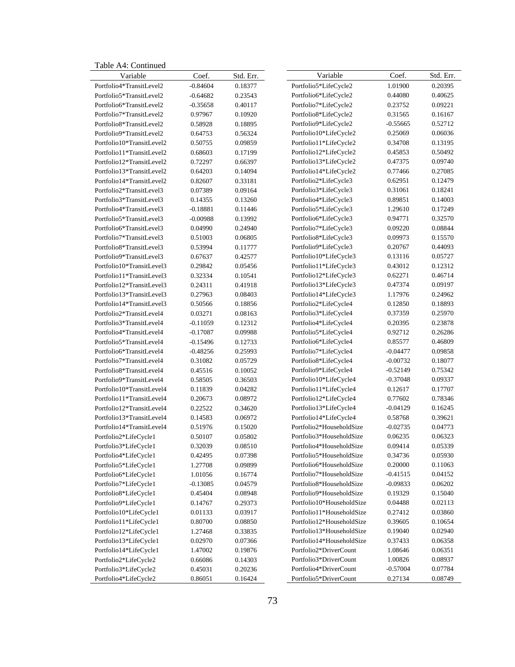Table A4: Continued

| Variable                  | Coef.      | Std. Err. | Variable                  | Coef.      | Std. Err. |
|---------------------------|------------|-----------|---------------------------|------------|-----------|
| Portfolio4*TransitLevel2  | $-0.84604$ | 0.18377   | Portfolio5*LifeCycle2     | 1.01900    | 0.20395   |
| Portfolio5*TransitLevel2  | $-0.64682$ | 0.23543   | Portfolio6*LifeCycle2     | 0.44080    | 0.40625   |
| Portfolio6*TransitLevel2  | $-0.35658$ | 0.40117   | Portfolio7*LifeCycle2     | 0.23752    | 0.09221   |
| Portfolio7*TransitLevel2  | 0.97967    | 0.10920   | Portfolio8*LifeCycle2     | 0.31565    | 0.16167   |
| Portfolio8*TransitLevel2  | 0.58928    | 0.18895   | Portfolio9*LifeCycle2     | $-0.55665$ | 0.52712   |
| Portfolio9*TransitLevel2  | 0.64753    | 0.56324   | Portfolio10*LifeCycle2    | 0.25069    | 0.06036   |
| Portfolio10*TransitLevel2 | 0.50755    | 0.09859   | Portfolio11*LifeCycle2    | 0.34708    | 0.13195   |
| Portfolio11*TransitLevel2 | 0.68603    | 0.17199   | Portfolio12*LifeCycle2    | 0.45853    | 0.50492   |
| Portfolio12*TransitLevel2 | 0.72297    | 0.66397   | Portfolio13*LifeCycle2    | 0.47375    | 0.09740   |
| Portfolio13*TransitLevel2 | 0.64203    | 0.14094   | Portfolio14*LifeCycle2    | 0.77466    | 0.27085   |
| Portfolio14*TransitLevel2 | 0.82607    | 0.33181   | Portfolio2*LifeCycle3     | 0.62951    | 0.12479   |
| Portfolio2*TransitLevel3  | 0.07389    | 0.09164   | Portfolio3*LifeCycle3     | 0.31061    | 0.18241   |
| Portfolio3*TransitLevel3  | 0.14355    | 0.13260   | Portfolio4*LifeCycle3     | 0.89851    | 0.14003   |
| Portfolio4*TransitLevel3  | $-0.18881$ | 0.11446   | Portfolio5*LifeCycle3     | 1.29610    | 0.17249   |
| Portfolio5*TransitLevel3  | $-0.00988$ | 0.13992   | Portfolio6*LifeCycle3     | 0.94771    | 0.32570   |
| Portfolio6*TransitLevel3  | 0.04990    | 0.24940   | Portfolio7*LifeCycle3     | 0.09220    | 0.08844   |
| Portfolio7*TransitLevel3  | 0.51003    | 0.06805   | Portfolio8*LifeCycle3     | 0.09973    | 0.15570   |
| Portfolio8*TransitLevel3  | 0.53994    | 0.11777   | Portfolio9*LifeCycle3     | 0.20767    | 0.44093   |
| Portfolio9*TransitLevel3  | 0.67637    | 0.42577   | Portfolio10*LifeCycle3    | 0.13116    | 0.05727   |
| Portfolio10*TransitLevel3 | 0.29842    | 0.05456   | Portfolio11*LifeCycle3    | 0.43012    | 0.12312   |
| Portfolio11*TransitLevel3 | 0.32334    | 0.10541   | Portfolio12*LifeCycle3    | 0.62271    | 0.46714   |
| Portfolio12*TransitLevel3 | 0.24311    | 0.41918   | Portfolio13*LifeCycle3    | 0.47374    | 0.09197   |
| Portfolio13*TransitLevel3 | 0.27963    | 0.08403   | Portfolio14*LifeCycle3    | 1.17976    | 0.24962   |
| Portfolio14*TransitLevel3 | 0.50566    | 0.18856   | Portfolio2*LifeCycle4     | 0.12850    | 0.18893   |
| Portfolio2*TransitLevel4  | 0.03271    | 0.08163   | Portfolio3*LifeCycle4     | 0.37359    | 0.25970   |
| Portfolio3*TransitLevel4  | $-0.11059$ | 0.12312   | Portfolio4*LifeCycle4     | 0.20395    | 0.23878   |
| Portfolio4*TransitLevel4  | $-0.17087$ | 0.09988   | Portfolio5*LifeCycle4     | 0.92712    | 0.26286   |
| Portfolio5*TransitLevel4  | $-0.15496$ | 0.12733   | Portfolio6*LifeCycle4     | 0.85577    | 0.46809   |
| Portfolio6*TransitLevel4  | $-0.48256$ | 0.25993   | Portfolio7*LifeCycle4     | $-0.04477$ | 0.09858   |
| Portfolio7*TransitLevel4  | 0.31082    | 0.05729   | Portfolio8*LifeCycle4     | $-0.00732$ | 0.18077   |
| Portfolio8*TransitLevel4  | 0.45516    | 0.10052   | Portfolio9*LifeCycle4     | $-0.52149$ | 0.75342   |
| Portfolio9*TransitLevel4  | 0.58505    | 0.36503   | Portfolio10*LifeCycle4    | $-0.37048$ | 0.09337   |
| Portfolio10*TransitLevel4 | 0.11839    | 0.04282   | Portfolio11*LifeCycle4    | 0.12617    | 0.17707   |
| Portfolio11*TransitLevel4 | 0.20673    | 0.08972   | Portfolio12*LifeCycle4    | 0.77602    | 0.78346   |
| Portfolio12*TransitLevel4 | 0.22522    | 0.34620   | Portfolio13*LifeCycle4    | $-0.04129$ | 0.16245   |
| Portfolio13*TransitLevel4 | 0.14583    | 0.06972   | Portfolio14*LifeCycle4    | 0.58768    | 0.39621   |
| Portfolio14*TransitLevel4 | 0.51976    | 0.15020   | Portfolio2*HouseholdSize  | $-0.02735$ | 0.04773   |
| Portfolio2*LifeCycle1     | 0.50107    | 0.05802   | Portfolio3*HouseholdSize  | 0.06235    | 0.06323   |
| Portfolio3*LifeCycle1     | 0.32039    | 0.08510   | Portfolio4*HouseholdSize  | 0.09414    | 0.05339   |
| Portfolio4*LifeCycle1     | 0.42495    | 0.07398   | Portfolio5*HouseholdSize  | 0.34736    | 0.05930   |
| Portfolio5*LifeCycle1     | 1.27708    | 0.09899   | Portfolio6*HouseholdSize  | 0.20000    | 0.11063   |
| Portfolio6*LifeCycle1     | 1.01056    | 0.16774   | Portfolio7*HouseholdSize  | $-0.41515$ | 0.04152   |
| Portfolio7*LifeCycle1     | $-0.13085$ | 0.04579   | Portfolio8*HouseholdSize  | $-0.09833$ | 0.06202   |
| Portfolio8*LifeCycle1     | 0.45404    | 0.08948   | Portfolio9*HouseholdSize  | 0.19329    | 0.15040   |
| Portfolio9*LifeCycle1     | 0.14767    | 0.29373   | Portfolio10*HouseholdSize | 0.04488    | 0.02113   |
| Portfolio10*LifeCycle1    | 0.01133    | 0.03917   | Portfolio11*HouseholdSize | 0.27412    | 0.03860   |
| Portfolio11*LifeCycle1    | 0.80700    | 0.08850   | Portfolio12*HouseholdSize | 0.39605    | 0.10654   |
| Portfolio12*LifeCycle1    | 1.27468    | 0.33835   | Portfolio13*HouseholdSize | 0.19040    | 0.02940   |
| Portfolio13*LifeCycle1    | 0.02970    | 0.07366   | Portfolio14*HouseholdSize | 0.37433    | 0.06358   |
| Portfolio14*LifeCycle1    | 1.47002    | 0.19876   | Portfolio2*DriverCount    | 1.08646    | 0.06351   |
| Portfolio2*LifeCycle2     | 0.66086    | 0.14303   | Portfolio3*DriverCount    | 1.00826    | 0.08937   |
| Portfolio3*LifeCycle2     | 0.45031    | 0.20236   | Portfolio4*DriverCount    | $-0.57004$ | 0.07784   |
| Portfolio4*LifeCycle2     | 0.86051    | 0.16424   | Portfolio5*DriverCount    | 0.27134    | 0.08749   |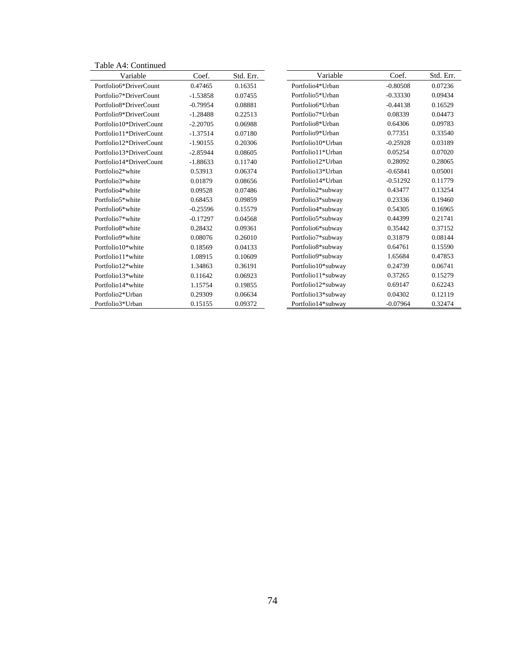| Table A4: Continued     |            |           |                               |            |           |
|-------------------------|------------|-----------|-------------------------------|------------|-----------|
| Variable                | Coef.      | Std. Err. | Variable                      | Coef.      | Std. Err. |
| Portfolio6*DriverCount  | 0.47465    | 0.16351   | Portfolio4*Urban              | $-0.80508$ | 0.07236   |
| Portfolio7*DriverCount  | $-1.53858$ | 0.07455   | Portfolio5*Urban              | $-0.33330$ | 0.09434   |
| Portfolio8*DriverCount  | $-0.79954$ | 0.08881   | Portfolio6*Urban              | $-0.44138$ | 0.16529   |
| Portfolio9*DriverCount  | $-1.28488$ | 0.22513   | Portfolio7*Urban              | 0.08339    | 0.04473   |
| Portfolio10*DriverCount | $-2.20705$ | 0.06988   | Portfolio <sub>8</sub> *Urban | 0.64306    | 0.09783   |
| Portfolio11*DriverCount | $-1.37514$ | 0.07180   | Portfolio9*Urban              | 0.77351    | 0.33540   |
| Portfolio12*DriverCount | $-1.90155$ | 0.20306   | Portfolio10*Urban             | $-0.25928$ | 0.03189   |
| Portfolio13*DriverCount | $-2.85944$ | 0.08605   | Portfolio11*Urban             | 0.05254    | 0.07020   |
| Portfolio14*DriverCount | $-1.88633$ | 0.11740   | Portfolio12*Urban             | 0.28092    | 0.28065   |
| Portfolio2*white        | 0.53913    | 0.06374   | Portfolio13*Urban             | $-0.65841$ | 0.05001   |
| Portfolio3*white        | 0.01879    | 0.08656   | Portfolio14*Urban             | $-0.51292$ | 0.11779   |
| Portfolio4*white        | 0.09528    | 0.07486   | Portfolio2*subway             | 0.43477    | 0.13254   |
| Portfolio5*white        | 0.68453    | 0.09859   | Portfolio3*subway             | 0.23336    | 0.19460   |
| Portfolio6*white        | $-0.25596$ | 0.15579   | Portfolio4*subway             | 0.54305    | 0.16965   |
| Portfolio7*white        | $-0.17297$ | 0.04568   | Portfolio5*subway             | 0.44399    | 0.21741   |
| Portfolio8*white        | 0.28432    | 0.09361   | Portfolio6*subway             | 0.35442    | 0.37152   |
| Portfolio9*white        | 0.08076    | 0.26010   | Portfolio7*subway             | 0.31879    | 0.08144   |
| Portfolio10*white       | 0.18569    | 0.04133   | Portfolio8*subway             | 0.64761    | 0.15590   |
| Portfolio11*white       | 1.08915    | 0.10609   | Portfolio9*subway             | 1.65684    | 0.47853   |
| Portfolio12*white       | 1.34863    | 0.36191   | Portfolio10*subway            | 0.24739    | 0.06741   |
| Portfolio13*white       | 0.11642    | 0.06923   | Portfolio11*subway            | 0.37265    | 0.15279   |
| Portfolio14*white       | 1.15754    | 0.19855   | Portfolio12*subway            | 0.69147    | 0.62243   |
| Portfolio2*Urban        | 0.29309    | 0.06634   | Portfolio13*subway            | 0.04302    | 0.12119   |
| Portfolio3*Urban        | 0.15155    | 0.09372   | Portfolio14*subway            | $-0.07964$ | 0.32474   |